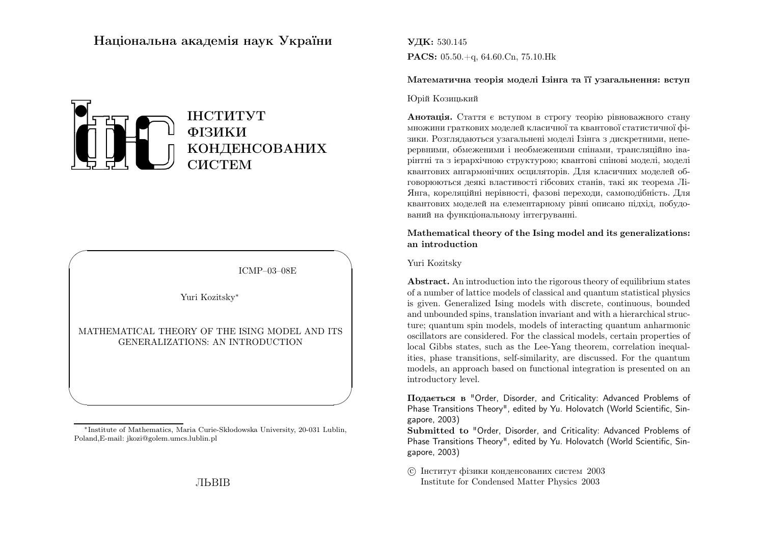# Нацiональна академiя наук України



ICMP–03–08E

✩

 $\overline{\phantom{a}}$ 

Yuri Kozitsky∗

 $\sqrt{2}$ 

 $\setminus$ 

MATHEMATICAL THEORY OF THE ISING MODEL AND ITSGENERALIZATIONS: AN INTRODUCTION

УДК: 530.145 $\mathbf{PACS:}$  05.50.+q, 64.60.Cn, 75.10.Hk

Математична теорія моделі Ізінга та її узагальнення: вступ

### Юрiй Козицький

**Анотація.** Стаття є вступом в строгу теорію рівноважного стану множини граткових моделей класичної та квантової статистичної фiзики. Розглядаються узагальненi моделi Iзiнга <sup>з</sup> дискретними, неперервними, обмеженими i необмеженими спiнами, трансляцiйно iварiнтнi та <sup>з</sup> iєрархiчною структурою; квантовi спiновi моделi, моделi квантових ангармонiчних осциляторiв. Для класичних моделей обговорюються деякi властивостi гiбсових станiв, такi як теорема Лi-Янга, кореляцiйнi нерiвностi, фазовi переходи, самоподiбнiсть. Для квантових моделей на елементарному рiвнi описано пiдхiд, побудований на функцiональному iнтегруваннi.

# Mathematical theory of the Ising model and its generalizations:an introduction

### Yuri Kozitsky

Abstract. An introduction into the rigorous theory of equilibrium states of <sup>a</sup> number of lattice models of classical and quantum statistical <sup>p</sup>hysics is given. Generalized Ising models with discrete, continuous, bounded and unbounded spins, translation invariant and with <sup>a</sup> hierarchical structure; quantum spin models, models of interacting quantum anharmonic oscillators are considered. For the classical models, certain properties of local Gibbs states, such as the Lee-Yang theorem, correlation inequalities, <sup>p</sup>hase transitions, self-similarity, are discussed. For the quantum models, an approach based on functional integration is presented on anintroductory level.

Подається <sup>в</sup> "Order, Disorder, and Criticality: Advanced Problems of Phase Transitions Theory", edited by Yu. Holovatch (World Scientific, Singapore, 2003)

Submitted to "Order, Disorder, and Criticality: Advanced Problems of Phase Transitions Theory", edited by Yu. Holovatch (World Scientific, Singapore, 2003)

 c Iнститут фiзики конденсованих систем <sup>2003</sup>Institute for Condensed Matter Physics 2003

 Poland,E-mail: jkozi@golem.umcs.lublin.pl<sup>∗</sup>Institute of Mathematics, Maria Curie-Sk lodowska University, 20-031 Lublin,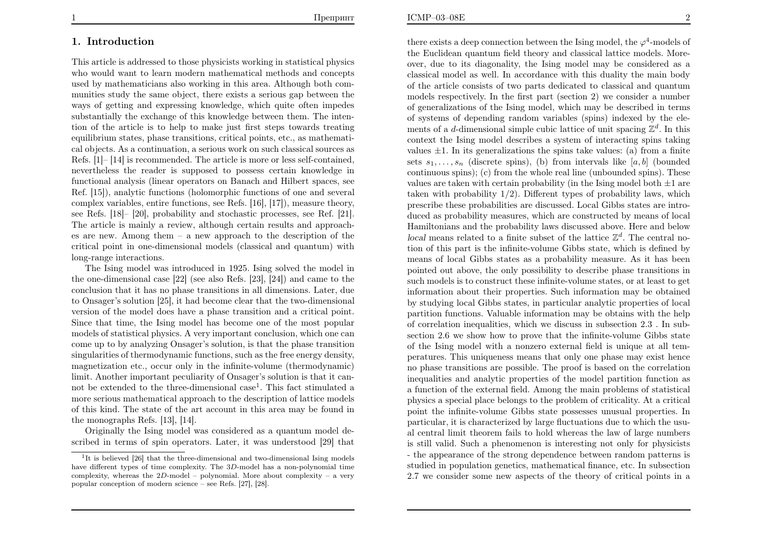# 1. Introduction

This article is addressed to those physicists working in statistical physics who would want to learn modern mathematical methods and concepts used by mathematicians also working in this area. Although both communities study the same object, there exists <sup>a</sup> serious gap between the ways of getting and expressing knowledge, which quite often impedes substantially the exchange of this knowledge between them. The intention of the article is to help to make just first steps towards treating equilibrium states, phase transitions, critical points, etc., as mathematical objects. As <sup>a</sup> continuation, <sup>a</sup> serious work on such classical sources as Refs. [1]– [14] is recommended. The article is more or less self-contained, nevertheless the reader is supposed to possess certain knowledge in functional analysis (linear operators on Banach and Hilbert spaces, see Ref. [15]), analytic functions (holomorphic functions of one and several complex variables, entire functions, see Refs. [16], [17]), measure theory, see Refs. [18]– [20], probability and stochastic processes, see Ref. [21].The article is mainly <sup>a</sup> review, although certain results and approaches are new. Among them – <sup>a</sup> new approach to the description of the critical point in one-dimensional models (classical and quantum) withlong-range interactions.

The Ising model was introduced in 1925. Ising solved the model in the one-dimensional case [22] (see also Refs. [23], [24]) and came to the conclusion that it has no phase transitions in all dimensions. Later, due to Onsager's solution [25], it had become clear that the two-dimensionalversion of the model does have <sup>a</sup> phase transition and <sup>a</sup> critical point.Since that time, the Ising model has become one of the most popular models of statistical <sup>p</sup>hysics. A very important conclusion, which one can come up to by analyzing Onsager's solution, is that the <sup>p</sup>hase transition singularities of thermodynamic functions, such as the free energy density, magnetization etc., occur only in the infinite-volume (thermodynamic) limit. Another important peculiarity of Onsager's solution is that it cannot be extended to the three-dimensional case<sup>1</sup>. This fact stimulated a more serious mathematical approach to the description of lattice models of this kind. The state of the art account in this area may be found inthe monographs Refs. [13], [14].

 Originally the Ising model was considered as <sup>a</sup> quantum model described in terms of spin operators. Later, it was understood [29] that

there exists a deep connection between the Ising model, the  $\varphi^4$ -models of the Euclidean quantum field theory and classical lattice models. Moreover, due to its diagonality, the Ising model may be considered as <sup>a</sup> classical model as well. In accordance with this duality the main body of the article consists of two parts dedicated to classical and quantum models respectively. In the first part (section 2) we consider <sup>a</sup> number of generalizations of the Ising model, which may be described in terms of systems of depending random variables (spins) indexed by the elements of a *d*-dimensional simple cubic lattice of unit spacing  $\mathbb{Z}^d$ . In this context the Ising model describes <sup>a</sup> system of interacting spins takingvalues  $\pm 1$ . In its generalizations the spins take values: (a) from a finite sets  $s_1, \ldots, s_n$  (discrete spins), (b) from intervals like [a, b] (bounded continuous spins); (c) from the whole real line (unbounded spins). Thesevalues are taken with certain probability (in the Ising model both  $\pm 1$  are taken with probability <sup>1</sup>/2). Different types of probability laws, which prescribe these probabilities are discussed. Local Gibbs states are introduced as probability measures, which are constructed by means of local Hamiltonians and the probability laws discussed above. Here and belowlocal means related to a finite subset of the lattice  $\mathbb{Z}^d$ . The central no- tion of this part is the infinite-volume Gibbs state, which is defined by means of local Gibbs states as <sup>a</sup> probability measure. As it has been pointed out above, the only possibility to describe phase transitions in such models is to construct these infinite-volume states, or at least to get information about their properties. Such information may be obtained by studying local Gibbs states, in particular analytic properties of local partition functions. Valuable information may be obtains with the help of correlation inequalities, which we discuss in subsection 2.3 . In subsection 2.6 we show how to prove that the infinite-volume Gibbs state of the Ising model with <sup>a</sup> nonzero external field is unique at all temperatures. This uniqueness means that only one phase may exist hence no phase transitions are possible. The proof is based on the correlation inequalities and analytic properties of the model partition function as <sup>a</sup> function of the external field. Among the main problems of statistical <sup>p</sup>hysics <sup>a</sup> special <sup>p</sup>lace belongs to the problem of criticality. At <sup>a</sup> critical point the infinite-volume Gibbs state possesses unusual properties. In particular, it is characterized by large fluctuations due to which the usual central limit theorem fails to hold whereas the law of large numbers is still valid. Such <sup>a</sup> <sup>p</sup>henomenon is interesting not only for <sup>p</sup>hysicists - the appearance of the strong dependence between random patterns is studied in population genetics, mathematical finance, etc. In subsection2.7 we consider some new aspects of the theory of critical points in <sup>a</sup>

<sup>&</sup>lt;sup>1</sup>It is believed [26] that the three-dimensional and two-dimensional Ising models have different types of time complexity. The <sup>3</sup>D-model has <sup>a</sup> non-polynomial time complexity, whereas the <sup>2</sup>D-model – polynomial. More about complexity – <sup>a</sup> verypopular conception of modern science – see Refs. [27], [28].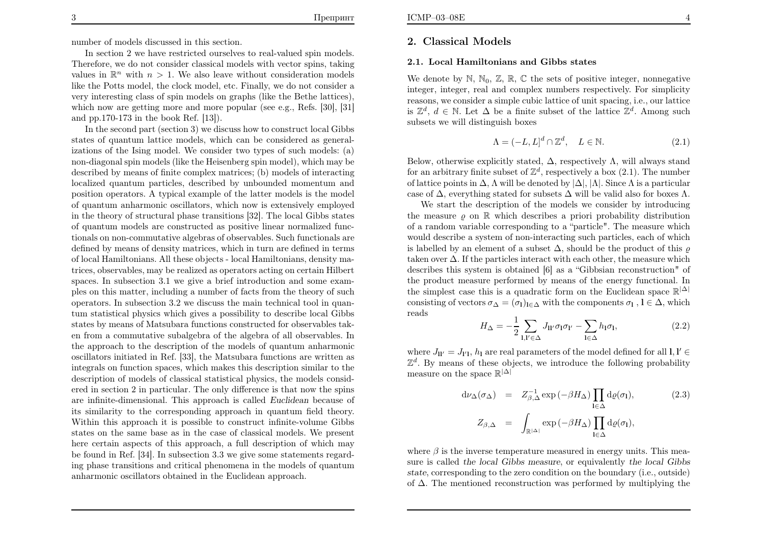In section 2 we have restricted ourselves to real-valued spin models. Therefore, we do not consider classical models with vector spins, takingvalues in  $\mathbb{R}^n$  with  $n > 1$ . We also leave without consideration models like the Potts model, the clock model, etc. Finally, we do not consider <sup>a</sup> very interesting class of spin models on graphs (like the Bethe lattices), which now are getting more and more popular (see e.g., Refs. [30], [31]and pp.170-173 in the book Ref. [13]).

 In the second part (section 3) we discuss how to construct local Gibbs states of quantum lattice models, which can be considered as generalizations of the Ising model. We consider two types of such models: (a) non-diagonal spin models (like the Heisenberg spin model), which may be described by means of finite complex matrices; (b) models of interacting localized quantum particles, described by unbounded momentum and position operators. A typical example of the latter models is the model of quantum anharmonic oscillators, which now is extensively employed in the theory of structural <sup>p</sup>hase transitions [32]. The local Gibbs states of quantum models are constructed as positive linear normalized functionals on non-commutative algebras of observables. Such functionals are defined by means of density matrices, which in turn are defined in terms of local Hamiltonians. All these objects - local Hamiltonians, density matrices, observables, may be realized as operators acting on certain Hilbert spaces. In subsection 3.1 we give <sup>a</sup> brief introduction and some exam<sup>p</sup>les on this matter, including <sup>a</sup> number of facts from the theory of such operators. In subsection 3.2 we discuss the main technical tool in quantum statistical <sup>p</sup>hysics which gives <sup>a</sup> possibility to describe local Gibbs states by means of Matsubara functions constructed for observables taken from <sup>a</sup> commutative subalgebra of the algebra of all observables. In the approach to the description of the models of quantum anharmonic oscillators initiated in Ref. [33], the Matsubara functions are written as integrals on function spaces, which makes this description similar to the description of models of classical statistical <sup>p</sup>hysics, the models considered in section 2 in particular. The only difference is that now the spins are infinite-dimensional. This approach is called Euclidean because of its similarity to the corresponding approach in quantum field theory.Within this approach it is possible to construct infinite-volume Gibbs states on the same base as in the case of classical models. We present here certain aspects of this approach, <sup>a</sup> full description of which may be found in Ref. [34]. In subsection 3.3 we <sup>g</sup>ive some statements regarding <sup>p</sup>hase transitions and critical <sup>p</sup>henomena in the models of quantumanharmonic oscillators obtained in the Euclidean approach.

## 2. Classical Models

#### 2.1. Local Hamiltonians and Gibbs states

We denote by  $\mathbb{N}, \mathbb{N}_0, \mathbb{Z}, \mathbb{R}, \mathbb{C}$  the sets of positive integer, nonnegative integer, integer, real and complex numbers respectively. For simplicity reasons, we consider <sup>a</sup> simple cubic lattice of unit spacing, i.e., our latticeis  $\mathbb{Z}^d$ ,  $d \in \mathbb{N}$ . Let  $\Delta$  be a finite subset of the lattice  $\mathbb{Z}^d$ . Among such subsets we will distinguish here: subsets we will distinguish boxes

$$
\Lambda = (-L, L]^d \cap \mathbb{Z}^d, \quad L \in \mathbb{N}.
$$
 (2.1)

Below, otherwise explicitly stated,  $\Delta$ , respectively  $\Lambda$ , will always stand for an arbitrary finite subset of  $\mathbb{Z}^d$ , respectively a box  $(2.1)$ . The number of lattice points in  $\Delta$ ,  $\Lambda$  will be denoted by  $|\Delta|$ ,  $|\Lambda|$ . Since  $\Lambda$  is a particular case of  $\Delta$ , everything stated for subsets  $\Delta$  will be valid also for boxes  $\Lambda$ .

 We start the description of the models we consider by introducingthe measure  $\varrho$  on  $\mathbb R$  which describes a priori probability distribution of <sup>a</sup> random variable corresponding to <sup>a</sup> "particle". The measure which would describe <sup>a</sup> system of non-interacting such particles, each of whichis labelled by an element of a subset  $\Delta$ , should be the product of this  $\varrho$ taken over  $\Delta$ . If the particles interact with each other, the measure which describes this system is obtained [6] as <sup>a</sup> "Gibbsian reconstruction" of the product measure performed by means of the energy functional. Inthe simplest case this is a quadratic form on the Euclidean space  $\mathbb{R}^{|\Delta|}$ consisting of vectors  $\sigma_{\Delta} = (\sigma_1)_{1 \in \Delta}$  with the components  $\sigma_1$ ,  $1 \in \Delta$ , which reads

$$
H_{\Delta} = -\frac{1}{2} \sum_{\mathbf{l}, \mathbf{l}' \in \Delta} J_{\mathbf{l}\mathbf{l}'} \sigma_{\mathbf{l}} \sigma_{\mathbf{l}'} - \sum_{\mathbf{l} \in \Delta} h_{\mathbf{l}} \sigma_{\mathbf{l}},\tag{2.2}
$$

where  $J_{ll'} = J_{l'1}, h_1$  are real parameters of the model defined for all  $l, l' \in$  $\mathbb{Z}^d$ . By means of these objects, we introduce the following probability measure on the space  $\mathbb{R}^{|\Delta|}$ 

$$
d\nu_{\Delta}(\sigma_{\Delta}) = Z_{\beta,\Delta}^{-1} \exp(-\beta H_{\Delta}) \prod_{I \in \Delta} d\varrho(\sigma_{I}), \qquad (2.3)
$$

$$
Z_{\beta,\Delta} = \int_{\mathbb{R}^{|\Delta|}} \exp(-\beta H_{\Delta}) \prod_{I \in \Delta} d\varrho(\sigma_{I}),
$$

where  $\beta$  is the inverse temperature measured in energy units. This mea sure is called the local Gibbs measure, or equivalently the local Gibbs state, corresponding to the zero condition on the boundary (i.e., outside)of∆. The mentioned reconstruction was performed by multiplying the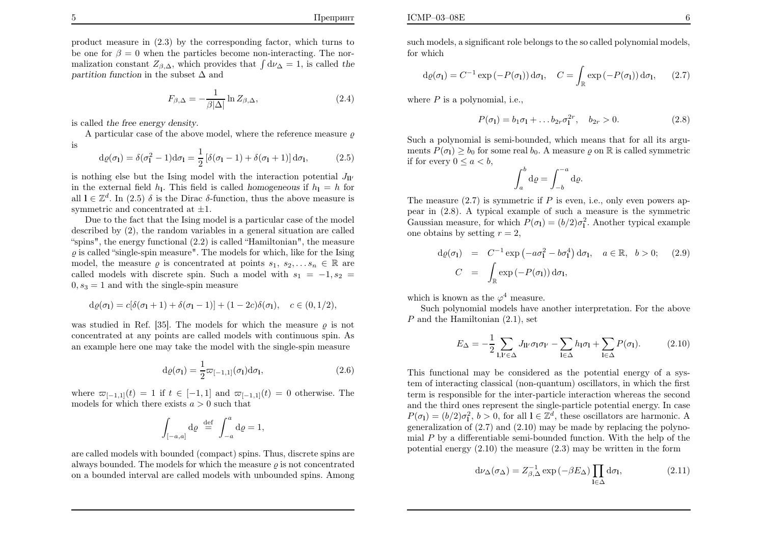product measure in (2.3) by the corresponding factor, which turns to be one for  $\beta = 0$  when the particles become non-interacting. The normalization constant  $Z_{\beta,\Delta}$ , which provides that  $\int d\nu_{\Delta} = 1$ , is called the partition function in the subset  $\Delta$  and

$$
F_{\beta,\Delta} = -\frac{1}{\beta|\Delta|} \ln Z_{\beta,\Delta},\tag{2.4}
$$

is called the free energy density.

A particular case of the above model, where the reference measure  $\varrho$ is

$$
d\varrho(\sigma_1) = \delta(\sigma_1^2 - 1)d\sigma_1 = \frac{1}{2} [\delta(\sigma_1 - 1) + \delta(\sigma_1 + 1)] d\sigma_1,
$$
 (2.5)

is nothing else but the Ising model with the interaction potential  $J_{ll'}$ in the external field  $h_1$ . This field is called homogeneous if  $h_1 = h$  for all  $l \in \mathbb{Z}^d$ . In (2.5)  $\delta$  is the Dirac  $\delta$ -function, thus the above measure is symmetric and concentrated at  $\pm 1$ .

 Due to the fact that the Ising model is <sup>a</sup> particular case of the model described by (2), the random variables in <sup>a</sup> genera<sup>l</sup> situation are called "spins", the energy functional (2.2) is called "Hamiltonian", the measure $\varrho$  is called "single-spin measure". The models for which, like for the Ising model, the measure  $\varrho$  is concentrated at points  $s_1, s_2, \ldots s_n \in \mathbb{R}$  are called models with discrete spin. Such a model with  $s_1 = -1, s_2 =$  $0, s_3 = 1$  and with the single-spin measure

$$
d\varrho(\sigma_1) = c[\delta(\sigma_1 + 1) + \delta(\sigma_1 - 1)] + (1 - 2c)\delta(\sigma_1), \quad c \in (0, 1/2),
$$

was studied in Ref. [35]. The models for which the measure  $\rho$  is not concentrated at any points are called models with continuous spin. Asan example here one may take the model with the single-spin measure

$$
d\varrho(\sigma_1) = \frac{1}{2}\varpi_{[-1,1]}(\sigma_1)d\sigma_1, \qquad (2.6)
$$

where  $\overline{\omega}_{[-1,1]}(t) = 1$  if  $t \in [-1,1]$  and  $\overline{\omega}_{[-1,1]}(t) = 0$  otherwise. The models for which there exists  $a > 0$  such that

$$
\int_{[-a,a]} d\varrho \stackrel{\text{def}}{=} \int_{-a}^{a} d\varrho = 1,
$$

are called models with bounded (compact) spins. Thus, discrete spins arealways bounded. The models for which the measure  $\varrho$  is not concentrated on <sup>a</sup> bounded interval are called models with unbounded spins. Among

such models, <sup>a</sup> significant role belongs to the so called polynomial models,for which

$$
d\varrho(\sigma_1) = C^{-1} \exp(-P(\sigma_1)) d\sigma_1, \quad C = \int_{\mathbb{R}} \exp(-P(\sigma_1)) d\sigma_1, \quad (2.7)
$$

where  $P$  is a polynomial, i.e.,

$$
P(\sigma_1) = b_1 \sigma_1 + \dots b_{2r} \sigma_1^{2r}, \quad b_{2r} > 0. \tag{2.8}
$$

Such <sup>a</sup> polynomial is semi-bounded, which means that for all its arguments  $P(\sigma_1) \ge b_0$  for some real  $b_0$ . A measure  $\varrho$  on  $\mathbb R$  is called symmetric if for every  $0 \le a < b$ ,

$$
\int_a^b \mathrm{d}\varrho = \int_{-b}^{-a} \mathrm{d}\varrho.
$$

The measure  $(2.7)$  is symmetric if P is even, i.e., only even powers ap pear in (2.8). A typical example of such <sup>a</sup> measure is the symmetricGaussian measure, for which  $P(\sigma_1) = (b/2)\sigma_1^2$ . Another typical example one obtains by setting  $r = 2$ ,

$$
d\varrho(\sigma_1) = C^{-1} \exp(-a\sigma_1^2 - b\sigma_1^4) d\sigma_1, \quad a \in \mathbb{R}, \quad b > 0; \quad (2.9)
$$

$$
C = \int_{\mathbb{R}} \exp(-P(\sigma_1)) d\sigma_1,
$$

which is known as the  $\varphi^4$  measure.

 Such polynomial models have another interpretation. For the above $P$  and the Hamiltonian  $(2.1)$ , set

$$
E_{\Delta} = -\frac{1}{2} \sum_{\mathbf{l}, \mathbf{l}' \in \Delta} J_{\mathbf{l}\mathbf{l}'} \sigma_{\mathbf{l}} \sigma_{\mathbf{l}'} - \sum_{\mathbf{l} \in \Delta} h_{\mathbf{l}} \sigma_{\mathbf{l}} + \sum_{\mathbf{l} \in \Delta} P(\sigma_{\mathbf{l}}). \tag{2.10}
$$

This functional may be considered as the potential energy of <sup>a</sup> system of interacting classical (non-quantum) oscillators, in which the first term is responsible for the inter-particle interaction whereas the second and the third ones represent the single-particle potential energy. In case $P(\sigma_1) = (b/2)\sigma_1^2$ ,  $b > 0$ , for all  $1 \in \mathbb{Z}^d$ , these oscillators are harmonic. A generalization of (2.7) and (2.10) may be made by replacing the polynomial P by a differentiable semi-bounded function. With the help of the potential energy  $(2.10)$  the measure  $(2.3)$  may be written in the form

$$
d\nu_{\Delta}(\sigma_{\Delta}) = Z_{\beta,\Delta}^{-1} \exp(-\beta E_{\Delta}) \prod_{\mathbf{l} \in \Delta} d\sigma_{\mathbf{l}},
$$
 (2.11)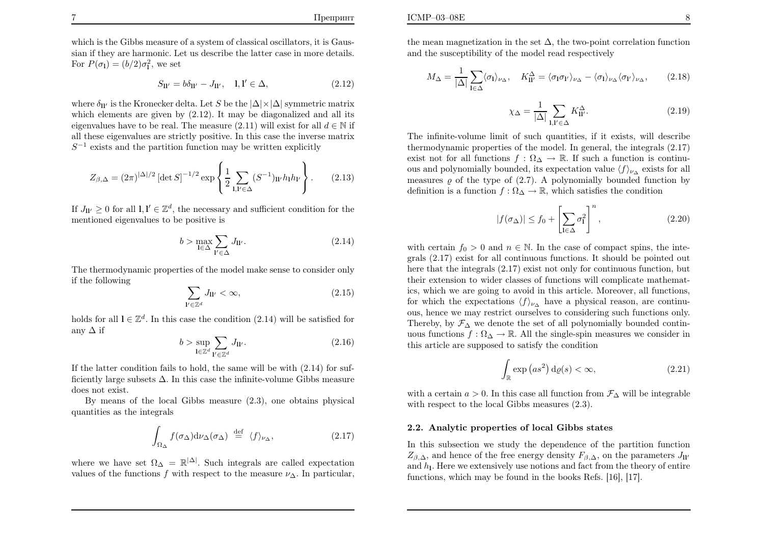which is the Gibbs measure of <sup>a</sup> system of classical oscillators, it is Gaussian if they are harmonic. Let us describe the latter case in more details.For  $P(\sigma_1) = (b/2)\sigma_1^2$ , we set

$$
S_{\mathbf{l}\mathbf{l}'} = b\delta_{\mathbf{l}\mathbf{l}'} - J_{\mathbf{l}\mathbf{l}'}, \quad \mathbf{l}, \mathbf{l}' \in \Delta,\tag{2.12}
$$

where  $\delta_{\mathbf{I}i'}$  is the Kronecker delta. Let S be the  $|\Delta| \times |\Delta|$  symmetric matrix which elements are <sup>g</sup>iven by (2.12). It may be diagonalized and all itseigenvalues have to be real. The measure  $(2.11)$  will exist for all  $d \in \mathbb{N}$  if all these eigenvalues are strictly positive. In this case the inverse matrix $S^{-1}$  exists and the partition function may be written explicitly

$$
Z_{\beta,\Delta} = (2\pi)^{|\Delta|/2} \left[ \det S \right]^{-1/2} \exp \left\{ \frac{1}{2} \sum_{\mathbf{l},\mathbf{l}' \in \Delta} (S^{-1})_{\mathbf{l} \mathbf{l}'} h_{\mathbf{l}} h_{\mathbf{l}'} \right\}.
$$
 (2.13)

If  $J_{\mathbf{l}}\mathbf{l}' \geq 0$  for all  $\mathbf{l}, \mathbf{l}' \in \mathbb{Z}^d$ , the necessary and sufficient condition for the mentioned eigenvalues to be positive is

$$
b > \max_{\mathbf{l} \in \Delta} \sum_{\mathbf{l}' \in \Delta} J_{\mathbf{l} \mathbf{l}'}.\tag{2.14}
$$

The thermodynamic properties of the model make sense to consider onlyif the following

$$
\sum_{\ell \in \mathbb{Z}^d} J_{\mathbf{l} \ell} < \infty,\tag{2.15}
$$

holds for all  $\mathbf{l} \in \mathbb{Z}^d$ . In this case the condition (2.14) will be satisfied for any∆ if

$$
b > \sup_{\mathbf{l} \in \mathbb{Z}^d} \sum_{\mathbf{l}' \in \mathbb{Z}^d} J_{\mathbf{l} \mathbf{l}'}.
$$
 (2.16)

If the latter condition fails to hold, the same will be with (2.14) for sufficiently large subsets∆. In this case the infinite-volume Gibbs measuredoes not exist.

By means of the local Gibbs measure (2.3), one obtains <sup>p</sup>hysicalquantities as the integrals

$$
\int_{\Omega_{\Delta}} f(\sigma_{\Delta}) d\nu_{\Delta}(\sigma_{\Delta}) \stackrel{\text{def}}{=} \langle f \rangle_{\nu_{\Delta}}, \tag{2.17}
$$

where we have set  $\Omega_{\Delta}=\mathbb{R}^{|\Delta|}$ . Such integrals are called expectation values of the functions  $f$  with respect to the measure  $\nu_{\Delta}$ . In particular, the mean magnetization in the set  $\Delta$ , the two-point correlation function and the susceptibility of the model read respectively

$$
M_{\Delta} = \frac{1}{|\Delta|} \sum_{\mathbf{l} \in \Delta} \langle \sigma_{\mathbf{l}} \rangle_{\nu_{\Delta}}, \quad K_{\mathbf{l}\mathbf{l}'}^{\Delta} = \langle \sigma_{\mathbf{l}} \sigma_{\mathbf{l}'} \rangle_{\nu_{\Delta}} - \langle \sigma_{\mathbf{l}} \rangle_{\nu_{\Delta}} \langle \sigma_{\mathbf{l}'} \rangle_{\nu_{\Delta}}, \tag{2.18}
$$

$$
\chi_{\Delta} = \frac{1}{|\Delta|} \sum_{\mathbf{l}, \mathbf{l}' \in \Delta} K^{\Delta}_{\mathbf{l}\mathbf{l}'}.
$$
 (2.19)

The infinite-volume limit of such quantities, if it exists, will describe thermodynamic properties of the model. In general, the integrals (2.17)exist not for all functions  $f : \Omega_{\Delta} \to \mathbb{R}$ . If such a function is continuous and polynomially bounded, its expectation value  $\langle f \rangle_{\nu\Delta}$  exists for all measures  $\varrho$  of the type of (2.7). A polynomially bounded function by definition is a function  $f : \Omega_{\Delta} \to \mathbb{R}$ , which satisfies the condition

$$
|f(\sigma_{\Delta})| \le f_0 + \left[\sum_{\mathbf{l} \in \Delta} \sigma_{\mathbf{l}}^2\right]^n, \tag{2.20}
$$

with certain  $f_0 > 0$  and  $n \in \mathbb{N}$ . In the case of compact spins, the inte- grals (2.17) exist for all continuous functions. It should be pointed out here that the integrals (2.17) exist not only for continuous function, but their extension to wider classes of functions will complicate mathematics, which we are going to avoid in this article. Moreover, all functions,for which the expectations  $\langle f \rangle_{\nu\Delta}$  have a physical reason, are continuous, hence we may restrict ourselves to considering such functions only.Thereby, by  $\mathcal{F}_{\Delta}$  we denote the set of all polynomially bounded contin-<br>-  $\mathcal{F}_{\Delta}$  we denote the set of all the simple rain-measures we consider in uous functions  $f : \Omega_{\Delta} \to \mathbb{R}$ . All the single-spin measures we consider in this article are supposed to satisfy the condition

$$
\int_{\mathbb{R}} \exp\left(as^2\right) \mathrm{d}\varrho(s) < \infty,\tag{2.21}
$$

with a certain  $a > 0$ . In this case all function from  $\mathcal{F}_{\Delta}$  will be integrable with respect to the local Gibbs measures (2.3).

#### 2.2. Analytic properties of local Gibbs states

In this subsection we study the dependence of the partition function $Z_{\beta,\Delta}$ , and hence of the free energy density  $F_{\beta,\Delta}$ , on the parameters  $J_{ll'}$ and  $h_1$ . Here we extensively use notions and fact from the theory of entire functions, which may be found in the books Refs. [16], [17].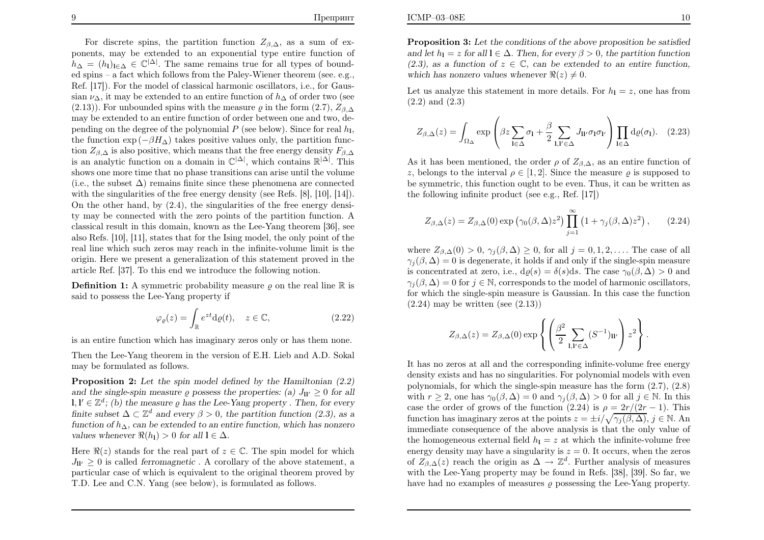ICMP–03–08E

For discrete spins, the partition function  $Z_{\beta,\Delta}$ , as a sum of ex- ponents, may be extended to an exponential type entire function of $h_{\Delta} = (h_1)_{1 \in \Delta} \in \mathbb{C}^{|\Delta|}$ . The same remains true for all types of bound-<br>administration for the linear frame the Delay Winner theorem (as a graph) ed spins – a fact which follows from the Paley-Wiener theorem (see. e.g.,  $R_{\rm cf}$ , [17]). For the model of classical homogrie assillators i.e. for Cause Ref. [17]). For the model of classical harmonic oscillators, i.e., for Gaussian  $\nu_{\Delta}$ , it may be extended to an entire function of  $h_{\Delta}$  of order two (see (2.13)). For unbounded spins with the measure  $\varrho$  in the form (2.7),  $Z_{\beta,\Delta}$  may be extended to an entire function of order between one and two, depending on the degree of the polynomial  $P$  (see below). Since for real  $h_1$ , the function  $\exp\left(-\beta H_\Delta\right)$  takes positive values only, the partition function  $Z_{\beta,\Delta}$  is also positive, which means that the free energy density  $F_{\beta,\Delta}$ <br>is an explicitly function and density  $\mathcal{L}^{|\Delta|}$  which contains  $\mathbb{R}^{|\Delta|}$ . This is an analytic function on a domain in  $\mathbb{C}^{|\Delta|}$ , which contains  $\mathbb{R}^{|\Delta|}$ . This shows one more time that no phase transitions can arise until the volume(i.e., the subset  $\Delta$ ) remains finite since these phenomena are connected with the singularities of the free energy density (see Refs. [8], [10], [14]). On the other hand, by (2.4), the singularities of the free energy density may be connected with the zero points of the partition function. A classical result in this domain, known as the Lee-Yang theorem [36], see also Refs. [10], [11], states that for the Ising model, the only point of the real line which such zeros may reach in the infinite-volume limit is the origin. Here we present <sup>a</sup> generalization of this statement proved in thearticle Ref. [37]. To this end we introduce the following notion.

**Definition 1:** A symmetric probability measure  $\varrho$  on the real line  $\mathbb{R}$  is said to possess the Lee-Yang property if

$$
\varphi_{\varrho}(z) = \int_{\mathbb{R}} e^{zt} \mathrm{d}\varrho(t), \quad z \in \mathbb{C}, \tag{2.22}
$$

is an entire function which has imaginary zeros only or has them none.

Then the Lee-Yang theorem in the version of E.H. Lieb and A.D. Sokal may be formulated as follows.

Proposition 2: Let the spin model defined by the Hamiltonian  $(2.2)$ and the single-spin measure  $\varrho$  possess the properties: (a)  $J_{\rm H'} \geq 0$  for all  $J' \in \mathbb{Z}^d$ , (b) the property of the Lee Yeu property  $\mathbb{Z}^d$  for example  $\mathbf{l}, \mathbf{l}' \in \mathbb{Z}^d$ ; (b) the measure  $\varrho$  has the Lee-Yang property . Then, for every finite subset  $\Delta \subset \mathbb{Z}^d$  and every  $\beta > 0$ , the partition function (2.3), as a function of  $h_{\Delta}$ , can be extended to an entire function, which has nonzero values whenever  $\Re(h_1) > 0$  for all  $l \in \Delta$ .

Here  $\Re(z)$  stands for the real part of  $z \in \mathbb{C}$ . The spin model for which  $J_{\parallel \nu} \geq 0$  is called *ferromagnetic*. A corollary of the above statement, a particular case of which is equivalent to the original theorem proved byT.D. Lee and C.N. Yang (see below), is formulated as follows.

**Proposition 3:** Let the conditions of the above proposition be satisfied and let  $h_1 = z$  for all  $1 \in \Delta$ . Then, for every  $\beta > 0$ , the partition function (2.3), as a function of  $z \in \mathbb{C}$ , can be extended to an entire function, which has nonzero values whenever  $\Re(z) \neq 0$ .

Let us analyze this statement in more details. For  $h_1 = z$ , one has from (2.2) and (2.3)

$$
Z_{\beta,\Delta}(z) = \int_{\Omega_{\Delta}} \exp\left(\beta z \sum_{\mathbf{l} \in \Delta} \sigma_{\mathbf{l}} + \frac{\beta}{2} \sum_{\mathbf{l}, \mathbf{l}' \in \Delta} J_{\mathbf{l} \mathbf{l}'} \sigma_{\mathbf{l}} \sigma_{\mathbf{l}'}\right) \prod_{\mathbf{l} \in \Delta} d\varrho(\sigma_{\mathbf{l}}). \quad (2.23)
$$

As it has been mentioned, the order  $\rho$  of  $Z_{\beta,\Delta}$ , as an entire function of z, belongs to the interval  $\rho \in [1, 2]$ . Since the measure  $\varrho$  is supposed to be symmetric, this function ought to be even. Thus, it can be written asthe following infinite product (see e.g., Ref. [17])

$$
Z_{\beta,\Delta}(z) = Z_{\beta,\Delta}(0) \exp \left( \gamma_0(\beta,\Delta) z^2 \right) \prod_{j=1}^{\infty} \left( 1 + \gamma_j(\beta,\Delta) z^2 \right), \quad (2.24)
$$

where  $Z_{\beta,\Delta}(0) > 0$ ,  $\gamma_j(\beta,\Delta) \geq 0$ , for all  $j = 0, 1, 2, \ldots$ . The case of all  $\gamma_j(\beta, \Delta) = 0$  is degenerate, it holds if and only if the single-spin measure is concentrated at zero, i.e.,  $d\varrho(s) = \delta(s)ds$ . The case  $\gamma_0(\beta, \Delta) > 0$  and  $\gamma_j(\beta, \Delta) = 0$  for  $j \in \mathbb{N}$ , corresponds to the model of harmonic oscillators, for which the single-spin measure is Gaussian. In this case the function $(2.24)$  may be written (see  $(2.13)$ )

$$
Z_{\beta,\Delta}(z) = Z_{\beta,\Delta}(0) \exp\left\{ \left( \frac{\beta^2}{2} \sum_{\mathbf{l},\mathbf{l}' \in \Delta} (S^{-1})_{\mathbf{l}\mathbf{l}'} \right) z^2 \right\}
$$

It has no zeros at all and the corresponding infinite-volume free energy density exists and has no singularities. For polynomial models with evenpolynomials, for which the single-spin measure has the form  $(2.7)$ ,  $(2.8)$ with  $r \geq 2$ , one has  $\gamma_0(\beta, \Delta) = 0$  and  $\gamma_j(\beta, \Delta) > 0$  for all  $j \in \mathbb{N}$ . In this case the order of grows of the function  $(2.24)$  is  $\rho = 2r/(2r - 1)$ . This function has imaginary zeros at the points  $z = \pm i/\sqrt{\gamma_j(\beta, \Delta)}$ ,  $j \in \mathbb{N}$ . An immediate consequence of the above analysis is that the only value of the homogeneous external field  $h_1 = z$  at which the infinite-volume free energy density may have a singularity is  $z = 0$ . It occurs, when the zeros of  $Z_{\beta,\Delta}(z)$  reach the origin as  $\Delta \to \mathbb{Z}^d$ . Further analysis of measures with the Lee-Yang property may be found in Refs. [38], [39]. So far, wehave had no examples of measures  $\varrho$  possessing the Lee-Yang property.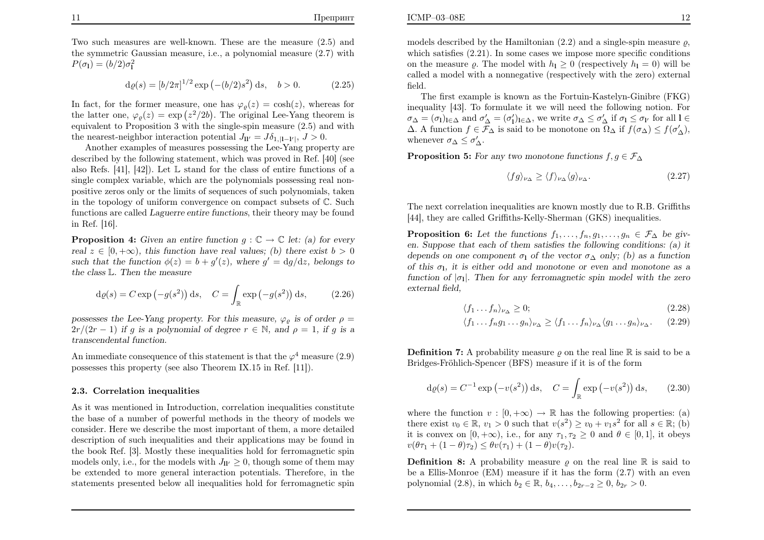Two such measures are well-known. These are the measure (2.5) and the symmetric Gaussian measure, i.e., <sup>a</sup> polynomial measure (2.7) with $P(\sigma_{\bf l})=(b/2)\sigma_{\bf l}^2$ 

$$
d\varrho(s) = [b/2\pi]^{1/2} \exp(-(b/2)s^2) ds, \quad b > 0.
$$
 (2.25)

In fact, for the former measure, one has  $\varphi_{\varrho}(z) = \cosh(z)$ , whereas for the latter one,  $\varphi_{\varrho}(z) = \exp(z^2/2b)$ . The original Lee-Yang theorem is equivalent to Proposition <sup>3</sup> with the single-spin measure (2.5) and withthe nearest-neighbor interaction potential  $J_{\mathbf{ll'}} = J\delta_{1,|\mathbf{l}-\mathbf{l'}|}, J > 0.$ 

 Another examples of measures possessing the Lee-Yang property are described by the following statement, which was proved in Ref. [40] (seealso Refs.  $[41]$ ,  $[42]$ ). Let  $\mathbb L$  stand for the class of entire functions of a single complex variable, which are the polynomials possessing real nonpositive zeros only or the limits of sequences of such polynomials, taken in the topology of uniform convergence on compact subsets ofC. Suchfunctions are called *Laguerre entire functions*, their theory may be found in Ref. [16].

**Proposition 4:** Given an entire function  $g : \mathbb{C} \to \mathbb{C}$  let: (a) for every real  $z \in [0, +\infty)$ , this function have real values; (b) there exist  $b > 0$ such that the function  $\phi(z) = b + g'(z)$ , where  $g' = dg/dz$ , belongs to the class  $\mathbb{L}.$  Then the measure

$$
d\varrho(s) = C \exp(-g(s^2)) ds, \quad C = \int_{\mathbb{R}} \exp(-g(s^2)) ds, \quad (2.26)
$$

possesses the Lee-Yang property. For this measure,  $\varphi_{\varrho}$  is of order  $\rho =$  $2r/(2r-1)$  if g is a polynomial of degree  $r \in \mathbb{N}$ , and  $\rho = 1$ , if g is a transcendental function.

An immediate consequence of this statement is that the  $\varphi^4$  measure (2.9) possesses this property (see also Theorem IX.15 in Ref. [11]).

#### 2.3. Correlation inequalities

As it was mentioned in Introduction, correlation inequalities constitute the base of <sup>a</sup> number of powerful methods in the theory of models we consider. Here we describe the most important of them, <sup>a</sup> more detailed description of such inequalities and their applications may be found in the book Ref. [3]. Mostly these inequalities hold for ferromagnetic spinmodels only, i.e., for the models with  $J_{\text{II}'} \geq 0$ , though some of them may be extended to more general interaction potentials. Therefore, in thestatements presented below all inequalities hold for ferromagnetic spin

models described by the Hamiltonian  $(2.2)$  and a single-spin measure  $\rho$ , which satisfies  $(2.21)$ . In some cases we impose more specific conditions on the measure  $\varrho$ . The model with  $h_1 \geq 0$  (respectively  $h_1 = 0$ ) will be called <sup>a</sup> model with <sup>a</sup> nonnegative (respectively with the zero) externalfield.

 The first example is known as the Fortuin-Kastelyn-Ginibre (FKG) inequality [43]. To formulate it we will need the following notion. For $\sigma_{\Delta} = (\sigma_1)_{1 \in \Delta}$  and  $\sigma'_{\Delta} = (\sigma'_1)_{1 \in \Delta}$ , we write  $\sigma_{\Delta} \leq \sigma'_{\Delta}$  if  $\sigma_1 \leq \sigma_{1'}$  for all  $1 \in \Delta$ .  $\Delta$ . A function  $f \in \mathcal{F}_{\Delta}$  is said to be monotone on  $\Omega_{\Delta}$  if  $f(\sigma_{\Delta}) \leq f(\sigma'_{\Delta}),$ whenever  $\sigma_{\Delta} \leq \sigma'_{\Delta}$ .

**Proposition 5:** For any two monotone functions  $f, g \in \mathcal{F}_{\Delta}$ 

$$
\langle fg \rangle_{\nu_{\Delta}} \ge \langle f \rangle_{\nu_{\Delta}} \langle g \rangle_{\nu_{\Delta}}.\tag{2.27}
$$

The next correlation inequalities are known mostly due to R.B. Griffiths[44], they are called Griffiths-Kelly-Sherman (GKS) inequalities.

**Proposition 6:** Let the functions  $f_1, \ldots, f_n, g_1, \ldots, g_n \in \mathcal{F}_{\Delta}$  be giv-<br>real function of the set of the set of the following conditions (a) it en. Suppose that each of them satisfies the following conditions: (a) itdepends on one component  $\sigma_1$  of the vector  $\sigma_{\Delta}$  only; (b) as a function of this  $\sigma_1$ , it is either odd and monotone or even and monotone as a function of  $|\sigma_1|$ . Then for any ferromagnetic spin model with the zero external field,

$$
\langle f_1 \dots f_n \rangle_{\nu_\Delta} \ge 0; \tag{2.28}
$$

$$
\langle f_1 \dots f_n g_1 \dots g_n \rangle_{\nu_{\Delta}} \ge \langle f_1 \dots f_n \rangle_{\nu_{\Delta}} \langle g_1 \dots g_n \rangle_{\nu_{\Delta}}.
$$
 (2.29)

**Definition 7:** A probability measure  $\varrho$  on the real line  $\mathbb R$  is said to be a Bridges-Fröhlich-Spencer (BFS) measure if it is of the form

$$
\mathrm{d}\varrho(s) = C^{-1} \exp\left(-v(s^2)\right) \mathrm{d}s, \quad C = \int_{\mathbb{R}} \exp\left(-v(s^2)\right) \mathrm{d}s,\tag{2.30}
$$

where the function  $v : [0, +\infty) \to \mathbb{R}$  has the following properties: (a) there exist  $v_0 \in \mathbb{R}$ ,  $v_1 > 0$  such that  $v(s^2) \ge v_0 + v_1 s^2$  for all  $s \in \mathbb{R}$ ; (b) it is convex on  $[0, +\infty)$ , i.e., for any  $\tau_1, \tau_2 \ge 0$  and  $\theta \in [0, 1]$ , it obeys  $v(\theta \tau_1 + (1 - \theta)\tau_2) \leq \theta v(\tau_1) + (1 - \theta)v(\tau_2).$ 

**Definition 8:** A probability measure  $\varrho$  on the real line  $\mathbb{R}$  is said to be <sup>a</sup> Ellis-Monroe (EM) measure if it has the form (2.7) with an even polynomial (2.8), in which  $b_2 \in \mathbb{R}$ ,  $b_4, \ldots, b_{2r-2} \ge 0$ ,  $b_{2r} > 0$ .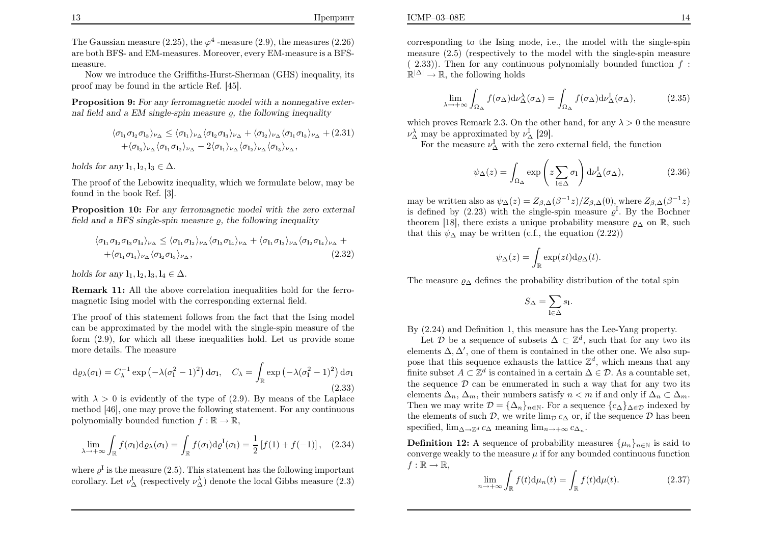The Gaussian measure (2.25), the  $\varphi^4$  -measure (2.9), the measures (2.26) are both BFS- and EM-measures. Moreover, every EM-measure is <sup>a</sup> BFSmeasure.

Now we introduce the Griffiths-Hurst-Sherman (GHS) inequality, itsproof may be found in the article Ref. [45].

Proposition 9: For any ferromagnetic model with a nonnegative external field and a EM single-spin measure  $\varrho$ , the following inequality

$$
\langle \sigma_{1_1} \sigma_{1_2} \sigma_{1_3} \rangle_{\nu_{\Delta}} \leq \langle \sigma_{1_1} \rangle_{\nu_{\Delta}} \langle \sigma_{1_2} \sigma_{1_3} \rangle_{\nu_{\Delta}} + \langle \sigma_{1_2} \rangle_{\nu_{\Delta}} \langle \sigma_{1_1} \sigma_{1_3} \rangle_{\nu_{\Delta}} + (2.31)
$$
  
+ $\langle \sigma_{1_3} \rangle_{\nu_{\Delta}} \langle \sigma_{1_1} \sigma_{1_2} \rangle_{\nu_{\Delta}} - 2 \langle \sigma_{1_1} \rangle_{\nu_{\Delta}} \langle \sigma_{1_2} \rangle_{\nu_{\Delta}} \langle \sigma_{1_3} \rangle_{\nu_{\Delta}},$ 

holds for any  $\mathbf{l}_1, \mathbf{l}_2, \mathbf{l}_3 \in \Delta$ .

The proof of the Lebowitz inequality, which we formulate below, may befound in the book Ref. [3].

Proposition 10: For any ferromagnetic model with the zero external field and a BFS single-spin measure  $\varrho$ , the following inequality

$$
\langle \sigma_{1_1} \sigma_{1_2} \sigma_{1_3} \sigma_{1_4} \rangle_{\nu_{\Delta}} \leq \langle \sigma_{1_1} \sigma_{1_2} \rangle_{\nu_{\Delta}} \langle \sigma_{1_3} \sigma_{1_4} \rangle_{\nu_{\Delta}} + \langle \sigma_{1_1} \sigma_{1_3} \rangle_{\nu_{\Delta}} \langle \sigma_{1_2} \sigma_{1_4} \rangle_{\nu_{\Delta}} + + \langle \sigma_{1_1} \sigma_{1_4} \rangle_{\nu_{\Delta}} \langle \sigma_{1_2} \sigma_{1_3} \rangle_{\nu_{\Delta}},
$$
\n(2.32)

holds for any  $\mathbf{l}_1, \mathbf{l}_2, \mathbf{l}_3, \mathbf{l}_4 \in \Delta$ .

**Remark 11:** All the above correlation inequalities hold for the ferromagnetic Ising model with the corresponding external field.

The proof of this statement follows from the fact that the Ising modelcan be approximated by the model with the single-spin measure of the form (2.9), for which all these inequalities hold. Let us provide somemore details. The measure

$$
d\varrho_{\lambda}(\sigma_{\mathbf{I}}) = C_{\lambda}^{-1} \exp\left(-\lambda(\sigma_{\mathbf{I}}^2 - 1)^2\right) d\sigma_{\mathbf{I}}, \quad C_{\lambda} = \int_{\mathbb{R}} \exp\left(-\lambda(\sigma_{\mathbf{I}}^2 - 1)^2\right) d\sigma_{\mathbf{I}} \tag{2.33}
$$

with  $\lambda > 0$  is evidently of the type of (2.9). By means of the Laplace method [46], one may prove the following statement. For any continuouspolynomially bounded function  $f : \mathbb{R} \to \mathbb{R}$ ,

$$
\lim_{\lambda \to +\infty} \int_{\mathbb{R}} f(\sigma_1) d\rho_\lambda(\sigma_1) = \int_{\mathbb{R}} f(\sigma_1) d\rho^{\mathcal{I}}(\sigma_1) = \frac{1}{2} \left[ f(1) + f(-1) \right], \quad (2.34)
$$

where  $\varrho^I$  is the measure (2.5). This statement has the following important corollary. Let  $\nu_{\Delta}^{\text{I}}$  (respectively  $\nu_{\Delta}^{\lambda}$ ) denote the local Gibbs measure (2.3)

corresponding to the Ising mode, i.e., the model with the single-spin measure (2.5) (respectively to the model with the single-spin measure $(2.33)$ . Then for any continuous polynomially bounded function  $f$ :  $\mathbb{R}^{|\Delta|} \to \mathbb{R}$ , the following holds

$$
\lim_{\lambda \to +\infty} \int_{\Omega_{\Delta}} f(\sigma_{\Delta}) d\nu_{\Delta}^{\lambda}(\sigma_{\Delta}) = \int_{\Omega_{\Delta}} f(\sigma_{\Delta}) d\nu_{\Delta}^{I}(\sigma_{\Delta}), \tag{2.35}
$$

which proves Remark 2.3. On the other hand, for any  $\lambda > 0$  the measure  $\nu_{\Delta}^{\lambda}$  may be approximated by  $\nu_{\Delta}^{I}$  [29].<br>For the measure  $\nu_{\Delta}^{I}$  with the zero

For the measure  $\nu_{\Delta}^{\mathcal{I}}$  with the zero external field, the function

$$
\psi_{\Delta}(z) = \int_{\Omega_{\Delta}} \exp\left(z \sum_{\mathbf{l} \in \Delta} \sigma_{\mathbf{l}}\right) d\nu_{\Delta}^{\mathbf{l}}(\sigma_{\Delta}), \tag{2.36}
$$

may be written also as  $\psi_{\Delta}(z) = Z_{\beta,\Delta}(\beta^{-1}z)/Z_{\beta,\Delta}(0)$ , where  $Z_{\beta,\Delta}(\beta^{-1}z)$ is defined by (2.23) with the single-spin measure  $\varrho^I$ . By the Bochner theorem [18], there exists a unique probability measure  $\rho_{\Delta}$  on  $\mathbb{R}$ , such that this  $\psi_{\Delta}$  measure  $(s, f, h)$  a specifier  $(0, 20)$ that this  $\psi_{\Delta}$  may be written (c.f., the equation (2.22))

$$
\psi_{\Delta}(z) = \int_{\mathbb{R}} \exp(zt) \mathrm{d}\varrho_{\Delta}(t).
$$

The measure  $\varrho_{\Delta}$  defines the probability distribution of the total spin

$$
S_{\Delta} = \sum_{\mathbf{l} \in \Delta} s_{\mathbf{l}}.
$$

By (2.24) and Definition 1, this measure has the Lee-Yang property.

Let D be a sequence of subsets  $\Delta \subset \mathbb{Z}^d$ , such that for any two its elements  $\Delta, \Delta'$ , one of them is contained in the other one. We also suppose that this sequence exhausts the lattice  $\mathbb{Z}^d$ , which means that any finite subset  $A \subset \mathbb{Z}^d$  is contained in a certain  $\Delta \in \mathcal{D}$ . As a countable set, the sequence  $\mathcal{D}$  can be enumerated in such a way that for any two its elements  $\Delta_n$ ,  $\Delta_m$ , their numbers satisfy  $n < m$  if and only if  $\Delta_n \subset \Delta_m$ .<br>Then we may write  $\mathcal{D} = \{\Delta_n\}$  For a sequence  $\{e_n\}$  independent Then we may write  $\mathcal{D} = {\{\Delta_n\}}_{n \in \mathbb{N}}$ . For a sequence  ${c_{\Delta}\}_{\Delta \in \mathcal{D}}$  indexed by the elements of such  $\mathcal{D}$ , we write  $\lim_{\mathcal{D}} c_{\Delta}$  or, if the sequence  $\mathcal{D}$  has been specified,  $\lim_{\Delta \to \mathbb{Z}^d} c_{\Delta}$  meaning  $\lim_{n \to +\infty} c_{\Delta_n}$ .

**Definition 12:** A sequence of probability measures  $\{\mu_n\}_{n\in\mathbb{N}}$  is said to converge weakly to the measure  $\mu$  if for any bounded continuous function  $f:\mathbb{R}\to\mathbb{R},$ 

$$
\lim_{n \to +\infty} \int_{\mathbb{R}} f(t) \mathrm{d}\mu_n(t) = \int_{\mathbb{R}} f(t) \mathrm{d}\mu(t).
$$
 (2.37)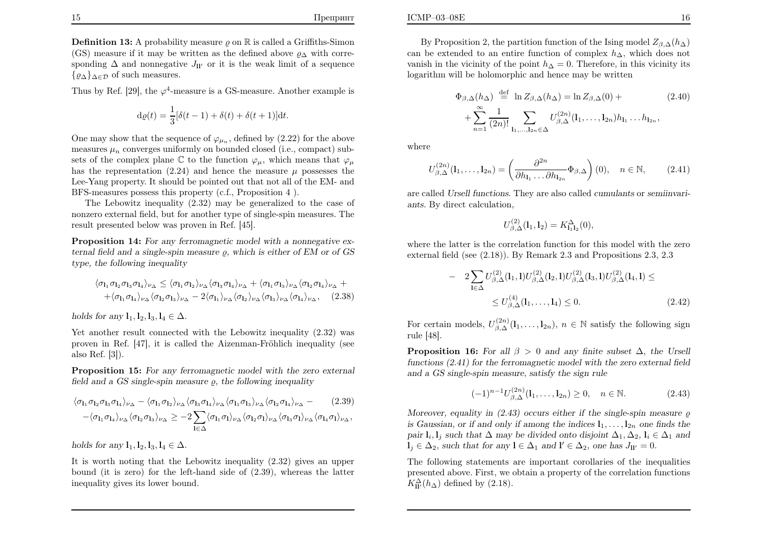Thus by Ref. [29], the  $\varphi^4$ -measure is a GS-measure. Another example is

$$
\mathrm{d}\varrho(t) = \frac{1}{3} [\delta(t-1) + \delta(t) + \delta(t+1)] \mathrm{d}t.
$$

One may show that the sequence of  $\varphi_{\mu_n}$ , defined by (2.22) for the above measures  $\mu_n$  converges uniformly on bounded closed (i.e., compact) subsets of the complex plane  $\mathbb C$  to the function  $\varphi_\mu$ , which means that  $\varphi_\mu$ has the representation  $(2.24)$  and hence the measure  $\mu$  possesses the Lee-Yang property. It should be pointed out that not all of the EM- andBFS-measures possess this property (c.f., Proposition <sup>4</sup> ).

 The Lebowitz inequality (2.32) may be generalized to the case of nonzero external field, but for another type of single-spin measures. Theresult presented below was proven in Ref. [45].

Proposition 14: For any ferromagnetic model with a nonnegative external field and a single-spin measure  $\varrho,$  which is either of EM or of GS type, the following inequality

$$
\langle \sigma_{1_1} \sigma_{1_2} \sigma_{1_3} \sigma_{1_4} \rangle_{\nu_{\Delta}} \leq \langle \sigma_{1_1} \sigma_{1_2} \rangle_{\nu_{\Delta}} \langle \sigma_{1_3} \sigma_{1_4} \rangle_{\nu_{\Delta}} + \langle \sigma_{1_1} \sigma_{1_3} \rangle_{\nu_{\Delta}} \langle \sigma_{1_2} \sigma_{1_4} \rangle_{\nu_{\Delta}} + + \langle \sigma_{1_1} \sigma_{1_4} \rangle_{\nu_{\Delta}} \langle \sigma_{1_2} \sigma_{1_3} \rangle_{\nu_{\Delta}} - 2 \langle \sigma_{1_1} \rangle_{\nu_{\Delta}} \langle \sigma_{1_2} \rangle_{\nu_{\Delta}} \langle \sigma_{1_3} \rangle_{\nu_{\Delta}} \langle \sigma_{1_4} \rangle_{\nu_{\Delta}}, \quad (2.38)
$$

holds for any  $\mathbf{l}_1, \mathbf{l}_2, \mathbf{l}_3, \mathbf{l}_4 \in \Delta$ .

Yet another result connected with the Lebowitz inequality (2.32) wasproven in Ref. [47], it is called the Aizenman-Fröhlich inequality (see also Ref. [3]).

Proposition 15: For any ferromagnetic model with the zero external field and a GS single-spin measure  $\varrho$ , the following inequality

$$
\langle \sigma_{l_1} \sigma_{l_2} \sigma_{l_3} \sigma_{l_4} \rangle_{\nu_{\Delta}} - \langle \sigma_{l_1} \sigma_{l_2} \rangle_{\nu_{\Delta}} \langle \sigma_{l_3} \sigma_{l_4} \rangle_{\nu_{\Delta}} \langle \sigma_{l_1} \sigma_{l_3} \rangle_{\nu_{\Delta}} \langle \sigma_{l_2} \sigma_{l_4} \rangle_{\nu_{\Delta}} - (2.39)
$$

$$
-\langle \sigma_{l_1} \sigma_{l_4} \rangle_{\nu_{\Delta}} \langle \sigma_{l_2} \sigma_{l_3} \rangle_{\nu_{\Delta}} \ge -2 \sum_{l \in \Delta} \langle \sigma_{l_1} \sigma_{l} \rangle_{\nu_{\Delta}} \langle \sigma_{l_2} \sigma_{l} \rangle_{\nu_{\Delta}} \langle \sigma_{l_3} \sigma_{l} \rangle_{\nu_{\Delta}} \langle \sigma_{l_4} \sigma_{l} \rangle_{\nu_{\Delta}},
$$

holds for any  $\mathbf{l}_1, \mathbf{l}_2, \mathbf{l}_3, \mathbf{l}_4 \in \Delta$ .

It is worth noting that the Lebowitz inequality (2.32) <sup>g</sup>ives an upper bound (it is zero) for the left-hand side of (2.39), whereas the latterinequality gives its lower bound.

By Proposition 2, the partition function of the Ising model  $Z_{\beta,\Delta}(h_{\Delta})$ can be extended to an entire function of complex  $h<sub>\Delta</sub>$ , which does not vanish in the vicinity of the point  $h_{\Delta} = 0$ . Therefore, in this vicinity its<br>learnithm will be helper such have more hearitten logarithm will be holomorphic and hence may be written

$$
\Phi_{\beta,\Delta}(h_{\Delta}) \stackrel{\text{def}}{=} \ln Z_{\beta,\Delta}(h_{\Delta}) = \ln Z_{\beta,\Delta}(0) +
$$
\n
$$
+ \sum_{n=1}^{\infty} \frac{1}{(2n)!} \sum_{\mathbf{l}_1, \dots, \mathbf{l}_{2n} \in \Delta} U_{\beta,\Delta}^{(2n)}(\mathbf{l}_1, \dots, \mathbf{l}_{2n}) h_{\mathbf{l}_1} \dots h_{\mathbf{l}_{2n}},
$$
\n(2.40)

where

$$
U_{\beta,\Delta}^{(2n)}(l_1,\ldots,l_{2n}) = \left(\frac{\partial^{2n}}{\partial h_{l_1}\ldots\partial h_{l_{2n}}}\Phi_{\beta,\Delta}\right)(0), \quad n \in \mathbb{N},\qquad(2.41)
$$

are called Ursell functions. They are also called cumulants or semiinvariants. By direct calculation,

$$
U_{\beta,\Delta}^{(2)}(\mathbf{l}_1,\mathbf{l}_2) = K_{\mathbf{l}_1\mathbf{l}_2}^{\Delta}(0),
$$

where the latter is the correlation function for this model with the zeroexternal field (see (2.18)). By Remark 2.3 and Propositions 2.3, 2.3

$$
- 2\sum_{\mathbf{l}\in\Delta} U_{\beta,\Delta}^{(2)}(\mathbf{l}_1,\mathbf{l})U_{\beta,\Delta}^{(2)}(\mathbf{l}_2,\mathbf{l})U_{\beta,\Delta}^{(2)}(\mathbf{l}_3,\mathbf{l})U_{\beta,\Delta}^{(2)}(\mathbf{l}_4,\mathbf{l}) \le
$$
  
 
$$
\leq U_{\beta,\Delta}^{(4)}(\mathbf{l}_1,\ldots,\mathbf{l}_4) \leq 0.
$$
 (2.42)

For certain models,  $U_{\beta,\Delta}^{(2n)}(l_1,\ldots,l_{2n})$ ,  $n \in \mathbb{N}$  satisfy the following sign rule [48] rule [48].

**Proposition 16:** For all  $\beta > 0$  and any finite subset  $\Delta$ , the Ursell functions (2.41) for the ferromagnetic model with the zero external fieldand <sup>a</sup> GS single-spin measure, satisfy the sign rule

$$
(-1)^{n-1}U_{\beta,\Delta}^{(2n)}(l_1,\ldots,l_{2n}) \ge 0, \quad n \in \mathbb{N}.
$$
 (2.43)

Moreover, equality in  $(2.43)$  occurs either if the single-spin measure  $\varrho$ is Gaussian, or if and only if among the indices  $l_1, \ldots, l_{2n}$  one finds the pair  $l_i, l_j$  such that  $\Delta$  may be divided onto disjoint  $\Delta_1, \Delta_2, l_i \in \Delta_1$  and  $l_i \in \Delta_1$  and  $l_i \in \Delta_2$  and  $l_i \in \Delta_1$  and  $l_i \in \Delta_2$  and  $l_i \in \Delta_1$  and  $l_i \in \Delta_2$  and  $l_i \in \Delta_1$  and  $l_i \in \Delta_2$  and  $l_i \in \Delta_1$  and  $l_i \$  $l_j \in \Delta_2$ , such that for any  $l \in \Delta_1$  and  $l' \in \Delta_2$ , one has  $J_{ll'} = 0$ .

The following statements are important corollaries of the inequalities presented above. First, we obtain <sup>a</sup> property of the correlation functions $K_{\text{II}'}^{\Delta}(h_{\Delta})$  defined by (2.18).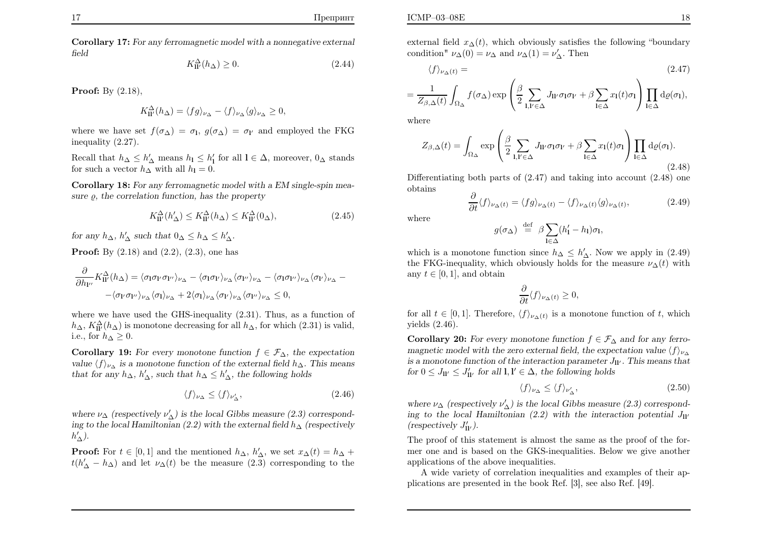ICMP–03–08E

Corollary 17: For any ferromagnetic model with <sup>a</sup> nonnegative external field

$$
K_{\mathrm{II}'}^{\Delta}(h_{\Delta}) \ge 0. \tag{2.44}
$$

**Proof:** By  $(2.18)$ ,

$$
K_{\Pi'}^{\Delta}(h_{\Delta}) = \langle fg \rangle_{\nu_{\Delta}} - \langle f \rangle_{\nu_{\Delta}} \langle g \rangle_{\nu_{\Delta}} \ge 0,
$$

where we have set  $f(\sigma_{\Delta}) = \sigma_{\mathbf{l}}, g(\sigma_{\Delta}) = \sigma_{\mathbf{l}'}$  and employed the FKG inequality (2.27).

Recall that  $h_{\Delta} \leq h'_{\Delta}$  means  $h_1 \leq h'_1$  for all  $1 \in \Delta$ , moreover,  $0_{\Delta}$  stands for such a vector  $h_{\Delta}$  with all  $h_{\Delta} = 0$ for such a vector  $h_{\Delta}$  with all  $h_{\mathbf{l}} = 0$ .

Corollary 18: For any ferromagnetic model with <sup>a</sup> EM single-spin measure  $\rho$ , the correlation function, has the property

$$
K_{\mathbf{ll'}}^{\Delta}(h'_{\Delta}) \le K_{\mathbf{ll'}}^{\Delta}(h_{\Delta}) \le K_{\mathbf{ll'}}^{\Delta}(0_{\Delta}),\tag{2.45}
$$

for any  $h_{\Delta}$ ,  $h'_{\Delta}$  such that  $0_{\Delta} \leq h_{\Delta} \leq h'_{\Delta}$ .

**Proof:** By  $(2.18)$  and  $(2.2)$ ,  $(2.3)$ , one has

$$
\frac{\partial}{\partial h_{\mathcal{V}'}} K_{\mathcal{H}'}^{\Delta}(h_{\Delta}) = \langle \sigma_{\mathcal{I}} \sigma_{\mathcal{I}'} \sigma_{\mathcal{V}'} \rangle_{\nu_{\Delta}} - \langle \sigma_{\mathcal{I}} \sigma_{\mathcal{I}'} \rangle_{\nu_{\Delta}} \langle \sigma_{\mathcal{I}''} \rangle_{\nu_{\Delta}} - \langle \sigma_{\mathcal{I}} \sigma_{\mathcal{I}''} \rangle_{\nu_{\Delta}} \langle \sigma_{\mathcal{I}'} \rangle_{\nu_{\Delta}} - \langle \sigma_{\mathcal{I}'} \sigma_{\mathcal{I}''} \rangle_{\nu_{\Delta}} \langle \sigma_{\mathcal{I}'} \rangle_{\nu_{\Delta}} + 2 \langle \sigma_{\mathcal{I}} \rangle_{\nu_{\Delta}} \langle \sigma_{\mathcal{I}'} \rangle_{\nu_{\Delta}} \langle \sigma_{\mathcal{I}''} \rangle_{\nu_{\Delta}} \leq 0,
$$

where we have used the GHS-inequality  $(2.31)$ . Thus, as a function of  $h_{\Delta}$ ,  $K_{\Pi'}^{\Delta}(h_{\Delta})$  is monotone decreasing for all  $h_{\Delta}$ , for which (2.31) is valid, i.e., for  $h_{\Delta}\geq 0$ .

**Corollary 19:** For every monotone function  $f \in \mathcal{F}_{\Delta}$ , the expectation value  $\langle f \rangle_{\nu_{\Delta}}$  is a monotone function of the external field  $h_{\Delta}$ . This means that for any  $h_{\Delta}$ ,  $h'_{\Delta}$ , such that  $h_{\Delta} \leq h'_{\Delta}$ , the following holds

$$
\langle f \rangle_{\nu_{\Delta}} \le \langle f \rangle_{\nu'_{\Delta}},\tag{2.46}
$$

where  $\nu_{\Delta}$  (respectively  $\nu'_{\Delta}$ ) is the local Gibbs measure (2.3) correspond-<br>is n to the local Hamiltonian (2.2) with the actual field by (corresponding to the local Hamiltonian (2.2) with the external field  $h_{\Delta}$  (respectively  $h_{\Delta}^{\prime}$ ).

**Proof:** For  $t \in [0,1]$  and the mentioned  $h_{\Delta}, h'_{\Delta}$ , we set  $x_{\Delta}(t) = h_{\Delta} +$  $t(h'_{\Delta} - h_{\Delta})$  and let  $\nu_{\Delta}(t)$  be the measure (2.3) corresponding to the

$$
\langle f \rangle_{\nu_{\Delta}(t)} = \tag{2.47}
$$

$$
= \frac{1}{Z_{\beta,\Delta}(t)} \int_{\Omega_{\Delta}} f(\sigma_{\Delta}) \exp \left( \frac{\beta}{2} \sum_{\mathbf{l},\mathbf{l}' \in \Delta} J_{\mathbf{l}\mathbf{l}'} \sigma_{\mathbf{l}} \sigma_{\mathbf{l}'} + \beta \sum_{\mathbf{l} \in \Delta} x_{\mathbf{l}}(t) \sigma_{\mathbf{l}} \right) \prod_{\mathbf{l} \in \Delta} d\varrho(\sigma_{\mathbf{l}}),
$$

where

$$
Z_{\beta,\Delta}(t) = \int_{\Omega_{\Delta}} \exp\left(\frac{\beta}{2} \sum_{\mathbf{l},\mathbf{l}' \in \Delta} J_{\mathbf{l}\mathbf{l}'} \sigma_{\mathbf{l}} \sigma_{\mathbf{l}'} + \beta \sum_{\mathbf{l} \in \Delta} x_{\mathbf{l}}(t) \sigma_{\mathbf{l}}\right) \prod_{\mathbf{l} \in \Delta} d\varrho(\sigma_{\mathbf{l}}).
$$
\n(2.48)

 Differentiating both parts of (2.47) and taking into account (2.48) oneobtains∂

$$
\frac{\partial}{\partial t}\langle f \rangle_{\nu_{\Delta}(t)} = \langle fg \rangle_{\nu_{\Delta}(t)} - \langle f \rangle_{\nu_{\Delta}(t)}\langle g \rangle_{\nu_{\Delta}(t)},\tag{2.49}
$$

where

$$
g(\sigma_{\Delta}) \stackrel{\text{def}}{=} \beta \sum_{\mathbf{l} \in \Delta} (h'_1 - h_1) \sigma_{\mathbf{l}},
$$

which is a monotone function since  $h_{\Delta} \leq h'_{\Delta}$ . Now we apply in (2.49) the FKG-inequality, which obviously holds for the measure  $\nu_{\Delta}(t)$  with any  $t \in [0, 1]$ , and obtain

$$
\frac{\partial}{\partial t}\langle f \rangle_{\nu_{\Delta}(t)} \ge 0,
$$

for all  $t \in [0, 1]$ . Therefore,  $\langle f \rangle_{\nu_{\Delta}(t)}$  is a monotone function of t, which <sup>y</sup>ields (2.46).

**Corollary 20:** For every monotone function  $f \in \mathcal{F}_{\Delta}$  and for any ferromagnetic model with the zero external field, the expectation value  $\langle f \rangle_{\nu\Delta}$ is a monotone function of the interaction parameter  $J_{ll'}$  . This means that for  $0 \leq J_{ll'} \leq J'_{ll'}$  for all  $l, l' \in \Delta$ , the following holds

$$
\langle f \rangle_{\nu_{\Delta}} \le \langle f \rangle_{\nu'_{\Delta}},\tag{2.50}
$$

where  $\nu_{\Delta}$  (respectively  $\nu'_{\Delta}$ ) is the local Gibbs measure (2.3) correspond-<br>is a theoretical Hamiltonian (2.3) with the interaction actual L ing to the local Hamiltonian (2.2) with the interaction potential  $J_{ll'}$ (respectively  $J'_{\mathbf{ll'}}$ ).

The proof of this statement is almost the same as the proof of the former one and is based on the GKS-inequalities. Below we give anotherapplications of the above inequalities.

 A wide variety of correlation inequalities and examples of their ap<sup>p</sup>lications are presented in the book Ref. [3], see also Ref. [49].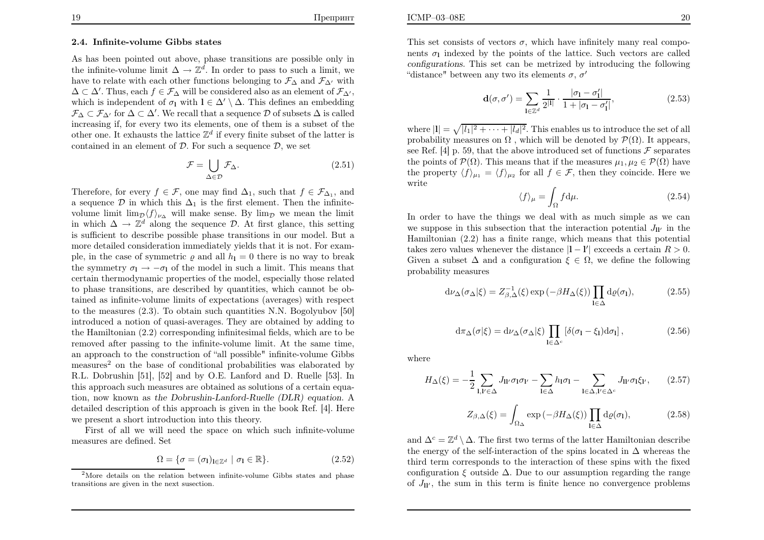#### 2.4. Infinite-volume Gibbs states

As has been pointed out above, <sup>p</sup>hase transitions are possible only inthe infinite-volume limit  $\Delta \to \mathbb{Z}^d$ . In order to pass to such a limit, we have to relate with each other functions belonging to  $\mathcal{F}_{\Delta}$  and  $\mathcal{F}_{\Delta'}$  with  $\Delta \subset \Delta'$ . Thus, each  $f \in \mathcal{F}_{\Delta}$  will be considered also as an element of  $\mathcal{F}_{\Delta'}$ , which is independent of  $\sigma_1$  with  $l \in \Delta' \setminus \Delta$ . This defines an embedding  $\mathcal{F}_{\Delta} \subset \mathcal{F}_{\Delta}$  for  $\Delta \subset \Delta'$ . We recall that a sequence D of subsets  $\Delta$  is called increasing if, for every two its elements, one of them is <sup>a</sup> subset of theother one. It exhausts the lattice  $\mathbb{Z}^d$  if every finite subset of the latter is contained in an element of  $D$ . For such a sequence  $D$ , we set

$$
\mathcal{F} = \bigcup_{\Delta \in \mathcal{D}} \mathcal{F}_{\Delta}.
$$
\n(2.51)

Therefore, for every  $f \in \mathcal{F}$ , one may find  $\Delta_1$ , such that  $f \in \mathcal{F}_{\Delta_1}$ , and a sequence  $\mathcal{D}$  in which this  $\Delta_1$  is the first element. Then the infinitevolume limit  $\lim_{\mathcal{D}} \langle f \rangle_{\nu_{\Delta}}$  will make sense. By  $\lim_{\mathcal{D}} p$  we mean the limit in which  $\Delta \to \mathbb{Z}^d$  along the sequence D. At first glance, this setting is sufficient to describe possible phase transitions in our model. But <sup>a</sup> more detailed consideration immediately yields that it is not. For example, in the case of symmetric  $\varrho$  and all  $h_1 = 0$  there is no way to break the symmetry  $\sigma_1 \rightarrow -\sigma_1$  of the model in such a limit. This means that certain thermodynamic properties of the model, especially those related to phase transitions, are described by quantities, which cannot be obtained as infinite-volume limits of expectations (averages) with respect to the measures (2.3). To obtain such quantities N.N. Bogolyubov [50] introduced <sup>a</sup> notion of quasi-averages. They are obtained by adding to the Hamiltonian (2.2) corresponding infinitesimal fields, which are to be removed after passing to the infinite-volume limit. At the same time,an approach to the construction of "all possible" infinite-volume Gibbsmeasures<sup>2</sup> on the base of conditional probabilities was elaborated by R.L. Dobrushin [51], [52] and by O.E. Lanford and D. Ruelle [53]. In this approach such measures are obtained as solutions of <sup>a</sup> certain equation, now known as the Dobrushin-Lanford-Ruelle (DLR) equation. <sup>A</sup> detailed description of this approac<sup>h</sup> is <sup>g</sup>iven in the book Ref. [4]. Herewe present <sup>a</sup> short introduction into this theory.

 First of all we will need the space on which such infinite-volumemeasures are defined. Set

$$
\Omega = \{ \sigma = (\sigma_1)_{1 \in \mathbb{Z}^d} \mid \sigma_1 \in \mathbb{R} \}. \tag{2.52}
$$

This set consists of vectors  $\sigma$ , which have infinitely many real components  $\sigma_1$  indexed by the points of the lattice. Such vectors are called configurations. This set can be metrized by introducing the following"distance" between any two its elements  $\sigma$ ,  $\sigma'$ 

$$
\mathbf{d}(\sigma,\sigma') = \sum_{\mathbf{l} \in \mathbb{Z}^d} \frac{1}{2^{|\mathbf{l}|}} \cdot \frac{|\sigma_{\mathbf{l}} - \sigma'_{\mathbf{l}}|}{1 + |\sigma_{\mathbf{l}} - \sigma'_{\mathbf{l}}|},\tag{2.53}
$$

where  $|\mathbf{l}| = \sqrt{|l_1|^2 + \cdots + |l_d|^2}$ . This enables us to introduce the set of all where  $|I| = \sqrt{|I|} = \cdots + |I_d|$ . This enables us to introduce the set of an<br>probability measures on  $\Omega$ , which will be denoted by  $\mathcal{P}(\Omega)$ . It appears, see Ref. [4] p. 59, that the above introduced set of functions  $\mathcal{F}$  separates the points of  $\mathcal{P}(\Omega)$ . This means that if the measures  $\mu_1, \mu_2 \in \mathcal{P}(\Omega)$  have the property  $\langle f \rangle_{\mu_1} = \langle f \rangle_{\mu_2}$  for all  $f \in \mathcal{F}$ , then they coincide. Here we write

$$
\langle f \rangle_{\mu} = \int_{\Omega} f \, \mathrm{d}\mu. \tag{2.54}
$$

 In order to have the things we deal with as much simple as we canwe suppose in this subsection that the interaction potential  $J_{ll'}$  in the Hamiltonian (2.2) has <sup>a</sup> finite range, which means that this potentialtakes zero values whenever the distance  $|1 - 1'|$  exceeds a certain  $R > 0$ . Given a subset  $\Delta$  and a configuration  $\xi \in \Omega$ , we define the following probability measures

$$
d\nu_{\Delta}(\sigma_{\Delta}|\xi) = Z_{\beta,\Delta}^{-1}(\xi) \exp(-\beta H_{\Delta}(\xi)) \prod_{l \in \Delta} d\rho(\sigma_l), \tag{2.55}
$$

$$
d\pi_{\Delta}(\sigma|\xi) = d\nu_{\Delta}(\sigma_{\Delta}|\xi) \prod_{I \in \Delta^c} \left[ \delta(\sigma_I - \xi_I) d\sigma_I \right],\tag{2.56}
$$

where

$$
H_{\Delta}(\xi) = -\frac{1}{2} \sum_{\mathbf{l}, \mathbf{l}' \in \Delta} J_{\mathbf{l}\mathbf{l}'} \sigma_{\mathbf{l}} \sigma_{\mathbf{l}'} - \sum_{\mathbf{l} \in \Delta} h_{\mathbf{l}} \sigma_{\mathbf{l}} - \sum_{\mathbf{l} \in \Delta, \mathbf{l}' \in \Delta^c} J_{\mathbf{l}\mathbf{l}'} \sigma_{\mathbf{l}} \xi_{\mathbf{l}'}, \qquad (2.57)
$$

$$
Z_{\beta,\Delta}(\xi) = \int_{\Omega_{\Delta}} \exp(-\beta H_{\Delta}(\xi)) \prod_{\mathbf{l} \in \Delta} \mathrm{d}\varrho(\sigma_{\mathbf{l}}), \tag{2.58}
$$

and  $\Delta^c = \mathbb{Z}^d \setminus \Delta$ . The first two terms of the latter Hamiltonian describe the energy of the self-interaction of the spins located in  $\Delta$  whereas the third term corresponds to the interaction of these spins with the fixed third term corresponds to the interaction of these spins with the fixedconfiguration  $\xi$  outside  $\Delta$ . Due to our assumption regarding the range of  $J_{ll'}$ , the sum in this term is finite hence no convergence problems

<sup>&</sup>lt;sup>2</sup>More details on the relation between infinite-volume Gibbs states and phase transitions are given in the next susection.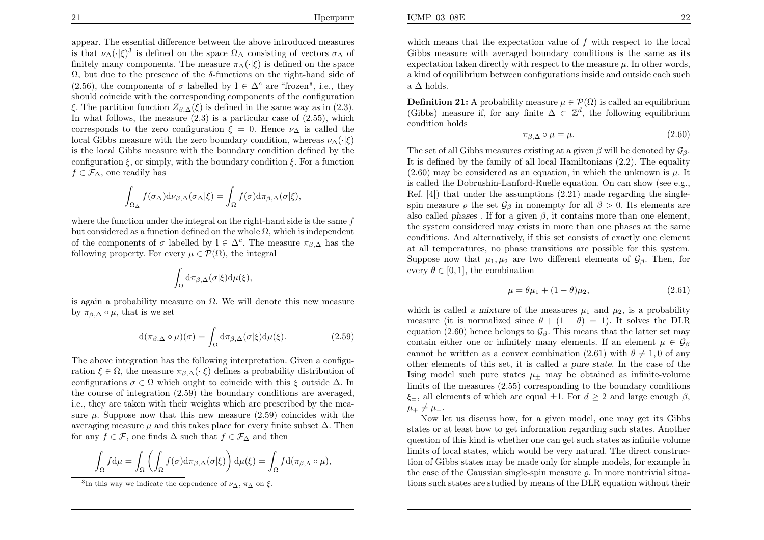appear. The essential difference between the above introduced measuresis that  $\nu_{\Delta}(\cdot|\xi)^3$  is defined on the space  $\Omega_{\Delta}$  consisting of vectors  $\sigma_{\Delta}$  of finitely many components. The measure  $\pi_{\Delta}(\cdot|\xi)$  is defined on the space  $\Omega$ , but due to the presence of the  $\delta$ -functions on the right-hand side of (2.56), the components of  $\sigma$  labelled by  $l \in \Delta^c$  are "frozen", i.e., they should coincide with the corresponding components of the configurationξ. The partition function  $Z_{\beta,\Delta}(\xi)$  is defined in the same way as in (2.3). In what follows, the measure  $(2.3)$  is a particular case of  $(2.55)$ , which corresponds to the zero configuration  $\xi = 0$ . Hence  $\nu_{\Delta}$  is called the local Gibbs measure with the zero boundary condition, whereas  $\nu_{\Delta}(\cdot|\xi)$  is the local Gibbs measure with the boundary condition defined by theconfiguration  $\xi$ , or simply, with the boundary condition  $\xi$ . For a function  $f \in \mathcal{F}_{\Delta}$ , one readily has

$$
\int_{\Omega_{\Delta}} f(\sigma_{\Delta}) d\nu_{\beta,\Delta}(\sigma_{\Delta}|\xi) = \int_{\Omega} f(\sigma) d\pi_{\beta,\Delta}(\sigma|\xi),
$$

where the function under the integral on the right-hand side is the same  $f$ but considered as a function defined on the whole  $\Omega$ , which is independent of the components of  $\sigma$  labelled by  $l \in \Delta^c$ . The measure  $\pi_{\beta,\Delta}$  has the following property. For every  $\mu \in \mathcal{P}(\Omega)$ , the integral

$$
\int_{\Omega} d\pi_{\beta,\Delta}(\sigma|\xi) d\mu(\xi),
$$

is again a probability measure on  $\Omega$ . We will denote this new measure by  $\pi_{\beta,\Delta} \circ \mu$ , that is we set

$$
d(\pi_{\beta,\Delta} \circ \mu)(\sigma) = \int_{\Omega} d\pi_{\beta,\Delta}(\sigma|\xi) d\mu(\xi). \tag{2.59}
$$

The above integration has the following interpretation. Given <sup>a</sup> configuration  $\xi \in \Omega$ , the measure  $\pi_{\beta,\Delta}(\cdot|\xi)$  defines a probability distribution of configurations  $\sigma \in \Omega$  which ought to coincide with this  $\xi$  outside  $\Delta$ . In the course of integration (2.59) the boundary conditions are averaged, i.e., they are taken with their weights which are prescribed by the measure  $\mu$ . Suppose now that this new measure  $(2.59)$  coincides with the averaging measure  $\mu$  and this takes place for every finite subset  $\Delta$ . Then for any  $f \in \mathcal{F}$ , one finds  $\Delta$  such that  $f \in \mathcal{F}_{\Delta}$  and then

$$
\int_{\Omega} f d\mu = \int_{\Omega} \left( \int_{\Omega} f(\sigma) d\pi_{\beta,\Delta}(\sigma|\xi) \right) d\mu(\xi) = \int_{\Omega} f d(\pi_{\beta,\Delta} \circ \mu),
$$

**Definition 21:** A probability measure  $\mu \in \mathcal{P}(\Omega)$  is called an equilibrium  $(C^{\text{th}})$  measure if for any finite  $\Lambda \subset \mathbb{Z}^d$ , the following equilibrium (Gibbs) measure if, for any finite  $\Delta \subset \mathbb{Z}^d$ , the following equilibrium condition holds

$$
\pi_{\beta,\Delta} \circ \mu = \mu. \tag{2.60}
$$

The set of all Gibbs measures existing at a given  $\beta$  will be denoted by  $\mathcal{G}_{\beta}$ . It is defined by the family of all local Hamiltonians (2.2). The equality $(2.60)$  may be considered as an equation, in which the unknown is  $\mu$ . It is called the Dobrushin-Lanford-Ruelle equation. On can show (see e.g.,Ref. [4]) that under the assumptions (2.21) made regarding the singlespin measure  $\varrho$  the set  $\mathcal{G}_{\beta}$  in nonempty for all  $\beta > 0$ . Its elements are also called phases. If for a given  $\beta$ , it contains more than one element, the system considered may exists in more than one phases at the same conditions. And alternatively, if this set consists of exactly one element at all temperatures, no <sup>p</sup>hase transitions are possible for this system.Suppose now that  $\mu_1, \mu_2$  are two different elements of  $\mathcal{G}_{\beta}$ . Then, for every  $\theta \in [0, 1]$ , the combination

$$
\mu = \theta \mu_1 + (1 - \theta)\mu_2, \tag{2.61}
$$

which is called a mixture of the measures  $\mu_1$  and  $\mu_2$ , is a probability measure (it is normalized since  $\theta + (1 - \theta) = 1$ ). It solves the DLR equation (2.60) hence belongs to  $\mathcal{G}_{\beta}$ . This means that the latter set may contain either one or infinitely many elements. If an element  $\mu \in \mathcal{G}_{\beta}$ cannot be written as a convex combination (2.61) with  $\theta \neq 1, 0$  of any other elements of this set, it is called <sup>a</sup> pure state. In the case of the Ising model such pure states  $\mu_{\pm}$  may be obtained as infinite-volume limits of the measures (2.55) corresponding to the boundary conditions  $\xi_{\pm}$ , all elements of which are equal  $\pm 1$ . For  $d \geq 2$  and large enough  $\beta$ ,  $\mu_+\neq\mu_-.$ 

 Now let us discuss how, for <sup>a</sup> given model, one may get its Gibbs states or at least how to get information regarding such states. Another question of this kind is whether one can get such states as infinite volume limits of local states, which would be very natural. The direct construction of Gibbs states may be made only for simple models, for example inthe case of the Gaussian single-spin measure  $\varrho$ . In more nontrivial situations such states are studied by means of the DLR equation without their

<sup>&</sup>lt;sup>3</sup>In this way we indicate the dependence of  $\nu_{\Delta}$ ,  $\pi_{\Delta}$  on  $\xi$ .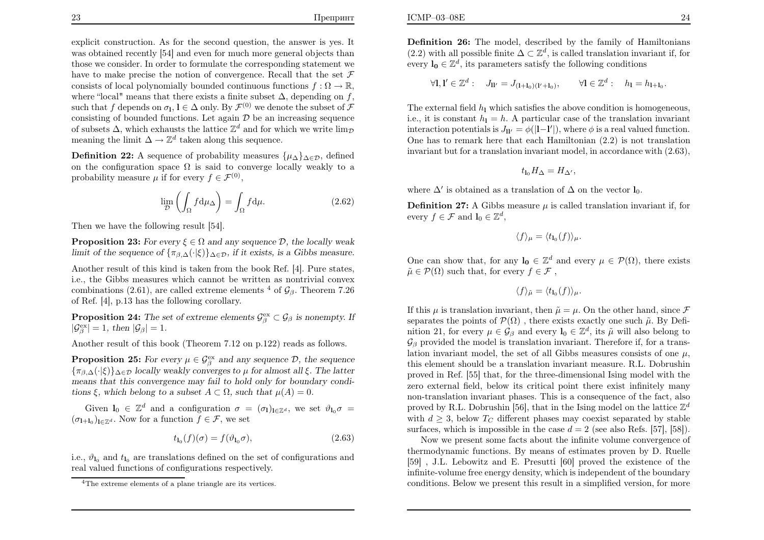explicit construction. As for the second question, the answer is yes. It was obtained recently [54] and even for much more genera<sup>l</sup> objects than those we consider. In order to formulate the corresponding statement wehave to make precise the notion of convergence. Recall that the set  $\mathcal F$ consists of local polynomially bounded continuous functions  $f : \Omega \to \mathbb{R}$ , where "local" means that there exists a finite subset  $\Delta$ , depending on f, such that f depends on  $\sigma_1$ ,  $l \in \Delta$  only. By  $\mathcal{F}^{(0)}$  we denote the subset of  $\mathcal{F}$ consisting of bounded functions. Let again  $\mathcal{D}$  be an increasing sequence of subsets  $\Delta$ , which exhausts the lattice  $\mathbb{Z}^d$  and for which we write  $\lim_{\mathcal{D}}$ meaning the limit  $\Delta \to \mathbb{Z}^d$  taken along this sequence.

**Definition 22:** A sequence of probability measures  $\{\mu_{\Delta}\}_{{\Delta \in \mathcal{D}}}$ , defined on the configuration space  $\Omega$  is said to converge locally weakly to a probability measure  $\mu$  if for every  $f \in \mathcal{F}^{(0)}$ ,

$$
\lim_{\mathcal{D}} \left( \int_{\Omega} f \, \mathrm{d}\mu_{\Delta} \right) = \int_{\Omega} f \, \mathrm{d}\mu. \tag{2.62}
$$

Then we have the following result [54].

**Proposition 23:** For every  $\xi \in \Omega$  and any sequence  $D$ , the locally weak limit of the sequence of  $\{\pi_{\beta,\Delta}(\cdot|\xi)\}_{\Delta\in\mathcal{D}}$ , if it exists, is a Gibbs measure.

Another result of this kind is taken from the book Ref. [4]. Pure states, i.e., the Gibbs measures which cannot be written as nontrivial convexcombinations (2.61), are called extreme elements<sup>4</sup> of  $\mathcal{G}_{\beta}$ . Theorem 7.26 of Ref. [4], p.<sup>13</sup> has the following corollary.

**Proposition 24:** The set of extreme elements  $\mathcal{G}^{\text{ex}}_{\beta} \subset \mathcal{G}_{\beta}$  is nonempty. If  $|\mathcal{G}_{\beta}^{\text{ex}}| = 1$ , then  $|\mathcal{G}_{\beta}| = 1$ .

Another result of this book (Theorem 7.12 on p.122) reads as follows.

**Proposition 25:** For every  $\mu \in \mathcal{G}_{\beta}^{\text{ex}}$  and any sequence  $\mathcal{D}$ , the sequence  $\{\pi_{\beta,\Delta}(\cdot|\xi)\}_{\Delta \in \mathcal{D}}$  locally weakly converges to  $\mu$  for almost all  $\xi$ . The latter means that this convergence may fail to hold only for boundary conditions  $\xi$ , which belong to a subset  $A \subset \Omega$ , such that  $\mu(A) = 0$ .

Given  $\mathbf{l}_0 \in \mathbb{Z}^d$  and a configuration  $\sigma = (\sigma_1)_{1 \in \mathbb{Z}^d}$ , we set  $\vartheta_{\mathbf{l}_0} \sigma =$  $(\sigma_{1+1_0})_{1 \in \mathbb{Z}^d}$ . Now for a function  $f \in \mathcal{F}$ , we set

$$
t_{\mathbf{1}_0}(f)(\sigma) = f(\vartheta_{\mathbf{1}_0}\sigma),\tag{2.63}
$$

i.e.,  $\vartheta_{l_0}$  and  $t_{l_0}$  are translations defined on the set of configurations and real valued functions of configurations respectively.

Definition 26: The model, described by the family of Hamiltonians(2.2) with all possible finite  $\Delta\subset\mathbb{Z}^d$ , is called translation invariant if, for every  $\mathbf{l}_0 \in \mathbb{Z}^d$ , its parameters satisfy the following conditions

$$
\forall \mathbf{l}, \mathbf{l}' \in \mathbb{Z}^d : J_{\mathbf{l}'} = J_{(\mathbf{l}+\mathbf{l}_0)(\mathbf{l}'+\mathbf{l}_0)}, \qquad \forall \mathbf{l} \in \mathbb{Z}^d : h_1 = h_{\mathbf{l}+\mathbf{l}_0}.
$$

The external field  $h_1$  which satisfies the above condition is homogeneous, i.e., it is constant  $h_1 = h$ . A particular case of the translation invariant interaction potentials is  $J_{\mathbf{l}'} = \phi(|\mathbf{l}-\mathbf{l}'|)$ , where  $\phi$  is a real valued function. One has to remark here that each Hamiltonian (2.2) is not translationinvariant but for <sup>a</sup> translation invariant model, in accordance with (2.63),

$$
t_{\mathbf{1}_0} H_{\Delta} = H_{\Delta'},
$$

where  $\Delta'$  is obtained as a translation of  $\Delta$  on the vector  $l_0$ .

**Definition 27:** A Gibbs measure  $\mu$  is called translation invariant if, for every  $f \in \mathcal{F}$  and  $\mathbf{l}_0 \in \mathbb{Z}^d$ ,

$$
\langle f \rangle_{\mu} = \langle t_{\mathbf{1}_0}(f) \rangle_{\mu}.
$$

One can show that, for any  $\mathbf{l}_0 \in \mathbb{Z}^d$  and every  $\mu \in \mathcal{P}(\Omega)$ , there exists  $\tilde{\mu} \in \mathcal{P}(\Omega)$  such that, for every  $f \in \mathcal{F}$ ,

$$
\langle f \rangle_{\tilde{\mu}} = \langle t_{\mathbf{l}_0}(f) \rangle_{\mu}.
$$

If this  $\mu$  is translation invariant, then  $\tilde{\mu} = \mu$ . On the other hand, since  $\mathcal{F}$ separates the points of  $\mathcal{P}(\Omega)$  , there exists exactly one such  $\tilde{\mu}$ . By Definition 21, for every  $\mu \in \mathcal{G}_{\beta}$  and every  $\mathbf{l}_0 \in \mathbb{Z}^d$ , its  $\tilde{\mu}$  will also belong to  $\mathcal{G}_{\beta}$  provided the model is translation invariant. Therefore if, for a translation invariant model, the set of all Gibbs measures consists of one  $\mu$ , this element should be <sup>a</sup> translation invariant measure. R.L. Dobrushin proved in Ref. [55] that, for the three-dimensional Ising model with the zero external field, below its critical point there exist infinitely many non-translation invariant phases. This is <sup>a</sup> consequence of the fact, alsoproved by R.L. Dobrushin [56], that in the Ising model on the lattice  $\mathbb{Z}^d$ with  $d \geq 3$ , below  $T_C$  different phases may coexist separated by stable<br>run see which is invessible in the second of  $2$  (see also  $R_{\text{eff}}$  [57] [58]) surfaces, which is impossible in the case  $d = 2$  (see also Refs. [57], [58]).

 Now we present some facts about the infinite volume convergence of thermodynamic functions. By means of estimates proven by D. Ruelle [59] , J.L. Lebowitz and E. Presutti [60] proved the existence of the infinite-volume free energy density, which is independent of the boundaryconditions. Below we present this result in <sup>a</sup> simplified version, for more

<sup>4</sup>The extreme elements of <sup>a</sup> <sup>p</sup>lane triangle are its vertices.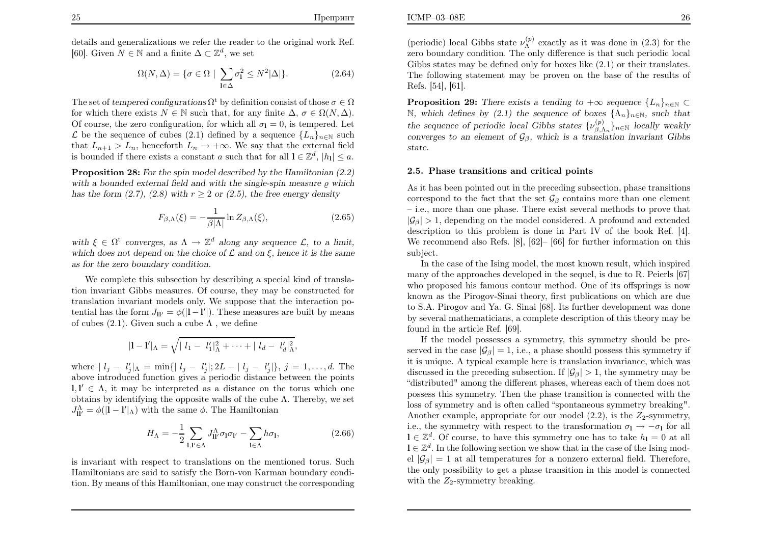$$
\Omega(N,\Delta) = \{ \sigma \in \Omega \mid \sum_{\mathbf{l} \in \Delta} \sigma_{\mathbf{l}}^2 \le N^2 |\Delta| \}. \tag{2.64}
$$

The set of tempered configurations  $\Omega^t$  by definition consist of those  $\sigma \in \Omega$ for which there exists  $N \in \mathbb{N}$  such that, for any finite  $\Delta, \sigma \in \Omega(N, \Delta)$ . Of course, the zero configuration, for which all  $\sigma_{\rm l} = 0$ , is tempered. Let  $\mathcal L$  be the sequence of cubes (2.1) defined by a sequence { $L_n$ }<sub>n∈N</sub> such that  $L_{n+1} > L_n$ , henceforth  $L_n \to +\infty$ . We say that the external field is bounded if there exists a constant a such that for all  $l \in \mathbb{Z}^d$ ,  $|h_l| \leq a$ .

**Proposition 28:** For the spin model described by the Hamiltonian  $(2.2)$ with a bounded external field and with the single-spin measure  $\varrho$  which has the form  $(2.7)$ ,  $(2.8)$  with  $r \ge 2$  or  $(2.5)$ , the free energy density

$$
F_{\beta,\Lambda}(\xi) = -\frac{1}{\beta|\Lambda|} \ln Z_{\beta,\Lambda}(\xi),\tag{2.65}
$$

with  $\xi \in \Omega^t$  converges, as  $\Lambda \to \mathbb{Z}^d$  along any sequence  $\mathcal{L}$ , to a limit, which does not depend on the choice of  $\mathcal L$  and on  $\xi$ , hence it is the same as for the zero boundary condition.

We complete this subsection by describing <sup>a</sup> special kind of translation invariant Gibbs measures. Of course, they may be constructed for translation invariant models only. We suppose that the interaction potential has the form  $J_{\mathbf{l}'} = \phi(|\mathbf{l} - \mathbf{l}'|)$ . These measures are built by means of cubes (2.1). Given such a cube  $\Lambda$  , we define

$$
|1 - 1'|_{\Lambda} = \sqrt{|\ l_1 - l'_1|_{\Lambda}^2 + \cdots + |\ l_d - l'_d|_{\Lambda}^2},
$$

where  $|l_j - l'_j|$  =  $\min\{|l_j - l'_j|, 2L - |l_j - l'_j|\}, j = 1, \ldots, d$ . The above introduced function gives <sup>a</sup> periodic distance between the points $\mathbf{l}, \mathbf{l}' \in \Lambda$ , it may be interpreted as a distance on the torus which one obtains by identifying the opposite walls of the cube  $\Lambda$ . Thereby, we set  $J_{\mathbf{\mathbf{l}}\mathbf{l}'}^{\Lambda} = \phi(|\mathbf{l} - \mathbf{l}'|_{\Lambda})$  with the same  $\phi$ . The Hamiltonian

$$
H_{\Lambda} = -\frac{1}{2} \sum_{\mathbf{l}, \mathbf{l}' \in \Lambda} J_{\mathbf{l}\mathbf{l}'}^{\Lambda} \sigma_{\mathbf{l}} \sigma_{\mathbf{l}'} - \sum_{\mathbf{l} \in \Lambda} h \sigma_{\mathbf{l}}, \qquad (2.66)
$$

is invariant with respect to translations on the mentioned torus. Such Hamiltonians are said to satisfy the Born-von Karman boundary condition. By means of this Hamiltonian, one may construct the corresponding

**Proposition 29:** There exists a tending to  $+\infty$  sequence  $\{L_n\}_{n\in\mathbb{N}} \subset \mathbb{N}$  which defines by (2.1) the sequence of boxes  $\{\Lambda_n\}_{n\in\mathbb{N}}$  such that N, which defines by (2.1) the sequence of boxes  $\{\Lambda_n\}_{n\in\mathbb{N}}$ , such that the sequence of periodic local Gibbs states  $\{\nu_{\beta,\Lambda_n}^{(p)}\}_{n\in\mathbb{N}}$  locally weakly converges to an element of  $\mathcal{G}_{\beta}$ , which is a translation invariant Gibbs state.

### 2.5. Phase transitions and critical points

As it has been pointed out in the preceding subsection, <sup>p</sup>hase transitions correspond to the fact that the set  $\mathcal{G}_{\beta}$  contains more than one element – i.e., more than one phase. There exist several methods to prove that $|\mathcal{G}_{\beta}| > 1$ , depending on the model considered. A profound and extended description to this problem is done in Part IV of the book Ref. [4]. We recommend also Refs. [8], [62]– [66] for further information on thissubject.

In the case of the Ising model, the most known result, which inspired many of the approaches developed in the sequel, is due to R. Peierls [67]who proposed his famous contour method. One of its offsprings is now known as the Pirogov-Sinai theory, first publications on which are due to S.A. Pirogov and Ya. G. Sinai [68]. Its further development was done by several mathematicians, <sup>a</sup> complete description of this theory may befound in the article Ref. [69].

If the model possesses <sup>a</sup> symmetry, this symmetry should be preserved in the case  $|\mathcal{G}_{\beta}| = 1$ , i.e., a phase should possess this symmetry if it is unique. A typical example here is translation invariance, which wasdiscussed in the preceding subsection. If  $|\mathcal{G}_{\beta}| > 1$ , the symmetry may be<br>indictable to discuss the different phases with precedent of them descended "distributed" among the different <sup>p</sup>hases, whereas each of them does not possess this symmetry. Then the phase transition is connected with the loss of symmetry and is often called "spontaneous symmetry breaking".Another example, appropriate for our model  $(2.2)$ , is the  $Z_2$ -symmetry, i.e., the symmetry with respect to the transformation  $\sigma_1 \rightarrow -\sigma_1$  for all i.e., the symmetry with respect to the transformation  $\sigma_1 \to -\sigma_1$  for all  $\mathbf{l} \in \mathbb{Z}^d$ . Of course, to have this symmetry one has to take  $h_1 = 0$  at all  $l \in \mathbb{Z}^d$ . In the following section we show that in the case of the Ising model  $|\mathcal{G}_{\beta}| = 1$  at all temperatures for a nonzero external field. Therefore, the only possibility to get <sup>a</sup> phase transition in this model is connectedwith the  $Z_2$ -symmetry breaking.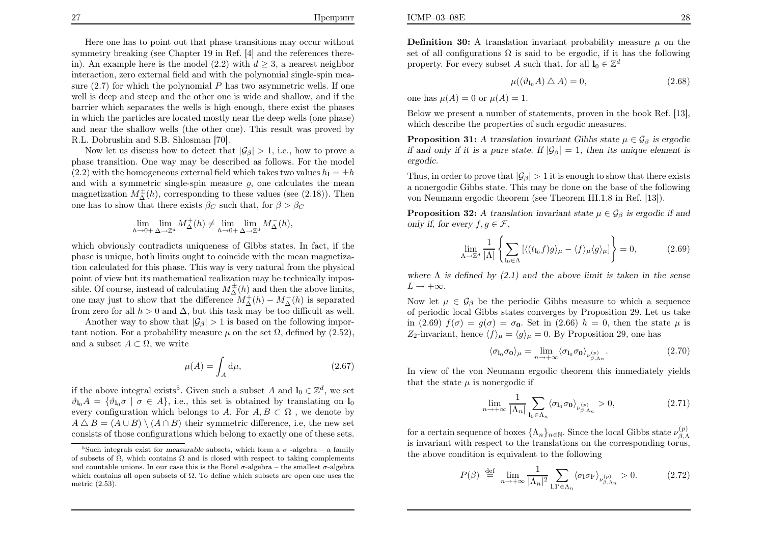27

Here one has to point out that phase transitions may occur without

 symmetry breaking (see Chapter <sup>19</sup> in Ref. [4] and the references therein). An example here is the model  $(2.2)$  with  $d \geq 3$ , a nearest neighbor interaction, zero external field and with the polynomial single-spin measure  $(2.7)$  for which the polynomial  $P$  has two asymmetric wells. If one well is deep and steep and the other one is wide and shallow, and if the barrier which separates the wells is high enough, there exist the phases in which the particles are located mostly near the deep wells (one <sup>p</sup>hase) and near the shallow wells (the other one). This result was proved byR.L. Dobrushin and S.B. Shlosman [70].

Now let us discuss how to detect that  $|\mathcal{G}_{\beta}| > 1$ , i.e., how to prove a <sup>p</sup>hase transition. One way may be described as follows. For the model(2.2) with the homogeneous external field which takes two values  $h_1 = \pm h$ and with a symmetric single-spin measure  $\rho$ , one calculates the mean magnetization  $M_{\Delta}^{\pm}(h)$ , corresponding to these values (see (2.18)). Then<br>one has to show that there exists  $\beta_{\alpha}$  such that, for  $\beta > \beta_{\alpha}$ one has to show that there exists  $\beta_C$  such that, for  $\beta > \beta_C$ 

$$
\lim_{h \to 0+} \lim_{\Delta \to \mathbb{Z}^d} M^+_{\Delta}(h) \neq \lim_{h \to 0+} \lim_{\Delta \to \mathbb{Z}^d} M^-_{\Delta}(h),
$$

which obviously contradicts uniqueness of Gibbs states. In fact, if the phase is unique, both limits ought to coincide with the mean magnetization calculated for this <sup>p</sup>hase. This way is very natural from the <sup>p</sup>hysical point of view but its mathematical realization may be technically impossible. Of course, instead of calculating  $M_{\Delta}^{\pm}(h)$  and then the above limits, one may just to show that the difference  $M^{\pm}_{\Delta}(h) - M^{-}_{\Delta}$ <br>from zoro for all  $h > 0$  and  $\Delta$  but this task may be too from zero for all  $h > 0$  and  $\Delta$ , but this task may be too difficult as well.  $\Delta^{(h)}$  is separated<br>o difficult as well

Another way to show that  $|\mathcal{G}_{\beta}| > 1$  is based on the following important notion. For a probability measure  $\mu$  on the set  $\Omega$ , defined by (2.52), and a subset  $A \subset \Omega$ , we write

$$
\mu(A) = \int_A \mathrm{d}\mu,\tag{2.67}
$$

if the above integral exists<sup>5</sup>. Given such a subset A and  $I_0 \in \mathbb{Z}^d$ , we set  $\vartheta_{\mathbf{l}_0}A = \{\vartheta_{\mathbf{l}_0} \sigma \mid \sigma \in A\},\$ i.e., this set is obtained by translating on  $\mathbf{l}_0$ every configuration which belongs to A. For  $A, B \subset \Omega$ , we denote by  $A \triangle B = (A \cup B) \setminus (A \cap B)$  their symmetric difference, i.e, the new set consists of those configurations which belong to exactly one of these sets.

**Definition 30:** A translation invariant probability measure  $\mu$  on the set of all configurations  $\Omega$  is said to be ergodic, if it has the following property. For every subset A such that, for all  $\mathbf{l}_0 \in \mathbb{Z}^d$ 

$$
\mu((\vartheta_{\mathbf{1}_0}A) \triangle A) = 0,\tag{2.68}
$$

one has  $\mu(A) = 0$  or  $\mu(A) = 1$ .

Below we present <sup>a</sup> number of statements, proven in the book Ref. [13],which describe the properties of such ergodic measures.

**Proposition 31:** A translation invariant Gibbs state  $\mu \in \mathcal{G}_{\beta}$  is ergodic if and only if it is a pure state. If  $|\mathcal{G}_{\beta}| = 1$ , then its unique element is ergodic.

Thus, in order to prove that  $|\mathcal{G}_{\beta}| > 1$  it is enough to show that there exists <sup>a</sup> nonergodic Gibbs state. This may be done on the base of the followingvon Neumann ergodic theorem (see Theorem III.1.8 in Ref. [13]).

**Proposition 32:** A translation invariant state  $\mu \in \mathcal{G}_{\beta}$  is ergodic if and only if, for every  $f, g \in \mathcal{F}$ ,

$$
\lim_{\Lambda \to \mathbb{Z}^d} \frac{1}{|\Lambda|} \left\{ \sum_{\mathbf{l}_0 \in \Lambda} \left[ \langle (t_{\mathbf{l}_0} f) g \rangle_{\mu} - \langle f \rangle_{\mu} \langle g \rangle_{\mu} \right] \right\} = 0, \tag{2.69}
$$

where  $\Lambda$  is defined by (2.1) and the above limit is taken in the sense  $L\rightarrow+\infty$ .

Now let  $\mu \in \mathcal{G}_{\beta}$  be the periodic Gibbs measure to which a sequence of periodic local Gibbs states converges by Proposition 29. Let us takein (2.69)  $f(\sigma) = g(\sigma) = \sigma_0$ . Set in (2.66)  $h = 0$ , then the state  $\mu$  is  $Z_2$ -invariant, hence  $\langle f \rangle_\mu = \langle g \rangle_\mu = 0$ . By Proposition 29, one has

$$
\langle \sigma_{\mathbf{l}_0} \sigma_{\mathbf{0}} \rangle_{\mu} = \lim_{n \to +\infty} \langle \sigma_{\mathbf{l}_0} \sigma_{\mathbf{0}} \rangle_{\nu_{\beta, \Lambda_n}^{(p)}}.
$$
\n(2.70)

 In view of the von Neumann ergodic theorem this immediately <sup>y</sup>ieldsthat the state  $\mu$  is nonergodic if

$$
\lim_{n \to +\infty} \frac{1}{|\Lambda_n|} \sum_{\mathbf{l}_0 \in \Lambda_n} \langle \sigma_{\mathbf{l}_0} \sigma_{\mathbf{0}} \rangle_{\nu_{\beta, \Lambda_n}^{(p)}} > 0,
$$
\n(2.71)

for a certain sequence of boxes  $\{\Lambda_n\}_{n\in\mathbb{N}}$ . Since the local Gibbs state  $\nu_{\beta,\Lambda}^{(p)}$  is invariant with respect to the translations on the corresponding torus,the above condition is equivalent to the following

$$
P(\beta) \stackrel{\text{def}}{=} \lim_{n \to +\infty} \frac{1}{|\Lambda_n|^2} \sum_{\mathbf{l}, \mathbf{l}' \in \Lambda_n} \langle \sigma_{\mathbf{l}} \sigma_{\mathbf{l}'} \rangle_{\nu_{\beta, \Lambda_n}^{(p)}} > 0. \tag{2.72}
$$

<sup>&</sup>lt;sup>5</sup>Such integrals exist for *measurable* subsets, which form a  $\sigma$  -algebra – a family of subsets of  $\Omega$ , which contains  $\Omega$  and is closed with respect to taking complements and countable unions. In our case this is the Borel  $\sigma\text{-algebra}$  – the smallest  $\sigma\text{-algebra}$ which contains all open subsets of  $\Omega$ . To define which subsets are open one uses the metric (2.53).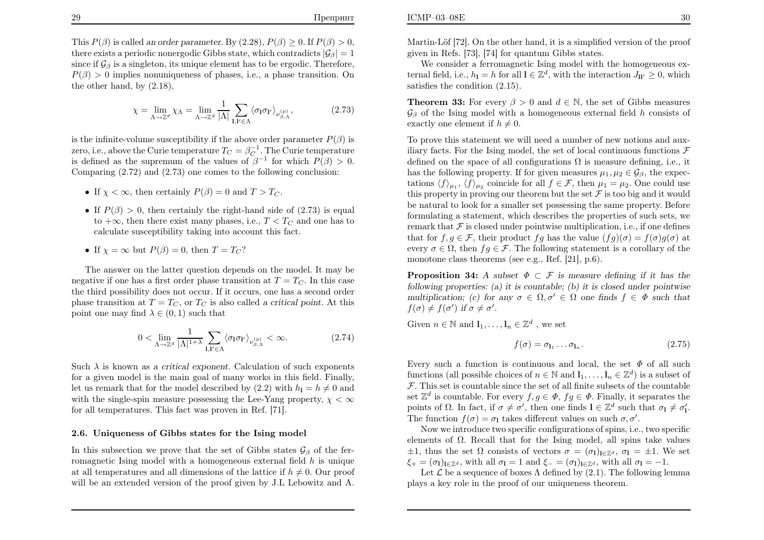This  $P(\beta)$  is called an order parameter. By  $(2.28)$ ,  $P(\beta) \ge 0$ . If  $P(\beta) > 0$ , there exists a periodic nonergodic Gibbs state, which contradicts  $|\mathcal{G}_{\beta}| = 1$ since if  $\mathcal{G}_{\beta}$  is a singleton, its unique element has to be ergodic. Therefore,  $P(\beta) > 0$  implies nonuniqueness of phases, i.e., a phase transition. On the other hand, by (2.18),

$$
\chi = \lim_{\Lambda \to \mathbb{Z}^d} \chi_{\Lambda} = \lim_{\Lambda \to \mathbb{Z}^d} \frac{1}{|\Lambda|} \sum_{\mathbf{l}, \mathbf{l}' \in \Lambda} \langle \sigma_{\mathbf{l}} \sigma_{\mathbf{l}'} \rangle_{\nu_{\beta, \Lambda}^{(p)}},\tag{2.73}
$$

is the infinite-volume susceptibility if the above order parameter  $P(\beta)$  is zero, i.e., above the Curie temperature  $T_C = \beta_C^{-1}$ . The Curie temperature is defined as the supremum of the values of  $\beta^{-1}$  for which  $P(\beta) > 0$ . Comparing (2.72) and (2.73) one comes to the following conclusion:

- If  $\chi < \infty$ , then certainly  $P(\beta) = 0$  and  $T > T_C$ .
- If  $P(\beta) > 0$ , then certainly the right-hand side of (2.73) is equal to the law then there exist measure have  $T \leq T$  and an handle to  $+\infty$ , then there exist many phases, i.e.,  $T < T_C$  and one has to calculate susceptibility taking into account this fact.

• If 
$$
\chi = \infty
$$
 but  $P(\beta) = 0$ , then  $T = T_C$ ?

The answer on the latter question depends on the model. It may be negative if one has a first order phase transition at  $T=T_C$ . In this case the third possibility does not occur. If it occurs, one has <sup>a</sup> second orderphase transition at  $T=T_C$ , or  $T_C$  is also called a critical point. At this point one may find  $\lambda \in (0, 1)$  such that

$$
0 < \lim_{\Lambda \to \mathbb{Z}^d} \frac{1}{|\Lambda|^{1+\lambda}} \sum_{\mathbf{l}, \mathbf{l}' \in \Lambda} \langle \sigma_{\mathbf{l}} \sigma_{\mathbf{l}'} \rangle_{\nu_{\beta, \Lambda}^{(p)}} < \infty. \tag{2.74}
$$

Such  $\lambda$  is known as a critical exponent. Calculation of such exponents for <sup>a</sup> given model is the main goal of many works in this field. Finally,let us remark that for the model described by (2.2) with  $h_1 = h \neq 0$  and with the single-spin measure possessing the Lee-Yang property,  $\chi < \infty$ for all temperatures. This fact was proven in Ref. [71].

#### 2.6. Uniqueness of Gibbs states for the Ising model

In this subsection we prove that the set of Gibbs states  $\mathcal{G}_{\beta}$  of the ferromagnetic Ising model with a homogeneous external field  $h$  is unique at all temperatures and all dimensions of the lattice if  $h\neq0$ . Our proof will be an extended version of the proof given by J.L Lebowitz and A.

We consider a ferromagnetic Ising model with the homogeneous external field, i.e.,  $h_1 = h$  for all  $l \in \mathbb{Z}^d$ , with the interaction  $J_{ll'} \geq 0$ , which satisfies the condition (2.15).

**Theorem 33:** For every  $\beta > 0$  and  $d \in \mathbb{N}$ , the set of Gibbs measures  $\mathcal{G}_{\beta}$  of the Ising model with a homogeneous external field h consists of exactly one element if  $h \neq 0$ .

To prove this statement we will need <sup>a</sup> number of new notions and auxiliary facts. For the Ising model, the set of local continuous functions  $\mathcal F$ defined on the space of all configurations  $\Omega$  is measure defining, i.e., it has the following property. If for given measures  $\mu_1, \mu_2 \in \mathcal{G}_{\beta}$ , the expectations  $\langle f \rangle_{\mu_1}, \langle f \rangle_{\mu_2}$  coincide for all  $f \in \mathcal{F}$ , then  $\mu_1 = \mu_2$ . One could use this property in proving our theorem but the set  $\mathcal F$  is too big and it would be natural to look for <sup>a</sup> smaller set possessing the same property. Before formulating <sup>a</sup> statement, which describes the properties of such sets, weremark that  $\mathcal F$  is closed under pointwise multiplication, i.e., if one defines that for  $f, g \in \mathcal{F}$ , their product  $fg$  has the value  $(fg)(\sigma) = f(\sigma)g(\sigma)$  at every  $\sigma \in \Omega$ , then  $fg \in \mathcal{F}$ . The following statement is a corollary of the monotone class theorems (see e.g., Ref. [21], p.6).

**Proposition 34:** A subset  $\Phi \subset \mathcal{F}$  is measure defining if it has the following properties: (a) it is countable; (b) it is closed under pointwisemultiplication; (c) for any  $\sigma \in \Omega, \sigma' \in \Omega$  one finds  $f \in \Phi$  such that  $f(\sigma) \neq f(\sigma')$  if  $\sigma \neq \sigma'$ .

Given  $n \in \mathbb{N}$  and  $\mathbf{l}_1, \ldots, \mathbf{l}_n \in \mathbb{Z}^d$ , we set

$$
f(\sigma) = \sigma_{\mathbf{l}_1} \dots \sigma_{\mathbf{l}_n}.\tag{2.75}
$$

Every such a function is continuous and local, the set  $\Phi$  of all such  $\mathcal{L} = \mathcal{L}(\mathcal{L})$ functions (all possible choices of  $n \in \mathbb{N}$  and  $\mathbf{l}_1, \ldots, \mathbf{l}_n \in \mathbb{Z}^d$ ) is a subset of  $\mathcal F$ . This set is countable since the set of all finite subsets of the countable set  $\mathbb{Z}^d$  is countable. For every  $f, g \in \Phi$ ,  $fg \in \Phi$ . Finally, it separates the points of  $\Omega$ . In fact, if  $\sigma \neq \sigma'$ , then one finds  $\mathbf{l} \in \mathbb{Z}^d$  such that  $\sigma_{\mathbf{l}} \neq \sigma'_{\mathbf{l}}$ . The function  $f(\sigma) = \sigma_1$  takes different values on such  $\sigma, \sigma'$ .

 Now we introduce two specific configurations of spins, i.e., two specificelements of  $\Omega$ . Recall that for the Ising model, all spins take values  $\pm 1$ , thus the set  $\Omega$  consists of vectors  $\sigma = (\sigma_1)_{1 \in \mathbb{Z}^d}$ ,  $\sigma_1 = \pm 1$ . We set  $\xi_{+} = (\sigma_{1})_{1 \in \mathbb{Z}^{d}}$ , with all  $\sigma_{1} = 1$  and  $\xi_{-} = (\sigma_{1})_{1 \in \mathbb{Z}^{d}}$ , with all  $\sigma_{1} = -1$ .

Let  $\mathcal L$  be a sequence of boxes  $\Lambda$  defined by (2.1). The following lemma <sup>p</sup>lays <sup>a</sup> key role in the proof of our uniqueness theorem.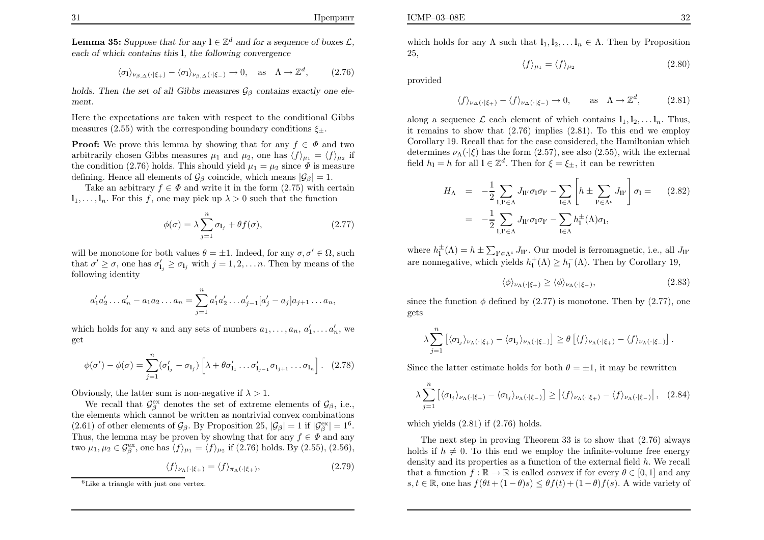**Lemma 35:** Suppose that for any  $\mathbf{l} \in \mathbb{Z}^d$  and for a sequence of boxes  $\mathcal{L}$ , each of which contains this <sup>l</sup>, the following convergence

$$
\langle \sigma_1 \rangle_{\nu_{\beta, \Delta}(\cdot | \xi_+)} - \langle \sigma_1 \rangle_{\nu_{\beta, \Delta}(\cdot | \xi_-)} \to 0, \text{ as } \Lambda \to \mathbb{Z}^d,
$$
 (2.76)

holds. Then the set of all Gibbs measures  $\mathcal{G}_{\beta}$  contains exactly one element.

Here the expectations are taken with respect to the conditional Gibbsmeasures (2.55) with the corresponding boundary conditions  $\xi_{\pm}$ .

**Proof:** We prove this lemma by showing that for any  $f \in \Phi$  and two arbitrarily chosen Gibbs measures  $\mu_1$  and  $\mu_2$ , one has  $\langle f \rangle_{\mu_1} = \langle f \rangle_{\mu_2}$  if the condition (2.76) holds. This should yield  $\mu_1 = \mu_2$  since  $\Phi$  is measure defining. Hence all elements of  $\mathcal{G}_{\beta}$  coincide, which means  $|\mathcal{G}_{\beta}| = 1$ .

Take an arbitrary  $f \in \Phi$  and write it in the form (2.75) with certain  $l_1, \ldots, l_n$ . For this f, one may pick up  $\lambda > 0$  such that the function

$$
\phi(\sigma) = \lambda \sum_{j=1}^{n} \sigma_{l_j} + \theta f(\sigma), \qquad (2.77)
$$

will be monotone for both values  $\theta = \pm 1$ . Indeed, for any  $\sigma, \sigma' \in \Omega$ , such that  $\sigma' \geq \sigma$ , one has  $\sigma'_{1_j} \geq \sigma_{1_j}$  with  $j = 1, 2, \ldots n$ . Then by means of the following identity

$$
a'_1 a'_2 \dots a'_n - a_1 a_2 \dots a_n = \sum_{j=1}^n a'_1 a'_2 \dots a'_{j-1} [a'_j - a_j] a_{j+1} \dots a_n,
$$

which holds for any n and any sets of numbers  $a_1, \ldots, a_n, a'_1, \ldots, a'_n$ , we get

$$
\phi(\sigma') - \phi(\sigma) = \sum_{j=1}^{n} (\sigma'_{1j} - \sigma_{1j}) \left[ \lambda + \theta \sigma'_{11} \dots \sigma'_{1j-1} \sigma_{1j+1} \dots \sigma_{1n} \right]. \quad (2.78)
$$

Obviously, the latter sum is non-negative if  $\lambda > 1$ .

We recall that  $\mathcal{G}_{\beta}^{\text{ex}}$  denotes the set of extreme elements of  $\mathcal{G}_{\beta}$ , i.e., the elements which cannot be written as nontrivial convex combinations(2.61) of other elements of  $\mathcal{G}_{\beta}$ . By Proposition 25,  $|\mathcal{G}_{\beta}| = 1$  if  $|\mathcal{G}_{\beta}^{\text{ex}}| = 1^6$ . Thus, the lemma may be proven by showing that for any  $f \in \Phi$  and any two  $\mu_1, \mu_2 \in \mathcal{G}_{\beta}^{\text{ex}},$  one has  $\langle f \rangle_{\mu_1} = \langle f \rangle_{\mu_2}$  if (2.76) holds. By (2.55), (2.56),

$$
\langle f \rangle_{\nu_{\Lambda}(\cdot|\xi_{\pm})} = \langle f \rangle_{\pi_{\Lambda}(\cdot|\xi_{\pm})},\tag{2.79}
$$

which holds for any  $\Lambda$  such that  $l_1, l_2, \ldots l_n \in \Lambda$ . Then by Proposition 25,

$$
\langle f \rangle_{\mu_1} = \langle f \rangle_{\mu_2} \tag{2.80}
$$

provided

$$
\langle f \rangle_{\nu_{\Delta}(\cdot|\xi_{+})} - \langle f \rangle_{\nu_{\Delta}(\cdot|\xi_{-})} \to 0, \quad \text{as} \quad \Lambda \to \mathbb{Z}^{d}, \quad (2.81)
$$

along a sequence  $\mathcal{L}$  each element of which contains  $\mathbf{l}_1, \mathbf{l}_2, \ldots, \mathbf{l}_n$ . Thus, it remains to show that (2.76) implies (2.81). To this end we employ Corollary 19. Recall that for the case considered, the Hamiltonian whichdetermines  $\nu_{\Lambda}(\cdot|\xi)$  has the form (2.57), see also (2.55), with the external field  $h_1 = h$  for all  $l \in \mathbb{Z}^d$ . Then for  $\xi = \xi_{\pm}$ , it can be rewritten

$$
H_{\Lambda} = -\frac{1}{2} \sum_{\mathbf{l}, \mathbf{l}' \in \Lambda} J_{\mathbf{l} \mathbf{l}'} \sigma_{\mathbf{l}} \sigma_{\mathbf{l}'} - \sum_{\mathbf{l} \in \Lambda} \left[ h \pm \sum_{\mathbf{l}' \in \Lambda^c} J_{\mathbf{l} \mathbf{l}'} \right] \sigma_{\mathbf{l}} = (2.82)
$$

$$
= -\frac{1}{2} \sum_{\mathbf{l}, \mathbf{l}' \in \Lambda} J_{\mathbf{l} \mathbf{l}'} \sigma_{\mathbf{l}} \sigma_{\mathbf{l}'} - \sum_{\mathbf{l} \in \Lambda} h_{\mathbf{l}}^{\pm}(\Lambda) \sigma_{\mathbf{l}},
$$

where  $h_1^{\pm}(\Lambda) = h \pm \sum_{\mathbf{l}' \in \Lambda^c} J_{\mathbf{l} \mathbf{l}'}$ . Our model is ferromagnetic, i.e., all  $J_{\mathbf{l} \mathbf{l}'}$ are nonnegative, which yields  $h_1^+(\Lambda) \geq h_1^ \overline{\mathfrak{l}}(\Lambda)$ . Then by Corollary 19,

$$
\langle \phi \rangle_{\nu_{\Lambda}(\cdot|\xi_{+})} \ge \langle \phi \rangle_{\nu_{\Lambda}(\cdot|\xi_{-})},\tag{2.83}
$$

since the function  $\phi$  defined by (2.77) is monotone. Then by (2.77), one gets

$$
\lambda \sum_{j=1}^n \left[ \langle \sigma_{l_j} \rangle_{\nu_\Lambda(\cdot|\xi_+)} - \langle \sigma_{l_j} \rangle_{\nu_\Lambda(\cdot|\xi_-)} \right] \geq \theta \left[ \langle f \rangle_{\nu_\Lambda(\cdot|\xi_+)} - \langle f \rangle_{\nu_\Lambda(\cdot|\xi_-)} \right].
$$

Since the latter estimate holds for both  $\theta = \pm 1$ , it may be rewritten

$$
\lambda \sum_{j=1}^{n} \left[ \langle \sigma_{l_j} \rangle_{\nu_{\Lambda}(\cdot|\xi_+)} - \langle \sigma_{l_j} \rangle_{\nu_{\Lambda}(\cdot|\xi_-)} \right] \ge \left| \langle f \rangle_{\nu_{\Lambda}(\cdot|\xi_+)} - \langle f \rangle_{\nu_{\Lambda}(\cdot|\xi_-)} \right|, (2.84)
$$

which yields  $(2.81)$  if  $(2.76)$  holds.

The next step in proving Theorem <sup>33</sup> is to show that (2.76) alwaysholds if  $h \neq 0$ . To this end we employ the infinite-volume free energy density and its properties as a function of the external field  $h$ . We recall that a function  $f : \mathbb{R} \to \mathbb{R}$  is called convex if for every  $\theta \in [0, 1]$  and any  $s, t \in \mathbb{R}$ , one has  $f(\theta t + (1 - \theta)s) \leq \theta f(t) + (1 - \theta)f(s)$ . A wide variety of

 ${}^{6}$ Like a triangle with just one vertex.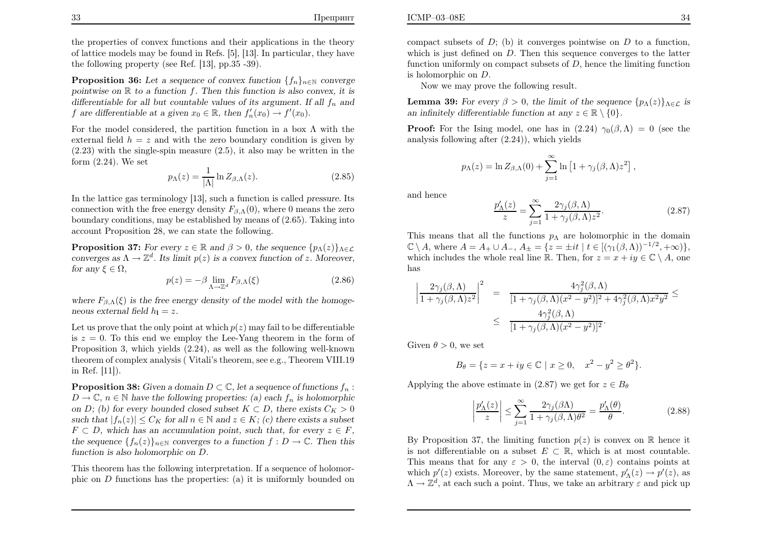the properties of convex functions and their applications in the theory of lattice models may be found in Refs. [5], [13]. In particular, they havethe following property (see Ref. [13], pp.35 -39).

**Proposition 36:** Let a sequence of convex function  $\{f_n\}_{n\in\mathbb{N}}$  converge pointwise on  $\mathbb R$  to a function f. Then this function is also convex, it is differentiable for all but countable values of its argument. If all  $f_n$  and f are differentiable at a given  $x_0 \in \mathbb{R}$ , then  $f'_n(x_0) \to f'(x_0)$ .

For the model considered, the partition function in a box  $\Lambda$  with the external field  $h = z$  and with the zero boundary condition is given by  $(0.82)$  (2.23) with the single-spin measure (2.5), it also may be written in theform (2.24). We set

$$
p_{\Lambda}(z) = \frac{1}{|\Lambda|} \ln Z_{\beta,\Lambda}(z). \tag{2.85}
$$

In the lattice gas terminology [13], such <sup>a</sup> function is called pressure. Its connection with the free energy density  $F_{\beta,\Lambda}(0)$ , where 0 means the zero boundary conditions, may be established by means of (2.65). Taking intoaccount Proposition 28, we can state the following.

**Proposition 37:** For every  $z \in \mathbb{R}$  and  $\beta > 0$ , the sequence  $\{p_\Lambda(z)\}_{\Lambda \in \mathcal{L}}$ converges as  $\Lambda \to \mathbb{Z}^d$ . Its limit  $p(z)$  is a convex function of z. Moreover, for any  $\xi \in \Omega$ ,

$$
p(z) = -\beta \lim_{\Lambda \to \mathbb{Z}^d} F_{\beta,\Lambda}(\xi)
$$
\n(2.86)

where  $F_{\beta,\Lambda}(\xi)$  is the free energy density of the model with the homogeneous external field  $h_1 = z$ .

Let us prove that the only point at which  $p(z)$  may fail to be differentiable is  $z = 0$ . To this end we employ the Lee-Yang theorem in the form of Proposition 3, which <sup>y</sup>ields (2.24), as well as the following well-known theorem of complex analysis ( Vitali's theorem, see e.g., Theorem VIII.19in Ref. [11]).

**Proposition 38:** Given a domain  $D \subset \mathbb{C}$ , let a sequence of functions  $f_n$ :  $D \to \mathbb{C}$ ,  $n \in \mathbb{N}$  have the following properties: (a) each  $f_n$  is holomorphic on D; (b) for every bounded closed subset  $K \subset D$ , there exists  $C_K > 0$ such that  $|f_n(z)| \leq C_K$  for all  $n \in \mathbb{N}$  and  $z \in K$ ; (c) there exists a subset  $F \subset D$ , which has no accomputation with work that for any  $x \in F$ .  $F\subset D$ , which has an accumulation point, such that, for every  $z\in F$ , the sequence  $\{f_n(z)\}_{n\in\mathbb{N}}$  converges to a function  $f: D \to \mathbb{C}$ . Then this function is also holomorphic on D.

This theorem has the following interpretation. If <sup>a</sup> sequence of holomorphic on  $D$  functions has the properties: (a) it is uniformly bounded on

compact subsets of  $D$ ; (b) it converges pointwise on  $D$  to a function, which is just defined on  $D$ . Then this sequence converges to the latter function uniformly on compact subsets of  $D$ , hence the limiting function is holomorphic on  $D$ .

Now we may prove the following result.

**Lemma 39:** For every  $\beta > 0$ , the limit of the sequence  $\{p_{\Lambda}(z)\}_{\Lambda \in \mathcal{L}}$  is an infinitely differentiable function at any  $z \in \mathbb{R} \setminus \{0\}.$ 

**Proof:** For the Ising model, one has in  $(2.24)$   $\gamma_0(\beta,\Lambda) = 0$  (see the analysis following after (2.24)), which <sup>y</sup>ields

$$
p_{\Lambda}(z) = \ln Z_{\beta,\Lambda}(0) + \sum_{j=1}^{\infty} \ln \left[1 + \gamma_j(\beta,\Lambda)z^2\right],
$$

and hence

$$
\frac{p'_{\Lambda}(z)}{z} = \sum_{j=1}^{\infty} \frac{2\gamma_j(\beta,\Lambda)}{1 + \gamma_j(\beta,\Lambda)z^2}.
$$
 (2.87)

This means that all the functions  $p_{\Lambda}$  are holomorphic in the domain  $\mathbb{C} \setminus A$ , where  $A = A_+ \cup A_-, A_{\pm} = \{z = \pm it \mid t \in [(\gamma_1(\beta, \Lambda))^{-1/2}, +\infty)\},$ which includes the whole real line R. Then, for  $z = x + iy \in \mathbb{C} \setminus A$ , one has

$$
\left|\frac{2\gamma_j(\beta,\Lambda)}{1+\gamma_j(\beta,\Lambda)z^2}\right|^2 = \frac{4\gamma_j^2(\beta,\Lambda)}{[1+\gamma_j(\beta,\Lambda)(x^2-y^2)]^2+4\gamma_j^2(\beta,\Lambda)x^2y^2} \leq
$$
  

$$
\leq \frac{4\gamma_j^2(\beta,\Lambda)}{[1+\gamma_j(\beta,\Lambda)(x^2-y^2)]^2}.
$$

Given  $\theta > 0$ , we set

$$
B_{\theta} = \{ z = x + iy \in \mathbb{C} \mid x \ge 0, \quad x^2 - y^2 \ge \theta^2 \}.
$$

Applying the above estimate in (2.87) we get for  $z \in B_{\theta}$ 

$$
\left|\frac{p_{\Lambda}'(z)}{z}\right| \le \sum_{j=1}^{\infty} \frac{2\gamma_j(\beta \Lambda)}{1 + \gamma_j(\beta, \Lambda)\theta^2} = \frac{p_{\Lambda}'(\theta)}{\theta}.
$$
 (2.88)

By Proposition 37, the limiting function  $p(z)$  is convex on R hence it is not differentiable on a subset  $E\subset\mathbb{R}$ , which is at most countable. This means that for any  $\varepsilon > 0$ , the interval  $(0, \varepsilon)$  contains points at which  $p'(z)$  exists. Moreover, by the same statement,  $p'_{\Lambda}(z) \to p'(z)$ , as  $\Lambda \to \mathbb{Z}^d$ , at each such a point. Thus, we take an arbitrary  $\varepsilon$  and pick up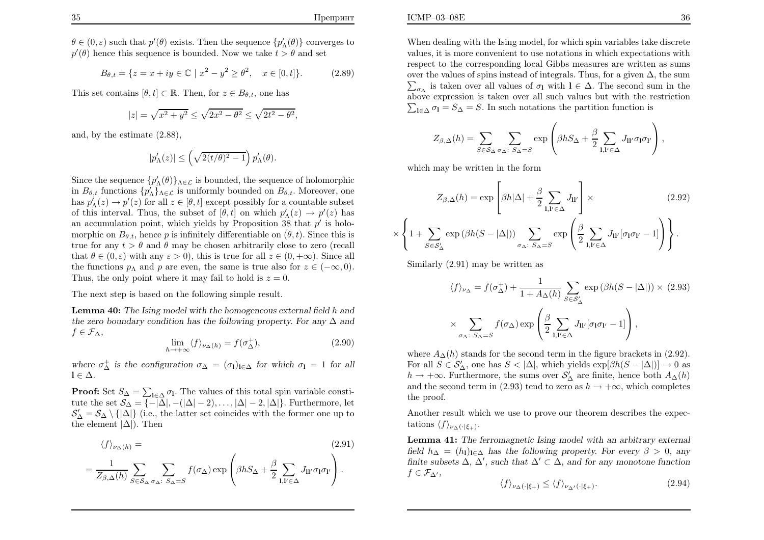$\theta \in (0,\varepsilon)$  such that  $p'(\theta)$  exists. Then the sequence  $\{p'_\Lambda(\theta)\}$  converges to  $p'(\theta)$  hence this sequence is bounded. Now we take  $t > \theta$  and set

$$
B_{\theta,t} = \{ z = x + iy \in \mathbb{C} \mid x^2 - y^2 \ge \theta^2, \quad x \in [0, t] \}. \tag{2.89}
$$

This set contains  $[\theta, t] \subset \mathbb{R}$ . Then, for  $z \in B_{\theta, t}$ , one has

$$
|z| = \sqrt{x^2 + y^2} \le \sqrt{2x^2 - \theta^2} \le \sqrt{2t^2 - \theta^2},
$$

and, by the estimate (2.88),

$$
|p_\Lambda'(z)|\leq \left(\sqrt{2(t/\theta)^2-1}\right)p_\Lambda'(\theta).
$$

Since the sequence  $\{p'_\Lambda(\theta)\}_{{\Lambda}\in\mathcal{L}}$  is bounded, the sequence of holomorphic in  $B_{\theta,t}$  functions  $\{p'_\Lambda\}_{\Lambda \in \mathcal{L}}$  is uniformly bounded on  $B_{\theta,t}$ . Moreover, one has  $p'_{\Lambda}(z) \to p'(z)$  for all  $z \in [\theta, t]$  except possibly for a countable subset of this interval. Thus, the subset of  $[\theta, t]$  on which  $p'_{\Lambda}(z) \to p'(z)$  has an accumulation point, which yields by Proposition 38 that  $p'$  is holomorphic on  $B_{\theta,t}$ , hence p is infinitely differentiable on  $(\theta, t)$ . Since this is true for any  $t > \theta$  and  $\theta$  may be chosen arbitrarily close to zero (recall that  $\theta \in (0, \varepsilon)$  with any  $\varepsilon > 0$ , this is true for all  $z \in (0, +\infty)$ . Since all<br>the functions we set a sum that some is true she for  $x \in (-\infty, 0)$ . the functions  $p_{\Lambda}$  and  $p$  are even, the same is true also for  $z \in (-\infty, 0)$ . Thus, the only point where it may fail to hold is  $z = 0$ .

The next step is based on the following simple result.

**Lemma 40:** The Ising model with the homogeneous external field  $h$  and the zero boundary condition has the following property. For any  $\Delta$  and  $f \in \mathcal{F}$  $f \in \mathcal{F}_{\Delta}$ ,

$$
\lim_{h \to +\infty} \langle f \rangle_{\nu_{\Delta}(h)} = f(\sigma_{\Delta}^+),\tag{2.90}
$$

where  $\sigma_{\Delta}^+$  is the configuration  $\sigma_{\Delta} = (\sigma_1)_{1 \in \Delta}$  for which  $\sigma_1 = 1$  for all  $\epsilon \Delta$  $l \in \Delta$ .

**Proof:** Set  $S_{\Delta}=\sum_{\mathbf{l}\in\Delta}\sigma_{\mathbf{l}}$ . The values of this total spin variable constitute the set  $\mathcal{S}_{\Delta} = \{-|\Delta|, -(|\Delta| - 2), \ldots, |\Delta| - 2, |\Delta|\}$ . Furthermore, let  $S'_{\Delta} = S_{\Delta} \setminus \{|\Delta|\}$  (i.e., the latter set coincides with the former one up to the element  $|\Delta|$ ). Then

$$
\langle f \rangle_{\nu_{\Delta}(h)} = \tag{2.91}
$$

$$
= \frac{1}{Z_{\beta,\Delta}(h)} \sum_{S \in \mathcal{S}_{\Delta}} \sum_{\sigma_{\Delta}: S_{\Delta} = S} f(\sigma_{\Delta}) \exp \left( \beta h S_{\Delta} + \frac{\beta}{2} \sum_{\mathbf{l}, \mathbf{l}' \in \Delta} J_{\mathbf{l}\mathbf{l}'} \sigma_{\mathbf{l}} \sigma_{\mathbf{l}'} \right).
$$

ICMP–03–08E $\mathbf{E}$  36

When dealing with the Ising model, for which spin variables take discrete values, it is more convenient to use notations in which expectations with respect to the corresponding local Gibbs measures are written as sumsover the values of spins instead of integrals. Thus, for a given  $\Delta$ , the sum  $\sum_{\sigma_{\Delta}}$  is taken over all values of  $\sigma_1$  with  $l \in \Delta$ . The second sum in the above expression is taken over all such values but with the restriction above expression is taken over all such values but with the restriction  $\sum_{I \in \Delta} \sigma_I = S_{\Delta} = S$ . In such notations the partition function is

$$
Z_{\beta,\Delta}(h) = \sum_{S \in \mathcal{S}_{\Delta}} \sum_{\sigma_{\Delta}: S_{\Delta} = S} \exp \left( \beta h S_{\Delta} + \frac{\beta}{2} \sum_{\mathbf{l}, \mathbf{l}' \in \Delta} J_{\mathbf{l}\mathbf{l}'} \sigma_{\mathbf{l}} \sigma_{\mathbf{l}'} \right),
$$

which may be written in the form

$$
Z_{\beta,\Delta}(h) = \exp\left[\beta h|\Delta| + \frac{\beta}{2} \sum_{\mathbf{l},\mathbf{l}' \in \Delta} J_{\mathbf{l}\mathbf{l}'}\right] \times
$$
(2.92)  

$$
\left\{1 + \sum_{S \in \mathcal{S}'_{\Delta}} \exp\left(\beta h(S - |\Delta|)\right) \sum_{\sigma_{\Delta}: S_{\Delta} = S} \exp\left(\frac{\beta}{2} \sum_{\mathbf{l},\mathbf{l}' \in \Delta} J_{\mathbf{l}\mathbf{l}'}[\sigma_{\mathbf{l}}\sigma_{\mathbf{l}'} - 1]\right)\right\}.
$$

Similarly (2.91) may be written as

×

$$
\langle f \rangle_{\nu_{\Delta}} = f(\sigma_{\Delta}^{+}) + \frac{1}{1 + A_{\Delta}(h)} \sum_{S \in S_{\Delta}'} \exp \left( \beta h(S - |\Delta|) \right) \times (2.93)
$$

$$
\times \sum_{\sigma_{\Delta} \colon S_{\Delta} = S} f(\sigma_{\Delta}) \exp \left( \frac{\beta}{2} \sum_{\mathbf{l}, \mathbf{l}' \in \Delta} J_{\mathbf{l} \mathbf{l}'}[\sigma_{\mathbf{l}} \sigma_{\mathbf{l}'} - 1] \right),
$$

where  $A_{\Delta}(h)$  stands for the second term in the figure brackets in (2.92). For all  $S \in S'_{\Delta}$ , one has  $S < |\Delta|$ , which yields  $\exp[\beta h(S - |\Delta|)] \to 0$  as  $h \to +\infty$ . Furthermore, the sums over  $S'$ , are finite, hence both  $A_{\Delta}(h)$ .  $h \to +\infty$ . Furthermore, the sums over  $S'_{\Delta}$  are finite, hence both  $A_{\Delta}(h)$ and the second term in (2.93) tend to zero as  $h \to +\infty$ , which completes the proof.

Another result which we use to prove our theorem describes the expectations  $\langle f \rangle_{\nu_{\Delta}(\cdot|\xi_{+})}$ .

Lemma 41: The ferromagnetic Ising model with an arbitrary external field  $h_{\Delta} = (h_{\mathbf{l}})_{\mathbf{l} \in \Delta}$  has the following property. For every  $\beta > 0$ , any finite subsets  $\Delta$ ,  $\Delta'$ , such that  $\Delta' \subset \Delta$ , and for any monotone function  $f \in \mathcal{F}_{\Delta}$ ',

$$
\langle f \rangle_{\nu_{\Delta}(\cdot|\xi_{+})} \le \langle f \rangle_{\nu_{\Delta'}(\cdot|\xi_{+})}.\tag{2.94}
$$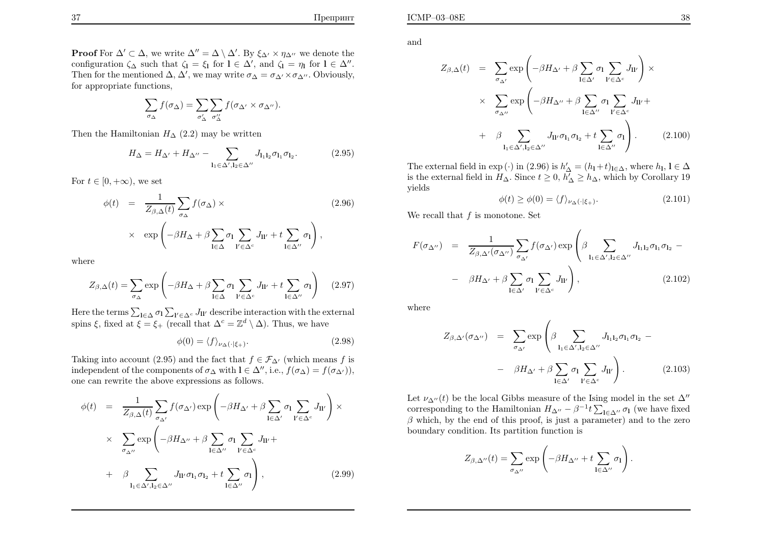ICMP–03–08E

**Proof** For  $\Delta' \subset \Delta$ , we write  $\Delta'' = \Delta \setminus \Delta'$ . By  $\xi_{\Delta'} \times \eta_{\Delta''}$  we denote the configuration  $\zeta_{\Delta}$  such that  $\zeta_1 = \xi_1$  for  $1 \in \Delta'$ , and  $\zeta_1 = \eta_1$  for  $1 \in \Delta''$ . Then for the mentioned  $\Delta$ ,  $\Delta'$ , we may write  $\sigma_{\Delta}=\sigma_{\Delta'}\times \sigma_{\Delta''}$ . Obviously, for appropriate functions,

$$
\sum_{\sigma_{\Delta}} f(\sigma_{\Delta}) = \sum_{\sigma'_{\Delta}} \sum_{\sigma''_{\Delta}} f(\sigma_{\Delta'} \times \sigma_{\Delta''}).
$$

Then the Hamiltonian  $H_{\Delta}$  (2.2) may be written

$$
H_{\Delta} = H_{\Delta'} + H_{\Delta''} - \sum_{\mathbf{l}_1 \in \Delta', \mathbf{l}_2 \in \Delta''} J_{\mathbf{l}_1 \mathbf{l}_2} \sigma_{\mathbf{l}_1} \sigma_{\mathbf{l}_2}.
$$
 (2.95)

For  $t \in [0, +\infty)$ , we set

$$
\phi(t) = \frac{1}{Z_{\beta,\Delta}(t)} \sum_{\sigma_{\Delta}} f(\sigma_{\Delta}) \times
$$
\n
$$
\times \exp\left(-\beta H_{\Delta} + \beta \sum_{\mathbf{l} \in \Delta} \sigma_{\mathbf{l}} \sum_{\mathbf{l}' \in \Delta^c} J_{\mathbf{l} \mathbf{l}'} + t \sum_{\mathbf{l} \in \Delta''} \sigma_{\mathbf{l}}\right),
$$
\n(2.96)

where

$$
Z_{\beta,\Delta}(t) = \sum_{\sigma_{\Delta}} \exp\left(-\beta H_{\Delta} + \beta \sum_{\mathbf{l} \in \Delta} \sigma_{\mathbf{l}} \sum_{\mathbf{l}' \in \Delta^c} J_{\mathbf{l}\mathbf{l}'} + t \sum_{\mathbf{l} \in \Delta''} \sigma_{\mathbf{l}}\right) \tag{2.97}
$$

Here the terms  $\sum_{l \in \Delta} \sigma_l \sum_{l' \in \Delta^c} J_{ll'}$  des Here the terms  $\sum_{\mathbf{l} \in \Delta} \sigma_{\mathbf{l}} \sum_{\mathbf{l}' \in \Delta^c} J_{\mathbf{l}'}$  describe interaction with the external spins  $\xi$ , fixed at  $\xi = \xi_+$  (recall that  $\Delta^c = \mathbb{Z}^d \setminus \Delta$ ). Thus, we have

$$
\phi(0) = \langle f \rangle_{\nu_{\Delta}(\cdot|\xi_{+})}.\tag{2.98}
$$

Taking into account (2.95) and the fact that  $f \in \mathcal{F}_{\Delta}$ <sup>0</sup> (which means f is independent of the components of  $\sigma_{\Delta}$  with  $l \in \Delta''$ , i.e.,  $f(\sigma_{\Delta}) = f(\sigma_{\Delta'}))$ , one can rewrite the above expressions as follows.

$$
\phi(t) = \frac{1}{Z_{\beta,\Delta}(t)} \sum_{\sigma_{\Delta'}} f(\sigma_{\Delta'}) \exp\left(-\beta H_{\Delta'} + \beta \sum_{\mathbf{l} \in \Delta'} \sigma_{\mathbf{l}} \sum_{\mathbf{l'} \in \Delta^c} J_{\mathbf{l} \mathbf{l'}}\right) \times \times \sum_{\sigma_{\Delta''}} \exp\left(-\beta H_{\Delta''} + \beta \sum_{\mathbf{l} \in \Delta''} \sigma_{\mathbf{l}} \sum_{\mathbf{l'} \in \Delta^c} J_{\mathbf{l} \mathbf{l'}} + + \beta \sum_{\mathbf{l}_1 \in \Delta', \mathbf{l}_2 \in \Delta''} J_{\mathbf{l} \mathbf{l'}} \sigma_{\mathbf{l}_1} \sigma_{\mathbf{l}_2} + t \sum_{\mathbf{l} \in \Delta''} \sigma_{\mathbf{l}}\right),
$$
\n(2.99)

and

$$
Z_{\beta,\Delta}(t) = \sum_{\sigma_{\Delta'}} \exp\left(-\beta H_{\Delta'} + \beta \sum_{\mathbf{l} \in \Delta'} \sigma_{\mathbf{l}} \sum_{\mathbf{l'} \in \Delta^c} J_{\mathbf{l}\mathbf{l'}}\right) \times \times \sum_{\sigma_{\Delta''}} \exp\left(-\beta H_{\Delta''} + \beta \sum_{\mathbf{l} \in \Delta''} \sigma_{\mathbf{l}} \sum_{\mathbf{l'} \in \Delta^c} J_{\mathbf{l}\mathbf{l'}} + + \beta \sum_{\mathbf{l}_1 \in \Delta', \mathbf{l}_2 \in \Delta''} J_{\mathbf{l}\mathbf{l'}} \sigma_{\mathbf{l}_1} \sigma_{\mathbf{l}_2} + t \sum_{\mathbf{l} \in \Delta''} \sigma_{\mathbf{l}}\right).
$$
 (2.100)

The external field in  $\exp(\cdot)$  in (2.96) is  $h'_{\Delta} = (h_1 + t)_{1 \in \Delta}$ , where  $h_1, 1 \in \Delta$ <br>is the external field in H, Since  $t > 0$ ,  $h' > h$ , which by Corollary 10 is the external field in  $H_{\Delta}$ . Since  $t \geq 0$ ,  $h'_{\Delta} \geq h_{\Delta}$ , which by Corollary 19 yields

$$
\phi(t) \ge \phi(0) = \langle f \rangle_{\nu_{\Delta}(\cdot|\xi_{+})}.\tag{2.101}
$$

We recall that  $f$  is monotone. Set

$$
F(\sigma_{\Delta''}) = \frac{1}{Z_{\beta,\Delta'}(\sigma_{\Delta''})} \sum_{\sigma_{\Delta'}} f(\sigma_{\Delta'}) \exp\left(\beta \sum_{\mathbf{l}_1 \in \Delta', \mathbf{l}_2 \in \Delta''} J_{\mathbf{l}_1 \mathbf{l}_2} \sigma_{\mathbf{l}_1} \sigma_{\mathbf{l}_2} - \beta H_{\Delta'} + \beta \sum_{\mathbf{l} \in \Delta'} \sigma_{\mathbf{l}} \sum_{\mathbf{l'} \in \Delta^c} J_{\mathbf{l} \mathbf{l'}}\right),
$$
\n(2.102)

where

$$
Z_{\beta,\Delta'}(\sigma_{\Delta''}) = \sum_{\sigma_{\Delta'}} \exp\left(\beta \sum_{\mathbf{l}_1 \in \Delta', \mathbf{l}_2 \in \Delta''} J_{\mathbf{l}_1 \mathbf{l}_2} \sigma_{\mathbf{l}_1} \sigma_{\mathbf{l}_2} - \right.
$$

$$
- \beta H_{\Delta'} + \beta \sum_{\mathbf{l} \in \Delta'} \sigma_{\mathbf{l}} \sum_{\mathbf{l'} \in \Delta^c} J_{\mathbf{l} \mathbf{l'}} \right).
$$
(2.103)

Let  $\nu_{\Delta}u(t)$  be the local Gibbs measure of the Ising model in the set  $\Delta$ " corresponding to the Hamiltonian  $H_{\Delta''} - \beta^{-1} t \sum_{\mathbf{l} \in \Delta''} \sigma_{\mathbf{l}}$  (we have fixed  $\beta$  which, by the end of this proof, is just a parameter) and to the zero boundary condition. Its partition function is

$$
Z_{\beta,\Delta''}(t) = \sum_{\sigma_{\Delta''}} \exp\left(-\beta H_{\Delta''} + t \sum_{\mathbf{l} \in \Delta''} \sigma_{\mathbf{l}}\right)
$$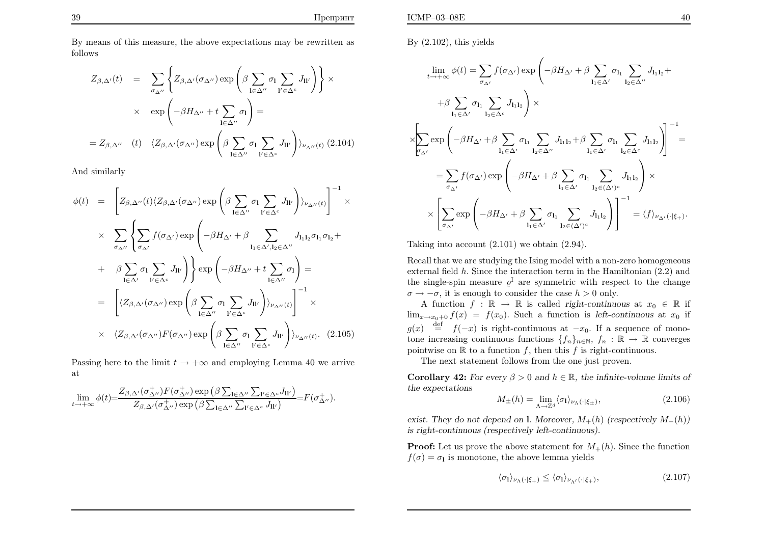By means of this measure, the above expectations may be rewritten asfollows

$$
Z_{\beta,\Delta'}(t) = \sum_{\sigma_{\Delta''}} \left\{ Z_{\beta,\Delta'}(\sigma_{\Delta''}) \exp \left( \beta \sum_{\mathbf{l} \in \Delta''} \sigma_{\mathbf{l}} \sum_{\mathbf{l}' \in \Delta^{c}} J_{\mathbf{l}\mathbf{l}'} \right) \right\} \times
$$
  
 
$$
\times \exp \left( -\beta H_{\Delta''} + t \sum_{\mathbf{l} \in \Delta''} \sigma_{\mathbf{l}} \right) =
$$
  

$$
= Z_{\beta,\Delta''} \quad (t) \quad \langle Z_{\beta,\Delta'}(\sigma_{\Delta''}) \exp \left( \beta \sum_{\mathbf{l} \in \Delta''} \sigma_{\mathbf{l}} \sum_{\mathbf{l}' \in \Delta^{c}} J_{\mathbf{l}\mathbf{l}'} \right) \rangle_{\nu_{\Delta''}(t)} (2.104)
$$

And similarly

$$
\phi(t) = \left[Z_{\beta,\Delta''}(t)\langle Z_{\beta,\Delta'}(\sigma_{\Delta''})\exp\left(\beta \sum_{\mathbf{l}\in\Delta''}\sigma_{\mathbf{l}}\sum_{\mathbf{l}'\in\Delta^{c}}J_{\mathbf{l}\mathbf{l}'}\right)\rangle_{\nu_{\Delta''}(t)}\right]^{-1} \times
$$
  

$$
\times \sum_{\sigma_{\Delta''}}\left\{\sum_{\sigma_{\Delta'}}f(\sigma_{\Delta'})\exp\left(-\beta H_{\Delta'}+\beta \sum_{\mathbf{l}_{1}\in\Delta',\mathbf{l}_{2}\in\Delta''}J_{\mathbf{l}_{1}\mathbf{l}_{2}}\sigma_{\mathbf{l}_{1}\sigma_{\mathbf{l}_{2}}}+\beta \sum_{\mathbf{l}\in\Delta'}\sigma_{\mathbf{l}}\sum_{\mathbf{l}'\in\Delta'}J_{\mathbf{l}'}\right)\right\} \exp\left(-\beta H_{\Delta''}+t\sum_{\mathbf{l}\in\Delta''}\sigma_{\mathbf{l}}\right)=
$$
  

$$
= \left[\langle Z_{\beta,\Delta'}(\sigma_{\Delta''})\exp\left(\beta \sum_{\mathbf{l}\in\Delta''}\sigma_{\mathbf{l}}\sum_{\mathbf{l}'\in\Delta^{c}}J_{\mathbf{l}\mathbf{l}'}\right)\rangle_{\nu_{\Delta''}(t)}\right]^{-1} \times
$$
  

$$
\times \langle Z_{\beta,\Delta'}(\sigma_{\Delta''})F(\sigma_{\Delta''})\exp\left(\beta \sum_{\mathbf{l}\in\Delta''}\sigma_{\mathbf{l}}\sum_{\mathbf{l}'\in\Delta^{c}}J_{\mathbf{l}\mathbf{l}'}\right)\rangle_{\nu_{\Delta''}(t)}.
$$
(2.105)

Passing here to the limit  $t \to +\infty$  and employing Lemma 40 we arrive at

$$
\lim_{t \to +\infty} \phi(t) = \frac{Z_{\beta,\Delta'}(\sigma_{\Delta''}^+)F(\sigma_{\Delta''}^+) \exp \left(\beta \sum_{\mathbf{l} \in \Delta''} \sum_{\mathbf{l}' \in \Delta^c} J_{\mathbf{l}\mathbf{l}'} \right)}{Z_{\beta,\Delta'}(\sigma_{\Delta''}^+) \exp \left(\beta \sum_{\mathbf{l} \in \Delta''} \sum_{\mathbf{l}' \in \Delta^c} J_{\mathbf{l}\mathbf{l}'} \right)} = F(\sigma_{\Delta''}^+).
$$

By  $(2.102)$ , this yields

$$
\lim_{t \to +\infty} \phi(t) = \sum_{\sigma_{\Delta'}} f(\sigma_{\Delta'}) \exp\left(-\beta H_{\Delta'} + \beta \sum_{\mathbf{l}_1 \in \Delta'} \sigma_{\mathbf{l}_1} \sum_{\mathbf{l}_2 \in \Delta''} J_{\mathbf{l}_1 \mathbf{l}_2} + \beta \sum_{\mathbf{l}_1 \in \Delta'} \sigma_{\mathbf{l}_1} \sum_{\mathbf{l}_2 \in \Delta''} J_{\mathbf{l}_1 \mathbf{l}_2}\right) \times
$$
\n
$$
\times \left[ \sum_{\sigma_{\Delta'}} \exp\left(-\beta H_{\Delta'} + \beta \sum_{\mathbf{l}_1 \in \Delta'} \sigma_{\mathbf{l}_1} \sum_{\mathbf{l}_2 \in \Delta''} J_{\mathbf{l}_1 \mathbf{l}_2} + \beta \sum_{\mathbf{l}_1 \in \Delta'} \sigma_{\mathbf{l}_1} \sum_{\mathbf{l}_2 \in \Delta^{c}} J_{\mathbf{l}_1 \mathbf{l}_2}\right) \right]^{-1}
$$
\n
$$
= \sum_{\sigma_{\Delta'}} f(\sigma_{\Delta'}) \exp\left(-\beta H_{\Delta'} + \beta \sum_{\mathbf{l}_1 \in \Delta'} \sigma_{\mathbf{l}_1} \sum_{\mathbf{l}_2 \in (\Delta')^c} J_{\mathbf{l}_1 \mathbf{l}_2}\right) \times
$$
\n
$$
\times \left[ \sum_{\sigma_{\Delta'}} \exp\left(-\beta H_{\Delta'} + \beta \sum_{\mathbf{l}_1 \in \Delta'} \sigma_{\mathbf{l}_1} \sum_{\mathbf{l}_2 \in (\Delta')^c} J_{\mathbf{l}_1 \mathbf{l}_2}\right) \right]^{-1} = \langle f \rangle_{\nu_{\Delta'}(\cdot|\xi_+)}.
$$

Taking into account (2.101) we obtain (2.94).

Recall that we are studying the Ising model with <sup>a</sup> non-zero homogeneousexternal field  $h$ . Since the interaction term in the Hamiltonian  $(2.2)$  and the single-spin measure  $\varrho^{\mathrm{I}}$  are symmetric with respect to the change  $\sigma \to -\sigma$ , it is enough to consider the case  $h > 0$  only.

A function  $f : \mathbb{R} \to \mathbb{R}$  is called right-continuous at  $x_0 \in \mathbb{R}$  if  $\lim_{x\to x_0+0} f(x) = f(x_0)$ . Such a function is left-continuous at  $x_0$  if  $g(x) \stackrel{\text{def}}{=} f(-x)$  is right-continuous at  $-x_0$ . If a sequence of monotone increasing continuous functions  $\{f_n\}_{n\in\mathbb{N}}$ ,  $f_n : \mathbb{R} \to \mathbb{R}$  converges pointwise on  $\mathbb{R}$  to a function f, then this f is right-continuous.

The next statement follows from the one just proven.

**Corollary 42:** For every  $\beta > 0$  and  $h \in \mathbb{R}$ , the infinite-volume limits of the expectations

$$
M_{\pm}(h) = \lim_{\Lambda \to \mathbb{Z}^d} \langle \sigma_1 \rangle_{\nu_{\Lambda}(\cdot | \xi_{\pm})},\tag{2.106}
$$

exist. They do not depend on l. Moreover,  $M_+(h)$  (respectively  $M_-(h)$ ) is right-continuous (respectively left-continuous).

**Proof:** Let us prove the above statement for  $M_{+}(h)$ . Since the function  $f(\sigma) = \sigma_{\mathbf{l}}$  is monotone, the above lemma yields

$$
\langle \sigma_1 \rangle_{\nu_\Lambda(\cdot|\xi_+)} \le \langle \sigma_1 \rangle_{\nu_{\Lambda'}(\cdot|\xi_+)},\tag{2.107}
$$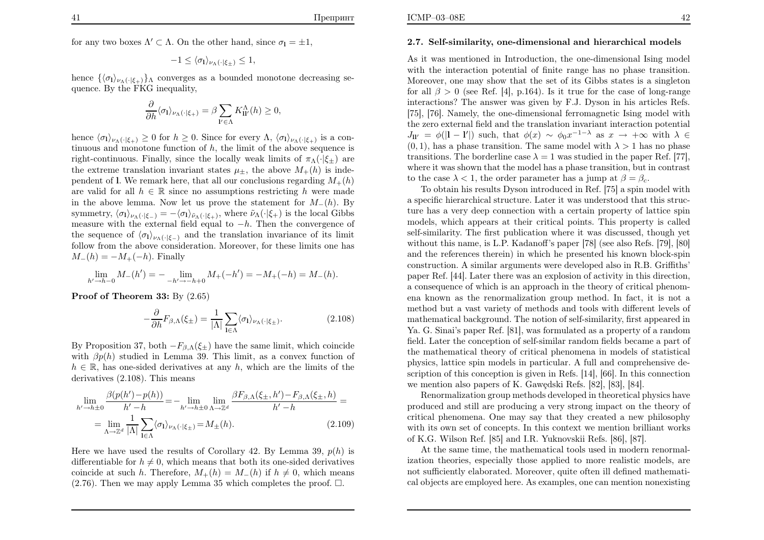for any two boxes  $\Lambda' \subset \Lambda$ . On the other hand, since  $\sigma_{\mathbf{l}} = \pm 1$ ,

$$
-1 \leq \langle \sigma_{\mathbf{l}} \rangle_{\nu_{\Lambda}(\cdot | \xi_{\pm})} \leq 1,
$$

hence  $\{\langle \sigma_l \rangle_{\nu_\Lambda}(\cdot | \xi_+) \}$ λ converges as a bounded monotone decreasing sequence. By the FKG inequality,

$$
\frac{\partial}{\partial h} \langle \sigma_1 \rangle_{\nu_\Lambda(\cdot|\xi_+)} = \beta \sum_{\mathbf{l}' \in \Lambda} K^{\Lambda}_{\mathbf{l}\mathbf{l}'}(h) \ge 0,
$$

hence  $\langle \sigma_l \rangle_{\nu_{\Lambda}(\cdot|\xi_+)} \geq 0$  for  $h \geq 0$ . Since for every  $\Lambda$ ,  $\langle \sigma_l \rangle_{\nu_{\Lambda}(\cdot|\xi_+)}$  is a continuous and monotone function of  $h$ , the limit of the above sequence is right-continuous. Finally, since the locally weak limits of  $\pi_{\Lambda}(\cdot|\xi_{\pm})$  are the extreme translation invariant states  $\mu_{\pm}$ , the above  $M_{+}(h)$  is independent of l. We remark here, that all our conclusions regarding  $M_+(h)$ are valid for all  $h \in \mathbb{R}$  since no assumptions restricting h were made in the above lemma. Now let us prove the statement for  $M_-(h)$ . By symmetry,  $\langle \sigma_1 \rangle_{\nu_\Lambda(\cdot|\xi_-)} = -\langle \sigma_1 \rangle_{\tilde{\nu}_\Lambda(\cdot|\xi_+)},$  where  $\tilde{\nu}_\Lambda(\cdot|\xi_+)$  is the local Gibbs measure with the external field equal to  $-h$ . Then the convergence of the sequence of  $\langle \sigma_1 \rangle_{\nu\Lambda(\cdot|\xi_{-})}$  and the translation invariance of its limit follow from the above consideration. Moreover, for these limits one has $M_-(h) = -M_+(-h)$ . Finally

$$
\lim_{h' \to h-0} M_-(h') = - \lim_{h' \to -h+0} M_+(-h') = -M_+(-h) = M_-(h).
$$

 $\bf Proof~of~Theorem~33:$   $\rm By~(2.65)$ 

$$
-\frac{\partial}{\partial h}F_{\beta,\Lambda}(\xi_{\pm}) = \frac{1}{|\Lambda|} \sum_{\mathbf{l} \in \Lambda} \langle \sigma_{\mathbf{l}} \rangle_{\nu_{\Lambda}(\cdot|\xi_{\pm})}.
$$
 (2.108)

By Proposition 37, both  $-F_{\beta,\Lambda}(\xi_{\pm})$  have the same limit, which coincide with  $\beta p(h)$  studied in Lemma 39. This limit, as a convex function of  $h \in \mathbb{R}$ , has one-sided derivatives at any h, which are the limits of the derivatives (2.108). This means

$$
\lim_{h' \to h \pm 0} \frac{\beta(p(h') - p(h))}{h' - h} = - \lim_{h' \to h \pm 0} \lim_{\Lambda \to \mathbb{Z}^d} \frac{\beta F_{\beta, \Lambda}(\xi_{\pm}, h') - F_{\beta, \Lambda}(\xi_{\pm}, h)}{h' - h} =
$$
\n
$$
= \lim_{\Lambda \to \mathbb{Z}^d} \frac{1}{|\Lambda|} \sum_{l \in \Lambda} \langle \sigma_l \rangle_{\nu_{\Lambda}(\cdot | \xi_{\pm})} = M_{\pm}(h). \tag{2.109}
$$

Here we have used the results of Corollary 42. By Lemma 39,  $p(h)$  is differentiable for  $h \neq 0$ , which means that both its one-sided derivatives coincide at such h. Therefore,  $M_+(h) = M_-(h)$  if  $h \neq 0$ , which means  $(2.76)$ . Then we may apply Lemma 35 which completes the proof.  $\Box$ .

### 2.7. Self-similarity, one-dimensional and hierarchical models

As it was mentioned in Introduction, the one-dimensional Ising model with the interaction potential of finite range has no <sup>p</sup>hase transition. Moreover, one may show that the set of its Gibbs states is <sup>a</sup> singletonfor all  $\beta > 0$  (see Ref. [4], p.164). Is it true for the case of long-range interactions? The answer was given by F.J. Dyson in his articles Refs.[75], [76]. Namely, the one-dimensional ferromagnetic Ising model with the zero external field and the translation invariant interaction potential $J_{\mathbf{u}} = \phi(|\mathbf{l} - \mathbf{l}'|)$  such, that  $\phi(x) \sim \phi_0 x^{-1-\lambda}$  as  $x \to +\infty$  with  $\lambda \in$  (0, 1) has a phase transition. The same model with  $\lambda > 1$  has no phase  $(0, 1)$ , has a phase transition. The same model with  $\lambda > 1$  has no phase transitions. The borderline case  $\lambda = 1$  was studied in the paper Ref. [77], where it was shown that the model has <sup>a</sup> phase transition, but in contrastto the case  $\lambda < 1$ , the order parameter has a jump at  $\beta = \beta_c$ .

 To obtain his results Dyson introduced in Ref. [75] <sup>a</sup> spin model with <sup>a</sup> specific hierarchical structure. Later it was understood that this structure has <sup>a</sup> very deep connection with <sup>a</sup> certain property of lattice spin models, which appears at their critical points. This property is called self-similarity. The first publication where it was discussed, though yet without this name, is L.P. Kadanoff's paper [78] (see also Refs. [79], [80]and the references therein) in which he presented his known block-spin construction. A similar arguments were developed also in R.B. Griffiths' paper Ref. [44]. Later there was an explosion of activity in this direction, <sup>a</sup> consequence of which is an approach in the theory of critical <sup>p</sup>henomena known as the renormalization group method. In fact, it is not <sup>a</sup> method but <sup>a</sup> vast variety of methods and tools with different levels of mathematical background. The notion of self-similarity, first appeared in Ya. G. Sinai's paper Ref. [81], was formulated as <sup>a</sup> property of <sup>a</sup> random field. Later the conception of self-similar random fields became <sup>a</sup> part of the mathematical theory of critical <sup>p</sup>henomena in models of statistical<sup>p</sup>hysics, lattice spin models in particular. A full and comprehensive description of this conception is <sup>g</sup>iven in Refs. [14], [66]. In this connection we mention also papers of K. Gawędski Refs. [82], [83], [84].

Renormalization group methods developed in theoretical physics have produced and still are producing <sup>a</sup> very strong impact on the theory ofcritical <sup>p</sup>henomena. One may say that they created <sup>a</sup> new <sup>p</sup>hilosophy with its own set of concepts. In this context we mention brilliant worksof K.G. Wilson Ref. [85] and I.R. Yuknovskii Refs. [86], [87].

At the same time, the mathematical tools used in modern renormalization theories, especially those applied to more realistic models, are not sufficiently elaborated. Moreover, quite often ill defined mathematical objects are employed here. As examples, one can mention nonexisting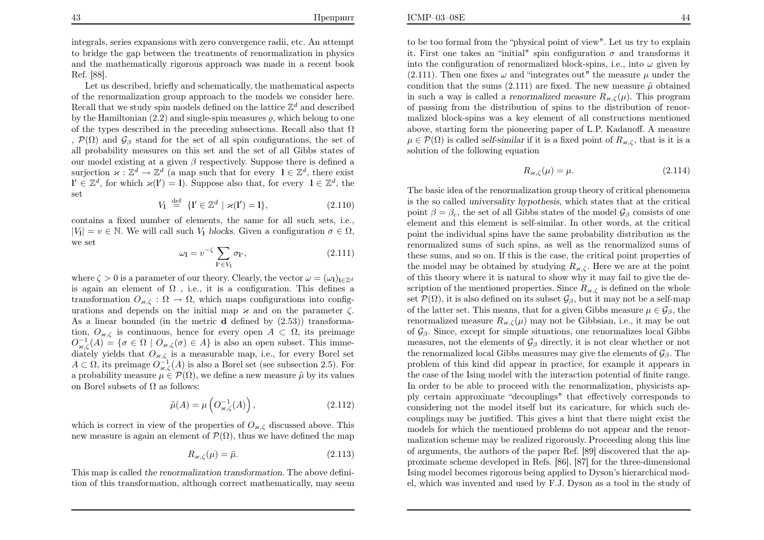ICMP–03–08E

integrals, series expansions with zero convergence radii, etc. An attempt to bridge the gap between the treatments of renormalization in <sup>p</sup>hysics and the mathematically rigorous approach was made in <sup>a</sup> recent bookRef. [88].

Let us described, briefly and schematically, the mathematical aspects of the renormalization group approach to the models we consider here.Recall that we study spin models defined on the lattice  $\mathbb{Z}^d$  and described by the Hamiltonian (2.2) and single-spin measures  $\varrho$ , which belong to one of the types described in the preceding subsections. Recall also that  $\Omega$ ,  $\mathcal{P}(\Omega)$  and  $\mathcal{G}_{\beta}$  stand for the set of all spin configurations, the set of all probability measures on this set and the set of all Gibbs states ofour model existing at a given  $\beta$  respectively. Suppose there is defined a surjection  $\varkappa : \mathbb{Z}^d \to \mathbb{Z}^d$  (a map such that for every  $1 \in \mathbb{Z}^d$ , there exist  $\mathbf{l}' \in \mathbb{Z}^d$ , for which  $\varkappa(\mathbf{l}') = 1$ ). Suppose also that, for every  $\mathbf{l} \in \mathbb{Z}^d$ , the set

$$
V_1 \stackrel{\text{def}}{=} \{ \mathbf{l}' \in \mathbb{Z}^d \mid \varkappa(\mathbf{l}') = 1 \},\tag{2.110}
$$

contains <sup>a</sup> fixed number of elements, the same for all such sets, i.e., $|V_1| = v \in \mathbb{N}$ . We will call such  $V_1$  blocks. Given a configuration  $\sigma \in \Omega$ , we set|

$$
\omega_{\mathbf{l}} = v^{-\zeta} \sum_{\mathbf{l}' \in V_{\mathbf{l}}} \sigma_{\mathbf{l}'},\tag{2.111}
$$

where  $\zeta > 0$  is a parameter of our theory. Clearly, the vector  $\omega = (\omega_1)_{1 \in \mathbb{Z}^d}$ is again an element of  $\Omega$ , i.e., it is a configuration. This defines a transformation  $O_{\varkappa,\zeta} : \Omega \to \Omega$ , which maps configurations into configurations and depends on the initial map  $\varkappa$  and on the parameter  $\zeta$ . As a linear bounded (in the metric **d** defined by  $(2.53)$ ) transformation,  $O_{\varkappa,\zeta}$  is continuous, hence for every open  $A\subset\Omega$ , its preimage  $O_{\varkappa,\zeta}^{-1}(A) = \{ \sigma \in \Omega \mid O_{\varkappa,\zeta}(\sigma) \in A \}$  is also an open subset. This immediately yields that  $O_{\varkappa,\zeta}$  is a i diately yields that  $O_{\varkappa,\zeta}$  is a measurable map, i.e., for every Borel set  $A \subset \Omega$ , its preimage  $O_{\varkappa,\zeta}^{-1}(A)$  is also a Borel set (see subsection 2.5). For a probability measure  $\mu \in \mathcal{P}(\Omega)$ , we define a new measure  $\tilde{\mu}$  by its values on Borel subsets of  $\Omega$  as follows:

$$
\tilde{\mu}(A) = \mu\left(O_{\varkappa,\zeta}^{-1}(A)\right),\tag{2.112}
$$

which is correct in view of the properties of  $O_{\varkappa,\zeta}$  discussed above. This new measure is again an element of  $\mathcal{P}(\Omega)$ , thus we have defined the map

$$
R_{\varkappa,\zeta}(\mu) = \tilde{\mu}.\tag{2.113}
$$

This map is called the renormalization transformation. The above definition of this transformation, although correct mathematically, may seem  $\mathbf{E}$  44

to be too formal from the "physical point of view". Let us try to explainit. First one takes an "initial" spin configuration  $\sigma$  and transforms it into the configuration of renormalized block-spins, i.e., into  $\omega$  given by (2.111). Then one fixes  $\omega$  and "integrates out" the measure  $\mu$  under the condition that the sums (2.111) are fixed. The new measure  $\tilde{\mu}$  obtained in such a way is called a renormalized measure  $R_{\varkappa,\zeta}(\mu)$ . This program of passing from the distribution of spins to the distribution of renormalized block-spins was <sup>a</sup> key element of all constructions mentionedabove, starting form the pioneering paper of L.P. Kadanoff. A measure  $\mu \in \mathcal{P}(\Omega)$  is called self-similar if it is a fixed point of  $R_{\varkappa,\zeta}$ , that is it is a solution of the following equation

$$
R_{\varkappa,\zeta}(\mu) = \mu. \tag{2.114}
$$

The basic idea of the renormalization group theory of critical <sup>p</sup>henomena is the so called universality hypothesis, which states that at the critical point  $\beta = \beta_c$ , the set of all Gibbs states of the model  $\mathcal{G}_{\beta}$  consists of one element and this element is self-similar. In other words, at the critical point the individual spins have the same probability distribution as the renormalized sums of such spins, as well as the renormalized sums of these sums, and so on. If this is the case, the critical point properties ofthe model may be obtained by studying  $R_{\varkappa,\zeta}$ . Here we are at the point of this theory where it is natural to show why it may fail to give the description of the mentioned properties. Since  $R_{\varkappa,\zeta}$  is defined on the whole set  $\mathcal{P}(\Omega)$ , it is also defined on its subset  $\mathcal{G}_{\beta}$ , but it may not be a self-map of the latter set. This means, that for a given Gibbs measure  $\mu \in \mathcal{G}_{\beta}$ , the renormalized measure  $R_{\varkappa,\zeta}(\mu)$  may not be Gibbsian, i.e., it may be out of  $\mathcal{G}_{\beta}$ . Since, except for simple situations, one renormalizes local Gibbs measures, not the elements of  $\mathcal{G}_{\beta}$  directly, it is not clear whether or not the renormalized local Gibbs measures may give the elements of  $\mathcal{G}_{\beta}$ . The problem of this kind did appear in practice, for example it appears in the case of the Ising model with the interaction potential of finite range. In order to be able to proceed with the renormalization, physicists ap<sup>p</sup>ly certain approximate "decouplings" that effectively corresponds to considering not the model itself but its caricature, for which such decouplings may be justified. This gives <sup>a</sup> hint that there might exist the models for which the mentioned problems do not appear and the renormalization scheme may be realized rigorously. Proceeding along this line of arguments, the authors of the paper Ref. [89] discovered that the approximate scheme developed in Refs. [86], [87] for the three-dimensionalIsing model becomes rigorous being applied to Dyson's hierarchical model, which was invented and used by F.J. Dyson as <sup>a</sup> tool in the study of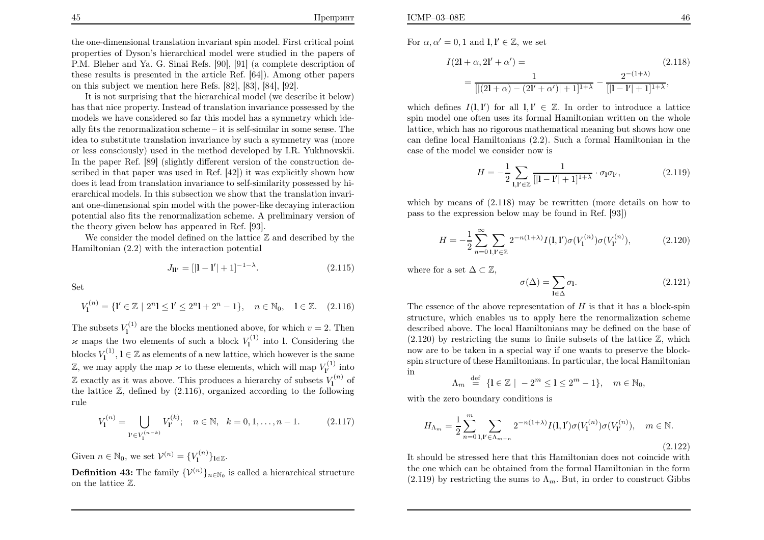It is not surprising that the hierarchical model (we describe it below) has that nice property. Instead of translation invariance possessed by the models we have considered so far this model has <sup>a</sup> symmetry which ideally fits the renormalization scheme – it is self-similar in some sense. The idea to substitute translation invariance by such <sup>a</sup> symmetry was (more or less consciously) used in the method developed by I.R. Yukhnovskii. In the paper Ref. [89] (slightly different version of the construction described in that paper was used in Ref. [42]) it was explicitly shown how does it lead from translation invariance to self-similarity possessed by hierarchical models. In this subsection we show that the translation invariant one-dimensional spin model with the power-like decaying interaction potential also fits the renormalization scheme. A preliminary version ofthe theory <sup>g</sup>iven below has appeared in Ref. [93].

We consider the model defined on the lattice  $\mathbb{Z}$  and described by the Hamiltonian (2.2) with the interaction potential

$$
J_{\mathbf{l}\mathbf{l}'} = [|\mathbf{l} - \mathbf{l}'| + 1]^{-1 - \lambda}.
$$
 (2.115)

Set

 $V_1^{(n)} = \{l' \in \mathbb{Z} \mid 2^n l \leq l' \leq 2^n l + 2^n - 1\}, \quad n \in \mathbb{N}_0, \quad l \in \mathbb{Z}.$  (2.116)

The subsets  $V_1^{(1)}$  are the blocks mentioned above, for which  $v = 2$ . Then  $\varkappa$  maps the two elements of such a block  $V_1^{(1)}$  into l. Considering the blocks  $V_1^{(1)}$ ,  $l \in \mathbb{Z}$  as elements of a new lattice, which however is the same Z, we may apply the map  $\varkappa$  to these elements, which will map  $V_V^{(1)}$  into  $\mathbb{Z}$  exactly as it was above. This produces a hierarchy of subsets  $V_1^{(n)}$  of the lattice  $\mathbb{Z}$ , defined by  $(2.116)$ , organized according to the following rule

$$
V_1^{(n)} = \bigcup_{1' \in V_1^{(n-k)}} V_{1'}^{(k)}; \quad n \in \mathbb{N}, \quad k = 0, 1, \dots, n-1.
$$
 (2.117)

Given  $n \in \mathbb{N}_0$ , we set  $\mathcal{V}^{(n)} = \{V_1^{(n)}\}_{1 \in \mathbb{Z}}$ .

**Definition 43:** The family  $\{\mathcal{V}^{(n)}\}_{n\in\mathbb{N}_0}$  is called a hierarchical structure on the lattice  $\mathbb Z.$ 

For  $\alpha, \alpha' = 0, 1$  and  $\mathbf{l}, \mathbf{l}' \in \mathbb{Z}$ , we set

$$
I(2l + \alpha, 2l' + \alpha') =
$$
\n
$$
= \frac{1}{[|(2l + \alpha) - (2l' + \alpha')| + 1]^{1 + \lambda}} - \frac{2^{-(1 + \lambda)}}{[|l - l'| + 1]^{1 + \lambda}},
$$
\n(2.118)

which defines  $I(1,1')$  for all  $1, 1' \in \mathbb{Z}$ . In order to introduce a lattice spin model one often uses its formal Hamiltonian written on the whole lattice, which has no rigorous mathematical meaning but shows how one can define local Hamiltonians (2.2). Such <sup>a</sup> formal Hamiltonian in thecase of the model we consider now is

$$
H = -\frac{1}{2} \sum_{\mathbf{l}, \mathbf{l}' \in \mathbb{Z}} \frac{1}{[|\mathbf{l} - \mathbf{l}'| + 1]^{1 + \lambda}} \cdot \sigma_{\mathbf{l}} \sigma_{\mathbf{l}'}, \tag{2.119}
$$

which by means of  $(2.118)$  may be rewritten (more details on how to pass to the expression below may be found in Ref. [93])

$$
H = -\frac{1}{2} \sum_{n=0}^{\infty} \sum_{\mathbf{l}, \mathbf{l}' \in \mathbb{Z}} 2^{-n(1+\lambda)} I(\mathbf{l}, \mathbf{l}') \sigma(V_{\mathbf{l}}^{(n)}) \sigma(V_{\mathbf{l}'}^{(n)}), \tag{2.120}
$$

where for a set  $\Delta \subset \mathbb{Z}$ ,

$$
\sigma(\Delta) = \sum_{\mathbf{l} \in \Delta} \sigma_{\mathbf{l}}.\tag{2.121}
$$

The essence of the above representation of  $H$  is that it has a block-spin order to explicit the property defined in  $\epsilon$  structure, which enables us to apply here the renormalization scheme described above. The local Hamiltonians may be defined on the base of  $(2.120)$  by restricting the sums to finite subsets of the lattice  $\mathbb{Z}$ , which now are to be taken in <sup>a</sup> special way if one wants to preserve the blockspin structure of these Hamiltonians. In particular, the local Hamiltonianin

$$
\Lambda_m \stackrel{\text{def}}{=} \{ \mathbf{l} \in \mathbb{Z} \mid -2^m \le \mathbf{l} \le 2^m - 1 \}, \quad m \in \mathbb{N}_0,
$$

with the zero boundary conditions is

$$
H_{\Lambda_m} = \frac{1}{2} \sum_{n=0}^{m} \sum_{\mathbf{l}, \mathbf{l}' \in \Lambda_{m-n}} 2^{-n(1+\lambda)} I(\mathbf{l}, \mathbf{l}') \sigma(V_{\mathbf{l}}^{(n)}) \sigma(V_{\mathbf{l}'}^{(n)}), \quad m \in \mathbb{N}.
$$
\n(2.122)

 It should be stressed here that this Hamiltonian does not coincide with the one which can be obtained from the formal Hamiltonian in the form $(2.119)$  by restricting the sums to  $\Lambda_m$ . But, in order to construct Gibbs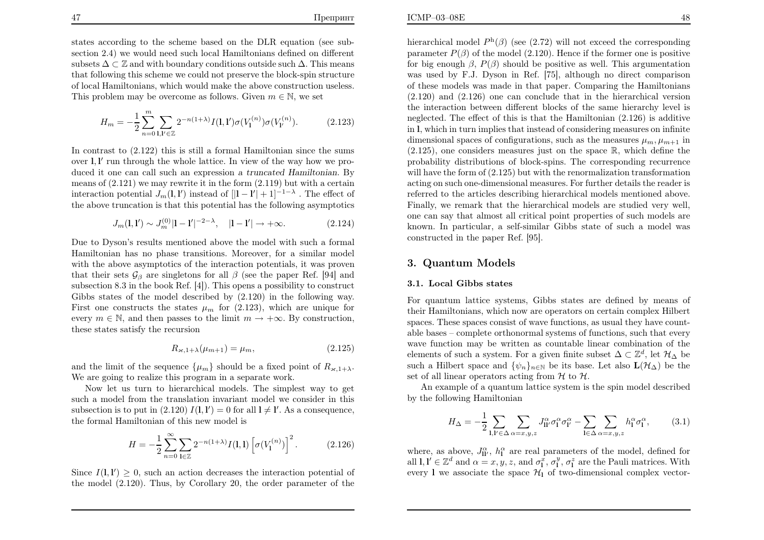$$
H_m = -\frac{1}{2} \sum_{n=0}^{m} \sum_{\mathbf{l}, \mathbf{l}' \in \mathbb{Z}} 2^{-n(1+\lambda)} I(\mathbf{l}, \mathbf{l}') \sigma(V_{\mathbf{l}}^{(n)}) \sigma(V_{\mathbf{l}'}^{(n)}).
$$
 (2.123)

In contrast to (2.122) this is still <sup>a</sup> formal Hamiltonian since the sumsover  $\mathbf{l}, \mathbf{l}'$  run through the whole lattice. In view of the way how we produced it one can call such an expression a truncated Hamiltonian. By means of  $(2.121)$  we may rewrite it in the form  $(2.119)$  but with a certain interaction potential  $J_m(1,1')$  instead of  $[|1 - 1'| + 1]^{-1-\lambda}$ . The effect of the above truncation is that this potential has the following asymptotics

$$
J_m(1,1') \sim J_m^{(0)}|1-1'|^{-2-\lambda}, \quad |1-1'| \to +\infty.
$$
 (2.124)

Due to Dyson's results mentioned above the model with such <sup>a</sup> formalHamiltonian has no phase transitions. Moreover, for <sup>a</sup> similar modelwith the above asymptotics of the interaction potentials, it was proventhat their sets  $\mathcal{G}_{\beta}$  are singletons for all  $\beta$  (see the paper Ref. [94] and subsection 8.3 in the book Ref. [4]). This opens <sup>a</sup> possibility to construct Gibbs states of the model described by (2.120) in the following way.First one constructs the states  $\mu_m$  for (2.123), which are unique for example of  $\mathbb{R}^n$ every  $m \in \mathbb{N}$ , and then passes to the limit  $m \to +\infty$ . By construction, these states satisfy the recursion

$$
R_{\varkappa, 1+\lambda}(\mu_{m+1}) = \mu_m,\tag{2.125}
$$

and the limit of the sequence  $\{\mu_m\}$  should be a fixed point of  $R_{\varkappa,1+\lambda}$ . We are going to realize this program in <sup>a</sup> separate work.

Now let us turn to hierarchical models. The simplest way to get such <sup>a</sup> model from the translation invariant model we consider in thissubsection is to put in  $(2.120) I(l, l') = 0$  for all  $l \neq l'$ . As a consequence, the formal Hamiltonian of this new model is

$$
H = -\frac{1}{2} \sum_{n=0}^{\infty} \sum_{\mathbf{l} \in \mathbb{Z}} 2^{-n(1+\lambda)} I(\mathbf{l}, \mathbf{l}) \left[ \sigma(V_{\mathbf{l}}^{(n)}) \right]^2.
$$
 (2.126)

Since  $I(1, 1') \geq 0$ , such an action decreases the interaction potential of the model (2.120). Thus, by Corollary 20, the order parameter of the

hierarchical model  $P<sup>h</sup>(\beta)$  (see (2.72) will not exceed the corresponding parameter  $P(\beta)$  of the model (2.120). Hence if the former one is positive for big enough  $\beta$ ,  $P(\beta)$  should be positive as well. This argumentation was used by F.J. Dyson in Ref. [75], although no direct comparison of these models was made in that paper. Comparing the Hamiltonians (2.120) and (2.126) one can conclude that in the hierarchical version the interaction between different blocks of the same hierarchy level is neglected. The effect of this is that the Hamiltonian (2.126) is additive in <sup>l</sup>, which in turn implies that instead of considering measures on infinite dimensional spaces of configurations, such as the measures  $\mu_m, \mu_{m+1}$  in  $(2.125)$ , one considers measures just on the space  $\mathbb{R}$ , which define the probability distributions of block-spins. The corresponding recurrence will have the form of (2.125) but with the renormalization transformation acting on such one-dimensional measures. For further details the reader is referred to the articles describing hierarchical models mentioned above.Finally, we remark that the hierarchical models are studied very well, one can say that almost all critical point properties of such models are known. In particular, <sup>a</sup> self-similar Gibbs state of such <sup>a</sup> model wasconstructed in the paper Ref. [95].

# 3. Quantum Models

### 3.1. Local Gibbs states

For quantum lattice systems, Gibbs states are defined by means of their Hamiltonians, which now are operators on certain complex Hilbert spaces. These spaces consist of wave functions, as usual they have countable bases – complete orthonormal systems of functions, such that every wave function may be written as countable linear combination of theelements of such a system. For a given finite subset  $\Delta \subset \mathbb{Z}^d$ , let  $\mathcal{H}_{\Delta}$  be such a Hilbert space and  $\{\psi_n\}_{n\in\mathbb{N}}$  be its base. Let also  $\mathbf{L}(\mathcal{H}_\Delta)$  be the set of all linear operators acting from  $\mathcal{H}$  to  $\mathcal{H}$ .

 An example of <sup>a</sup> quantum lattice system is the spin model describedby the following Hamiltonian

$$
H_{\Delta} = -\frac{1}{2} \sum_{\mathbf{l}, \mathbf{l}' \in \Delta} \sum_{\alpha = x, y, z} J_{\mathbf{l} \mathbf{l}'}^{\alpha} \sigma_{\mathbf{l}}^{\alpha} \sigma_{\mathbf{l}'}^{\alpha} - \sum_{\mathbf{l} \in \Delta} \sum_{\alpha = x, y, z} h_{\mathbf{l}}^{\alpha} \sigma_{\mathbf{l}}^{\alpha}, \tag{3.1}
$$

where, as above,  $J_{\Pi'}^{\alpha}$ ,  $h_{\Gamma}^{\alpha}$  are real parameters of the model, defined for all  $1, 1' \in \mathbb{Z}^d$  and  $\alpha = x, y, z$ , and  $\sigma_1^x, \sigma_1^y, \sigma_1^z$  are the Pauli matrices. With every 1 we associate the space  $\mathcal{H}_1$  of two-dimensional complex vector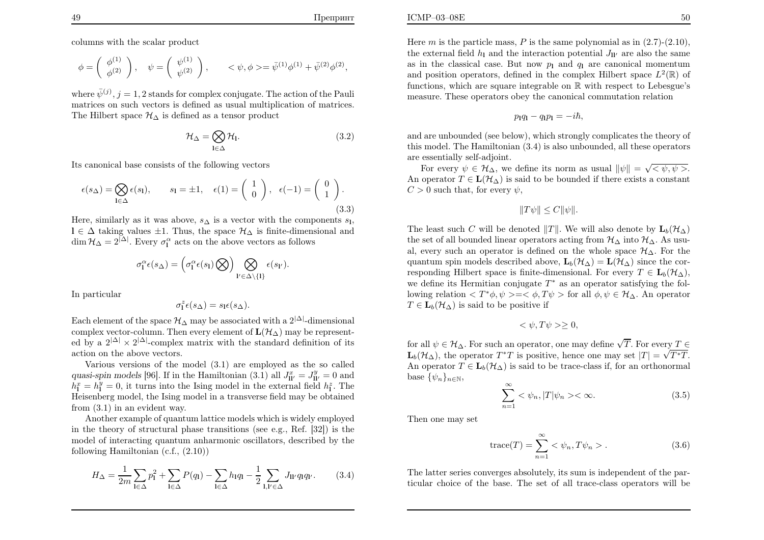columns with the scalar product

$$
\phi = \begin{pmatrix} \phi^{(1)} \\ \phi^{(2)} \end{pmatrix}, \quad \psi = \begin{pmatrix} \psi^{(1)} \\ \psi^{(2)} \end{pmatrix}, \qquad \langle \psi, \phi \rangle = \bar{\psi}^{(1)} \phi^{(1)} + \bar{\psi}^{(2)} \phi^{(2)},
$$

where  $\bar{\psi}^{(j)}$ ,  $j = 1, 2$  stands for complex conjugate. The action of the Pauli matrices on such vectors is defined as usual multiplication of matrices.The Hilbert space  $\mathcal{H}_{\Delta}$  is defined as a tensor product

$$
\mathcal{H}_{\Delta} = \bigotimes_{\mathbf{l} \in \Delta} \mathcal{H}_{\mathbf{l}}.\tag{3.2}
$$

Its canonical base consists of the following vectors

$$
\epsilon(s_{\Delta}) = \bigotimes_{\mathbf{l} \in \Delta} \epsilon(s_{\mathbf{l}}), \qquad s_{\mathbf{l}} = \pm 1, \quad \epsilon(1) = \begin{pmatrix} 1 \\ 0 \end{pmatrix}, \quad \epsilon(-1) = \begin{pmatrix} 0 \\ 1 \end{pmatrix}.
$$
\n(3.3)

Here, similarly as it was above,  $s_{\Delta}$  is a vector with the components  $s_{1}$ , l ∈  $\Delta$  taking values  $\pm 1$ . Thus, the space  $\mathcal{H}_{\Delta}$  is finite-dimensional and  $\lim_{\Delta t \to 0} \mathcal{H}_{\Delta}$  is  $\lim_{\Delta t \to 0} \mathcal{H}_{\Delta}$  is finite-dimensional and  $\dim \mathcal{H}_{\Delta} = 2^{|\Delta|}$ . Every  $\sigma_1^{\alpha}$  acts on the above vectors as follows

$$
\sigma_1^{\alpha} \epsilon(s_{\Delta}) = \left( \sigma_1^{\alpha} \epsilon(s_1) \bigotimes \right) \bigotimes_{1' \in \Delta \setminus \{1\}} \epsilon(s_{1'}).
$$

In particular

$$
\sigma_{\mathbf{l}}^z \epsilon(s_\Delta) = s_{\mathbf{l}} \epsilon(s_\Delta).
$$

Each element of the space  $\mathcal{H}_{\Delta}$  may be associated with a  $2^{|\Delta|}$ -dimensional complex vector-column. Then every element of  $\mathbf{L}(\mathcal{H}_{\Delta})$  may be represented by a  $2^{|\Delta|} \times 2^{|\Delta|}$ -complex matrix with the standard definition of its action on the above vectors.

 Various versions of the model (3.1) are employed as the so calledquasi-spin models [96]. If in the Hamiltonian  $(3.1)$  all  $J_{\text{II}'}^x = J_{\text{II}'}^y = 0$  and  $h_1^x = h_1^y = 0$ , it turns into the Ising model in the external field  $h_1^z$ . The Heisenberg model, the Ising model in <sup>a</sup> transverse field may be obtainedfrom (3.1) in an evident way.

Another example of quantum lattice models which is widely employed in the theory of structural <sup>p</sup>hase transitions (see e.g., Ref. [32]) is the model of interacting quantum anharmonic oscillators, described by thefollowing Hamiltonian (c.f., (2.10))

$$
H_{\Delta} = \frac{1}{2m} \sum_{\mathbf{l} \in \Delta} p_{\mathbf{l}}^2 + \sum_{\mathbf{l} \in \Delta} P(q_{\mathbf{l}}) - \sum_{\mathbf{l} \in \Delta} h_{\mathbf{l}} q_{\mathbf{l}} - \frac{1}{2} \sum_{\mathbf{l}, \mathbf{l}' \in \Delta} J_{\mathbf{l} \mathbf{l}'} q_{\mathbf{l}} q_{\mathbf{l}'}.
$$
 (3.4)

Here m is the particle mass, P is the same polynomial as in  $(2.7)-(2.10)$ ,<br>the automal field h, and the interaction potential L, are also the same the external field  $h_{\rm l}$  and the interaction potential  $J_{\rm ll'}$  are also the same as in the classical case. But now  $p_1$  and  $q_1$  are canonical momentum and position operators, defined in the complex Hilbert space  $L^2(\mathbb{R})$  of

functions, which are square integrable on  $\mathbb{R}$  with respect to Lebesgue's measure. These operators obey the canonical commutation relation

$$
p_1q_1-q_1p_1=-i\hbar,
$$

and are unbounded (see below), which strongly complicates the theory of this model. The Hamiltonian (3.4) is also unbounded, all these operatorsare essentially self-adjoint.

For every  $\psi \in \mathcal{H}_{\Delta}$ , we define its norm as usual  $\|\psi\| = \sqrt{\langle \psi, \psi \rangle}$ . An operator  $T \in \mathbf{L}(\mathcal{H}_{\Delta})$  is said to be bounded if there exists a constant  $C > 0$  such that, for every  $\psi$ ,

$$
||T\psi|| \leq C||\psi||.
$$

The least such C will be denoted  $||T||$ . We will also denote by  $\mathbf{L}_b(\mathcal{H}_\Delta)$ the set of all bounded linear operators acting from  $\mathcal{H}_{\Delta}$  into  $\mathcal{H}_{\Delta}$ . As usu-<br>However, we are used in the set of the set of the set of  $\mathcal{H}_{\Delta}$ . For the al, every such an operator is defined on the whole space  $\mathcal{H}_{\Delta}$ . For the quantum spin models described above,  $\mathbf{L}_b(\mathcal{H}_\Delta) = \mathbf{L}(\mathcal{H}_\Delta)$  since the corresponding Hilbert space is finite-dimensional. For every  $T \in \mathbf{L}_b(\mathcal{H}_\Delta)$ , we define its Hermitian conjugate  $T^*$  as an operator satisfying the following relation  $\langle T^*\phi, \psi \rangle = \langle \phi, T\psi \rangle$  for all  $\phi, \psi \in \mathcal{H}_{\Delta}$ . An operator  $T\in\mathbf{L}_{b}(\mathcal{H}_{\Delta})$  is said to be positive if

$$
\langle \psi, T\psi \rangle \ge 0,
$$

for all  $\psi \in \mathcal{H}_{\Delta}$ . For such an operator, one may define  $\sqrt{T}$ . For every  $T \in$  $\mathbf{L}_b(\mathcal{H}_\Delta)$ , the operator  $T^*T$  is positive, hence one may set  $|T| = \sqrt{T^*T}$ . An operator  $T \in \mathbf{L}_b(\mathcal{H}_\Delta)$  is said to be trace-class if, for an orthonormal base  $\{\psi_n\}_{n\in\mathbb{N}},$ 

$$
\sum_{n=1}^{\infty} \langle \psi_n, |T|\psi_n \rangle \langle \infty. \tag{3.5}
$$

Then one may set

$$
trace(T) = \sum_{n=1}^{\infty} \langle \psi_n, T\psi_n \rangle.
$$
 (3.6)

The latter series converges absolutely, its sum is independent of the particular choice of the base. The set of all trace-class operators will be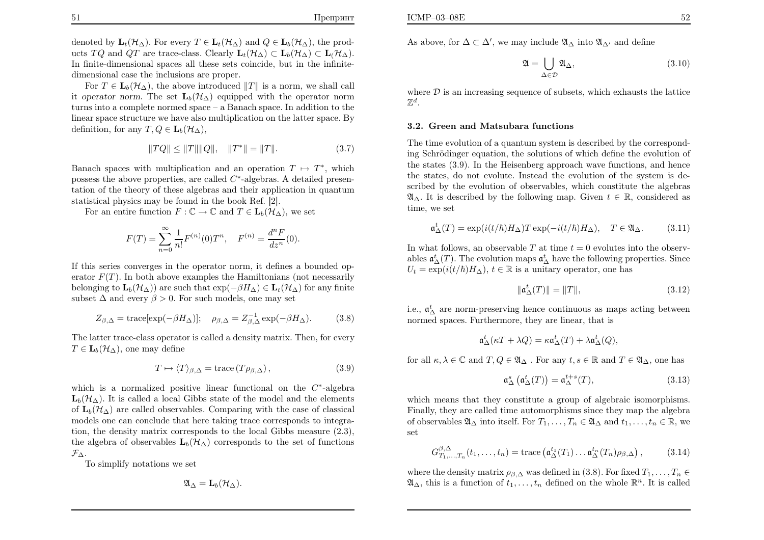denoted by  $\mathbf{L}_t(\mathcal{H}_\Delta)$ . For every  $T \in \mathbf{L}_t(\mathcal{H}_\Delta)$  and  $Q \in \mathbf{L}_b(\mathcal{H}_\Delta)$ , the products TQ and QT are trace-class. Clearly  $\mathbf{L}_t(\mathcal{H}_\Delta) \subset \mathbf{L}_b(\mathcal{H}_\Delta) \subset \mathbf{L}_t(\mathcal{H}_\Delta)$ . In finite-dimensional spaces all these sets coincide, but in the infinitedimensional case the inclusions are proper.

For  $T \in \mathbf{L}_b(\mathcal{H}_\Delta)$ , the above introduced  $||T||$  is a norm, we shall call it operator norm. The set  $\mathbf{L}_{b}(\mathcal{H}_{\Delta})$  equipped with the operator norm turns into <sup>a</sup> complete normed space – <sup>a</sup> Banach space. In addition to the linear space structure we have also multiplication on the latter space. Bydefinition, for any  $T, Q \in L_b(\mathcal{H}_{\Delta}),$ 

$$
||TQ|| \le ||T|| ||Q||, \quad ||T^*|| = ||T||. \tag{3.7}
$$

Banach spaces with multiplication and an operation  $T \mapsto T^*$ , which possess the above properties, are called  $C^*$ -algebras. A detailed presen- tation of the theory of these algebras and their application in quantumstatistical <sup>p</sup>hysics may be found in the book Ref. [2].

For an entire function  $F : \mathbb{C} \to \mathbb{C}$  and  $T \in \mathbf{L}_b(\mathcal{H}_\Delta)$ , we set

$$
F(T) = \sum_{n=0}^{\infty} \frac{1}{n!} F^{(n)}(0) T^n, \quad F^{(n)} = \frac{d^n F}{dz^n}(0).
$$

If this series converges in the operator norm, it defines <sup>a</sup> bounded operator  $F(T)$ . In both above examples the Hamiltonians (not necessarily belonging to  $\mathbf{L}_b(\mathcal{H}_\Delta)$  are such that  $\exp(-\beta H_\Delta) \in \mathbf{L}_t(\mathcal{H}_\Delta)$  for any finite subset  $\Delta$  and every  $\beta > 0$ . For such models, one may set

$$
Z_{\beta,\Delta} = \text{trace}[\exp(-\beta H_{\Delta})]; \quad \rho_{\beta,\Delta} = Z_{\beta,\Delta}^{-1} \exp(-\beta H_{\Delta}). \tag{3.8}
$$

The latter trace-class operator is called <sup>a</sup> density matrix. Then, for every $T\in\mathbf{L}_{b}(\mathcal{H}_{\Delta}),$  one may define

$$
T \mapsto \langle T \rangle_{\beta, \Delta} = \text{trace} (T \rho_{\beta, \Delta}), \qquad (3.9)
$$

which is a normalized positive linear functional on the  $C^*$ -algebra  $\mathbf{L}_{b}(\mathcal{H}_{\Delta})$ . It is called a local Gibbs state of the model and the elements of  $\mathbf{L}_{b}(\mathcal{H}_{\Delta})$  are called observables. Comparing with the case of classical models one can conclude that here taking trace corresponds to integration, the density matrix corresponds to the local Gibbs measure (2.3),the algebra of observables  $\mathbf{L}_{b}(\mathcal{H}_{\Delta})$  corresponds to the set of functions  $\mathcal{F}_{\Delta}$ .

To simplify notations we set

$$
\mathfrak{A}_{\Delta}=\mathbf{L}_b(\mathcal{H}_{\Delta}).
$$

As above, for  $\Delta \subset \Delta'$ , we may include  $\mathfrak{A}_{\Delta}$  into  $\mathfrak{A}_{\Delta'}$  and define

$$
\mathfrak{A} = \bigcup_{\Delta \in \mathcal{D}} \mathfrak{A}_{\Delta},\tag{3.10}
$$

where  $D$  is an increasing sequence of subsets, which exhausts the lattice  $\mathbb{Z}^d$  $\mathbb{Z}^d$  .

### 3.2. Green and Matsubara functions

The time evolution of <sup>a</sup> quantum system is described by the corresponding Schrödinger equation, the solutions of which define the evolution of the states (3.9). In the Heisenberg approac<sup>h</sup> wave functions, and hence the states, do not evolute. Instead the evolution of the system is described by the evolution of observables, which constitute the algebras $\mathfrak{A}_{\Delta}$ . It is described by the following map. Given  $t \in \mathbb{R}$ , considered as time, we set

$$
\mathfrak{a}^t_\Delta(T) = \exp(i(t/\hbar)H_\Delta)T\exp(-i(t/\hbar)H_\Delta), \quad T \in \mathfrak{A}_\Delta. \tag{3.11}
$$

In what follows, an observable T at time  $t = 0$  evolutes into the observables  $\mathfrak{a}_{\Delta}^{t}(T)$ . The evolution maps  $\mathfrak{a}_{\Delta}^{t}$  have the following properties. Since  $U = \text{curl}(i(t/\hbar)H, \lambda(t/\hbar)H)$  $U_t = \exp(i(t/\hbar)H_\Delta)$ ,  $t \in \mathbb{R}$  is a unitary operator, one has

$$
\|\mathfrak{a}^t_{\Delta}(T)\| = \|T\|,\tag{3.12}
$$

i.e.,  $\mathfrak{a}_{\Delta}^{t}$  are norm-preserving hence continuous as maps acting between<br>normod apaces. Eurthermore, they are linear, that is normed spaces. Furthermore, they are linear, that is

$$
\mathfrak{a}^t_{\Delta}(\kappa T + \lambda Q) = \kappa \mathfrak{a}^t_{\Delta}(T) + \lambda \mathfrak{a}^t_{\Delta}(Q),
$$

for all  $\kappa, \lambda \in \mathbb{C}$  and  $T, Q \in \mathfrak{A}_{\Delta}$ . For any  $t, s \in \mathbb{R}$  and  $T \in \mathfrak{A}_{\Delta}$ , one has

$$
\mathfrak{a}^s_\Delta\left(\mathfrak{a}^t_\Delta(T)\right) = \mathfrak{a}^{t+s}_\Delta(T),\tag{3.13}
$$

which means that they constitute a group of algebraic isomorphisms. Finally, they are called time automorphisms since they map the algebraof observables  $\mathfrak{A}_{\Delta}$  into itself. For  $T_1, \ldots, T_n \in \mathfrak{A}_{\Delta}$  and  $t_1, \ldots, t_n \in \mathbb{R}$ , we set

$$
G_{T_1,\ldots,T_n}^{\beta,\Delta}(t_1,\ldots,t_n) = \text{trace}\left(\mathfrak{a}_{\Delta}^{t_1}(T_1)\ldots\mathfrak{a}_{\Delta}^{t_n}(T_n)\rho_{\beta,\Delta}\right),\tag{3.14}
$$

where the density matrix  $\rho_{\beta,\Delta}$  was defined in (3.8). For fixed  $T_1, \ldots, T_n \in$ <br> $\mathfrak{S}_{n}$  this is a function of the defined on the rule  $\mathbb{R}^n$ . It is selled  $\mathfrak{A}_{\Delta}$ , this is a function of  $t_1, \ldots, t_n$  defined on the whole  $\mathbb{R}^n$ . It is called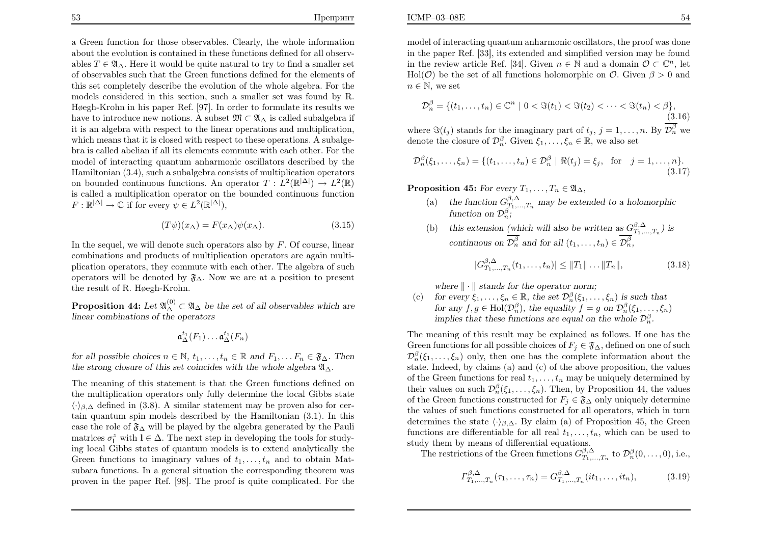<sup>a</sup> Green function for those observables. Clearly, the whole information about the evolution is contained in these functions defined for all observables  $T \in \mathfrak{A}_{\Delta}$ . Here it would be quite natural to try to find a smaller set of observables such that the Green functions defined for the elements ofthis set completely describe the evolution of the whole algebra. For the models considered in this section, such <sup>a</sup> smaller set was found by R. <sup>H</sup>øegh-Krohn in his paper Ref. [97]. In order to formulate its results wehave to introduce new notions. A subset  $\mathfrak{M} \subset \mathfrak{A}_{\Delta}$  is called subalgebra if it is an algebra with respect to the linear operations and multiplication,which means that it is closed with respect to these operations. A subalgebra is called abelian if all its elements commute with each other. For the model of interacting quantum anharmonic oscillators described by the Hamiltonian (3.4), such <sup>a</sup> subalgebra consists of multiplication operatorson bounded continuous functions. An operator  $T: L^2(\mathbb{R}^{|\Delta|}) \to L^2(\mathbb{R})$  is called <sup>a</sup> multiplication operator on the bounded continuous function $F: \mathbb{R}^{|\Delta|} \to \mathbb{C}$  if for every  $\psi \in L^2(\mathbb{R}^{|\Delta|}),$ 

$$
(T\psi)(x_{\Delta}) = F(x_{\Delta})\psi(x_{\Delta}). \tag{3.15}
$$

In the sequel, we will denote such operators also by  $F$ . Of course, linear combinations and products of multiplication operators are again multi<sup>p</sup>lication operators, they commute with each other. The algebra of suchoperators will be denoted by  $\mathfrak{F}_{\Delta}$ . Now we are at a position to present the result of R. Høegh-Krohn.

**Proposition 44:** Let  $\mathfrak{A}_{\Delta}^{(0)} \subset \mathfrak{A}_{\Delta}$  be the set of all observables which are linear combinations of the operators

$$
\mathfrak{a}^{t_1}_{\Delta}(F_1)\ldots \mathfrak{a}^{t_1}_{\Delta}(F_n)
$$

for all possible choices  $n \in \mathbb{N}$ ,  $t_1, \ldots, t_n \in \mathbb{R}$  and  $F_1, \ldots F_n \in \mathfrak{F}_{\Delta}$ . Then the strong closure of this set coincides with the whole algebra  $\mathfrak{A}_{\Delta}$ .

The meaning of this statement is that the Green functions defined on the multiplication operators only fully determine the local Gibbs state $\langle \cdot \rangle_{\beta,\Delta}$  defined in (3.8). A similar statement may be proven also for cer tain quantum spin models described by the Hamiltonian (3.1). In thiscase the role of  $\mathfrak{F}_{\Delta}$  will be played by the algebra generated by the Pauli<br>westwise  $z^z$  with  $1 \in \Lambda$ . The next star in developing the teals for study. matrices  $\sigma_1^z$  with  $l \in \Delta$ . The next step in developing the tools for study- ing local Gibbs states of quantum models is to extend analytically theGreen functions to imaginary values of  $t_1, \ldots, t_n$  and to obtain Matsubara functions. In <sup>a</sup> general situation the corresponding theorem was proven in the paper Ref. [98]. The proof is quite complicated. For the

model of interacting quantum anharmonic oscillators, the proof was done in the paper Ref. [33], its extended and simplified version may be foundin the review article Ref. [34]. Given  $n \in \mathbb{N}$  and a domain  $\mathcal{O} \subset \mathbb{C}^n$ , let  $\text{Hol}(\mathcal{O})$  be the set of all functions holomorphic on  $\mathcal{O}$ . Given  $\beta > 0$  and  $n\in\mathbb{N}$ , we set

$$
\mathcal{D}_n^{\beta} = \{ (t_1, \dots, t_n) \in \mathbb{C}^n \mid 0 < \Im(t_1) < \Im(t_2) < \dots < \Im(t_n) < \beta \},\tag{3.16}
$$

where  $\Im(t_j)$  stands for the imaginary part of  $t_j$ ,  $j = 1, \ldots, n$ . By  $\overline{\mathcal{D}_n^{\beta}}$  we denote the closure of  $\mathcal{D}_n^{\beta}$ . Given  $\xi_1, \ldots, \xi_n \in \mathbb{R}$ , we also set

$$
\mathcal{D}_n^{\beta}(\xi_1, ..., \xi_n) = \{ (t_1, ..., t_n) \in \mathcal{D}_n^{\beta} \mid \Re(t_j) = \xi_j, \text{ for } j = 1, ..., n \}.
$$
\n(3.17)

 $\mathbf{Proposition \; 45:} \; For \; every \; T_1, \ldots, T_n \in \mathfrak{A}_{\Delta},$ 

**SOSITION 45:** For every  $T_1, \ldots, T_n \in \mathfrak{A}_{\Delta}$ ,<br>
(a) the function  $G_{T_1, \ldots, T_n}^{\beta, \Delta}$  may be extended to a holomorphic function on  $\mathcal{D}_{n}^{\beta}$ ;

(b) this extension (which will also be written as 
$$
G_{T_1,\ldots,T_n}^{\beta,\Delta}
$$
) is continuous on  $\overline{\mathcal{D}_n^{\beta}}$  and for all  $(t_1,\ldots,t_n) \in \overline{\mathcal{D}_n^{\beta}}$ ,

$$
|G_{T_1,\ldots,T_n}^{\beta,\Delta}(t_1,\ldots,t_n)| \le ||T_1||\ldots||T_n||,
$$
\n(3.18)

where  $\|\cdot\|$  stands for the operator norm;

 $(c)$ for every  $\xi_1, \ldots, \xi_n \in \mathbb{R}$ , the set  $\mathcal{D}_n^{\beta}(\xi_1, \ldots, \xi_n)$  is such that for any  $f, g \in Hol(\mathcal{D}_n^{\beta})$ , the equality  $f=g$  on  $\mathcal{D}_n^{\beta}(\xi_1, \ldots, \xi_n)$ implies that these functions are equal on the whole  $\mathcal{D}_n^{\beta}$ .

The meaning of this result may be explained as follows. If one has the Green functions for all possible choices of  $F_j \in \mathfrak{F}_{\Delta}$ , defined on one of such  $\mathcal{D}_n^{\beta}(\xi_1,\ldots,\xi_n)$  only, then one has the complete information about the state. Indeed, by claims (a) and (c) of the above proposition, the valuesof the Green functions for real  $t_1, \ldots, t_n$  may be uniquely determined by their values on such  $\mathcal{D}_n^{\beta}(\xi_1,\ldots,\xi_n)$ . Then, by Proposition 44, the values of the Green functions constructed for  $F_j \in \mathfrak{F}_\Delta$  only uniquely determine the values of such functions constructed for all operators, which in turndetermines the state  $\langle \cdot \rangle_{\beta,\Delta}$ . By claim (a) of Proposition 45, the Green functions are differentiable for all real  $t_1, \ldots, t_n$ , which can be used to study them by means of differential equations.

The restrictions of the Green functions  $G_{T_1,...,T_n}^{\beta,\Delta}$  to  $\mathcal{D}_n^{\beta}(0,\ldots,0)$ , i.e.,

$$
\Gamma_{T_1,\dots,T_n}^{\beta,\Delta}(\tau_1,\dots,\tau_n) = G_{T_1,\dots,T_n}^{\beta,\Delta}(it_1,\dots,it_n),\tag{3.19}
$$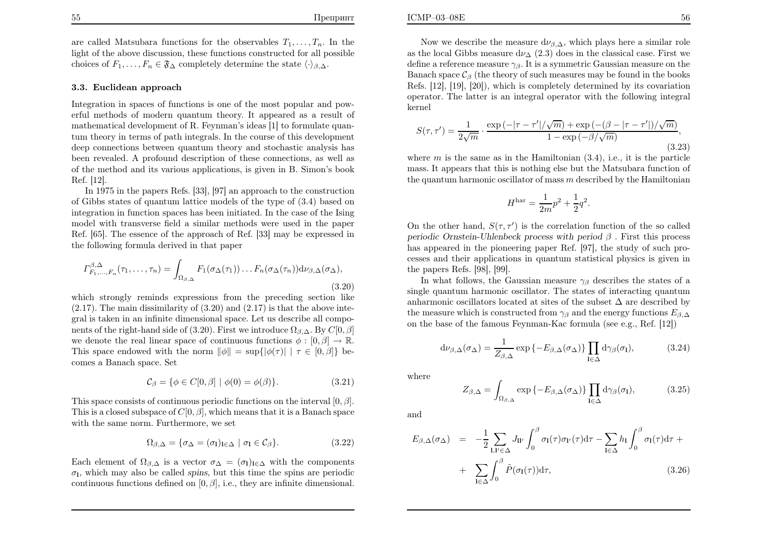are called Matsubara functions for the observables  $T_1, \ldots, T_n$ . In the light of the above discussion, these functions constructed for all possible choices of  $F_1, \ldots, F_n \in \mathfrak{F}_{\Delta}$  completely determine the state  $\langle \cdot \rangle_{\beta, \Delta}$ .

#### 3.3. Euclidean approach

Integration in spaces of functions is one of the most popular and powerful methods of modern quantum theory. It appeared as <sup>a</sup> result of mathematical development of R. Feynman's ideas [1] to formulate quantum theory in terms of path integrals. In the course of this development deep connections between quantum theory and stochastic analysis has been revealed. A profound description of these connections, as well as of the method and its various applications, is given in B. Simon's bookRef. [12].

 In <sup>1975</sup> in the papers Refs. [33], [97] an approac<sup>h</sup> to the construction of Gibbs states of quantum lattice models of the type of (3.4) based on integration in function spaces has been initiated. In the case of the Ising model with transverse field <sup>a</sup> similar methods were used in the paper Ref. [65]. The essence of the approac<sup>h</sup> of Ref. [33] may be expressed inthe following formula derived in that paper

$$
\Gamma_{F_1,\ldots,F_n}^{\beta,\Delta}(\tau_1,\ldots,\tau_n) = \int_{\Omega_{\beta,\Delta}} F_1(\sigma_{\Delta}(\tau_1))\ldots F_n(\sigma_{\Delta}(\tau_n))d\nu_{\beta,\Delta}(\sigma_{\Delta}),
$$
\n(3.20)

 which strongly reminds expressions from the preceding section like $(2.17)$ . The main dissimilarity of  $(3.20)$  and  $(2.17)$  is that the above integral is taken in an infinite dimensional space. Let us describe all components of the right-hand side of (3.20). First we introduce  $\Omega_{\beta,\Delta}$ . By  $C[0,\beta]$ we denote the real linear space of continuous functions  $\phi : [0, \beta] \to \mathbb{R}$ . This space endowed with the norm  $\|\phi\| = \sup\{|\phi(\tau)| \mid \tau \in [0, \beta]\}\)$  becomes <sup>a</sup> Banach space. Set

$$
C_{\beta} = \{ \phi \in C[0, \beta] \mid \phi(0) = \phi(\beta) \}. \tag{3.21}
$$

This space consists of continuous periodic functions on the interval  $[0, \beta]$ . This is a closed subspace of  $C[0, \beta]$ , which means that it is a Banach space with the same norm. Furthermore, we set

$$
\Omega_{\beta,\Delta} = \{ \sigma_{\Delta} = (\sigma_{\mathbf{l}})_{\mathbf{l} \in \Delta} \mid \sigma_{\mathbf{l}} \in \mathcal{C}_{\beta} \}.
$$
\n(3.22)

Each element of  $\Omega_{\beta,\Delta}$  is a vector  $\sigma_{\Delta} = (\sigma_1)_{1 \in \Delta}$  with the components  $\sigma$ <sub>1</sub>, which may also be called spins, but this time the spins are periodic continuous functions defined on  $[0, \beta]$ , i.e., they are infinite dimensional.

Now we describe the measure  $d\nu_{\beta,\Delta}$ , which plays here a similar role as the local Gibbs measure  $d\nu_{\Delta}$  (2.3) does in the classical case. First we define a reference measure  $\gamma_{\beta}$ . It is a symmetric Gaussian measure on the Banach space  $C_\beta$  (the theory of such measures may be found in the books Refs. [12], [19], [20]), which is completely determined by its covariation operator. The latter is an integral operator with the following integralkernel

$$
S(\tau, \tau') = \frac{1}{2\sqrt{m}} \cdot \frac{\exp(-|\tau - \tau'|/\sqrt{m}) + \exp(-(\beta - |\tau - \tau'|)/\sqrt{m})}{1 - \exp(-\beta/\sqrt{m})},
$$
\n(3.23)

where  $m$  is the same as in the Hamiltonian  $(3.4)$ , i.e., it is the particle<br>mass. It appears that this is nothing also but the Matsubane function of mass. It appears that this is nothing else but the Matsubara function ofthe quantum harmonic oscillator of mass  $m$  described by the Hamiltonian

$$
H^{\rm har} = \frac{1}{2m}p^2 + \frac{1}{2}q^2.
$$

On the other hand,  $S(\tau, \tau')$  is the correlation function of the so called periodic Ornstein-Uhlenbeck process with period  $\beta$ . First this process has appeared in the <sup>p</sup>ioneering paper Ref. [97], the study of such processes and their applications in quantum statistical physics is given inthe papers Refs. [98], [99].

In what follows, the Gaussian measure  $\gamma_\beta$  describes the states of a single quantum harmonic oscillator. The states of interacting quantumanharmonic oscillators located at sites of the subset  $\Delta$  are described by<br>the measure which is constructed from a such the energy functions  $F$ the measure which is constructed from  $\gamma_\beta$  and the energy functions  $E_{\beta,\Delta}$ on the base of the famous Feynman-Kac formula (see e.g., Ref. [12])

$$
d\nu_{\beta,\Delta}(\sigma_{\Delta}) = \frac{1}{Z_{\beta,\Delta}} \exp\left\{-E_{\beta,\Delta}(\sigma_{\Delta})\right\} \prod_{l \in \Delta} d\gamma_{\beta}(\sigma_{l}),\tag{3.24}
$$

where

$$
Z_{\beta,\Delta} = \int_{\Omega_{\beta,\Delta}} \exp\left\{-E_{\beta,\Delta}(\sigma_{\Delta})\right\} \prod_{\mathbf{l}\in\Delta} d\gamma_{\beta}(\sigma_{\mathbf{l}}),\tag{3.25}
$$

and

$$
E_{\beta,\Delta}(\sigma_{\Delta}) = -\frac{1}{2} \sum_{\mathbf{l},\mathbf{l}' \in \Delta} J_{\mathbf{l}\mathbf{l}'} \int_0^{\beta} \sigma_{\mathbf{l}}(\tau) \sigma_{\mathbf{l}'}(\tau) d\tau - \sum_{\mathbf{l} \in \Delta} h_{\mathbf{l}} \int_0^{\beta} \sigma_{\mathbf{l}}(\tau) d\tau + \sum_{\mathbf{l} \in \Delta} \int_0^{\beta} \tilde{P}(\sigma_{\mathbf{l}}(\tau)) d\tau, \tag{3.26}
$$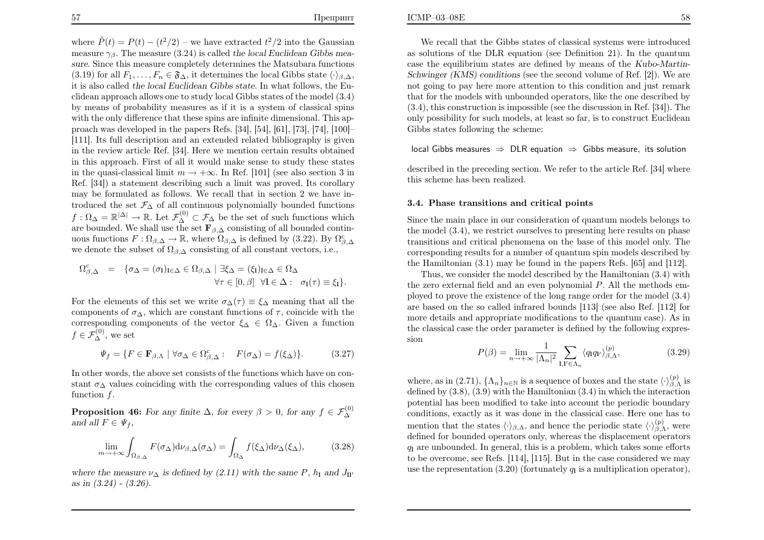ICMP–03–08E

where  $\tilde{P}(t) = P(t) - (t^2/2)$  – we have extracted  $t^2/2$  into the Gaussian measure  $\gamma_{\beta}$ . The measure (3.24) is called the local Euclidean Gibbs mea sure. Since this measure completely determines the Matsubara functions $(3.19)$  for all  $F_1, \ldots, F_n \in \mathfrak{F}_{\Delta}$ , it determines the local Gibbs state  $\langle \cdot \rangle_{\beta, \Delta}$ , it is also called the local Euclidean Gibbs state. In what follows, the Euclidean approac<sup>h</sup> allows one to study local Gibbs states of the model (3.4) by means of probability measures as if it is <sup>a</sup> system of classical spins with the only difference that these spins are infinite dimensional. This approac<sup>h</sup> was developed in the papers Refs. [34], [54], [61], [73], [74], [100]– [111]. Its full description and an extended related bibliography is <sup>g</sup>iven in the review article Ref. [34]. Here we mention certain results obtained in this approach. First of all it would make sense to study these statesin the quasi-classical limit  $m \to +\infty$ . In Ref. [101] (see also section 3 in Ref. [34]) <sup>a</sup> statement describing such <sup>a</sup> limit was proved. Its corollary may be formulated as follows. We recall that in section 2 we have introduced the set  $\mathcal{F}_{\Delta}$  of all continuous polynomially bounded functions  $f: \Omega_{\Delta} = \mathbb{R}^{|\Delta|} \to \mathbb{R}$ . Let  $\mathcal{F}_{\Delta}^{(0)} \subset \mathcal{F}_{\Delta}$  be the set of such functions which<br>are bounded. We shall use the set  $\mathbf{F}_{\Delta}$ , consisting of all bounded continuous are bounded. We shall use the set  $\mathbf{F}_{\beta,\Delta}$  consisting of all bounded contin-<br> $F_{\beta,\Delta}$  consisting  $F_{\beta,\Delta}$  consisting of all bounded continuous functions  $F : \Omega_{\beta,\Delta} \to \mathbb{R}$ , where  $\Omega_{\beta,\Delta}$  is defined by (3.22). By  $\Omega_{\beta,\Delta}^c$ we denote the subset of  $\Omega_{\beta,\Delta}$  consisting of all constant vectors, i.e.,

$$
\Omega_{\beta,\Delta}^c = \{ \sigma_{\Delta} = (\sigma_1)_{1 \in \Delta} \in \Omega_{\beta,\Delta} \mid \exists \xi_{\Delta} = (\xi_1)_{1 \in \Delta} \in \Omega_{\Delta} \forall \tau \in [0, \beta] \forall 1 \in \Delta : \sigma_1(\tau) \equiv \xi_1 \}.
$$

For the elements of this set we write  $\sigma_{\Delta}(\tau) \equiv \xi_{\Delta}$  meaning that all the components of  $\sigma_{\Delta}$ , which are constant functions of  $\tau$ , coincide with the corresponding components of the vector  $\xi_{\Delta} \in \Omega_{\Delta}$ . Given a function  $f \in \mathcal{F}_{\Delta}^{(0)}$ , we set

$$
\Psi_f = \{ F \in \mathbf{F}_{\beta,\Lambda} \mid \forall \sigma_\Delta \in \Omega_{\beta,\Delta}^c : \quad F(\sigma_\Delta) = f(\xi_\Delta) \}. \tag{3.27}
$$

In other words, the above set consists of the functions which have on constant  $\sigma_{\Delta}$  values coinciding with the corresponding values of this chosen function f function  $f$ .

**Proposition 46:** For any finite  $\Delta$ , for every  $\beta > 0$ , for any  $f \in \mathcal{F}_{\Delta}^{(0)}$ and all  $F \in \Psi_f$ ,

$$
\lim_{m \to +\infty} \int_{\Omega_{\beta,\Delta}} F(\sigma_{\Delta}) d\nu_{\beta,\Delta}(\sigma_{\Delta}) = \int_{\Omega_{\Delta}} f(\xi_{\Delta}) d\nu_{\Delta}(\xi_{\Delta}), \tag{3.28}
$$

where the measure  $\nu_{\Delta}$  is defined by (2.11) with the same P,  $h_1$  and  $J_{ll'}$ as in (3.24) - (3.26).

We recall that the Gibbs states of classical systems were introduced as solutions of the DLR equation (see Definition 21). In the quantum case the equilibrium states are defined by means of the Kubo-Martin-Schwinger (KMS) conditions (see the second volume of Ref. [2]). We are not going to pay here more attention to this condition and just remark that for the models with unbounded operators, like the one described by (3.4), this construction is impossible (see the discussion in Ref. [34]). The only possibility for such models, at least so far, is to construct EuclideanGibbs states following the scheme:

$$
local Gibbs measures \Rightarrow DLR equation \Rightarrow Gibbs measure, its solution
$$

described in the preceding section. We refer to the article Ref. [34] wherethis scheme has been realized.

#### 3.4. Phase transitions and critical points

Since the main <sup>p</sup>lace in our consideration of quantum models belongs to the model (3.4), we restrict ourselves to presenting here results on <sup>p</sup>hase transitions and critical phenomena on the base of this model only. The corresponding results for <sup>a</sup> number of quantum spin models described bythe Hamiltonian (3.1) may be found in the papers Refs. [65] and [112].

Thus, we consider the model described by the Hamiltonian (3.4) withthe zero external field and an even polynomial  $P$ . All the methods em<sup>p</sup>loyed to prove the existence of the long range order for the model (3.4) are based on the so called infrared bounds [113] (see also Ref. [112] for more details and appropriate modifications to the quantum case). As in the classical case the order parameter is defined by the following expression

$$
P(\beta) = \lim_{n \to +\infty} \frac{1}{|\Lambda_n|^2} \sum_{\mathbf{l}, \mathbf{l}' \in \Lambda_n} \langle q_1 q_1 \rangle_{\beta, \Lambda}^{(p)}, \tag{3.29}
$$

where, as in  $(2.71)$ ,  $\{\Lambda_n\}_{n\in\mathbb{N}}$  is a sequence of boxes and the state  $\langle \cdot \rangle_{\beta,\Lambda}^{(p)}$  is defined by (3.8), (3.9) with the Hamiltonian (3.4) in which the interaction potential has been modified to take into account the periodic boundary conditions, exactly as it was done in the classical case. Here one has tomention that the states  $\langle \cdot \rangle_{\beta,\Lambda}$ , and hence the periodic state  $\langle \cdot \rangle_{\beta,\Lambda}^{(p)}$ , were defined for bounded operators only, whereas the displacement operators $q_1$  are unbounded. In general, this is a problem, which takes some efforts to be overcome, see Refs. [114], [115]. But in the case considered we mayuse the representation  $(3.20)$  (fortunately  $q_1$  is a multiplication operator),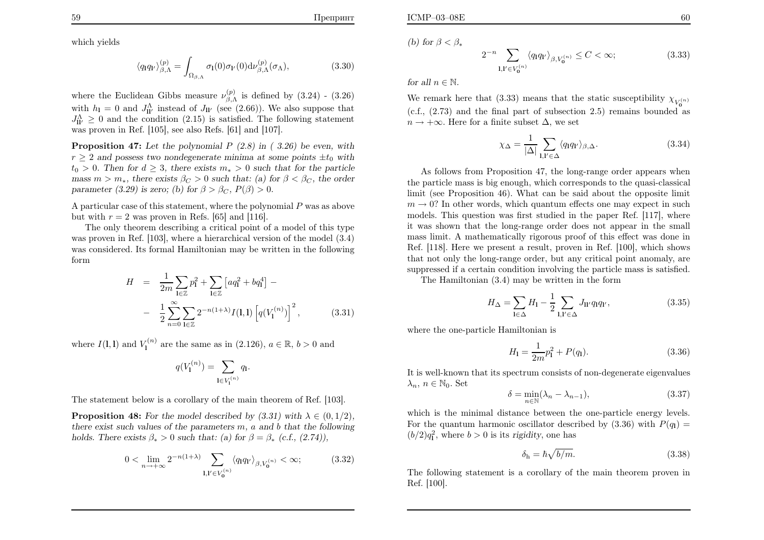Препринт

$$
\langle q_1 q_V \rangle_{\beta,\Lambda}^{(p)} = \int_{\Omega_{\beta,\Lambda}} \sigma_1(0) \sigma_V(0) \mathrm{d} \nu_{\beta,\Lambda}^{(p)}(\sigma_\Lambda), \tag{3.30}
$$

where the Euclidean Gibbs measure  $\nu_{\beta,\Lambda}^{(p)}$  is defined by (3.24) - (3.26) with  $h_1 = 0$  and  $J_{ll'}^{\Lambda}$  instead of  $J_{ll'}$  (see (2.66)). We also suppose that  $J_{\text{II'}}^{\text{A}} \geq 0$  and the condition (2.15) is satisfied. The following statement was proven in Ref.  $[105]$ , see also Refs.  $[61]$  and  $[107]$ .

**Proposition 47:** Let the polynomial  $P(2.8)$  in  $(3.26)$  be even, with  $r \geq 2$  and possess two nondegenerate minima at some points  $\pm t_0$  with  $t_0 > 0$ . Then for  $d \geq 3$ , there exists  $m_* > 0$  such that for the particle mass  $m > m_*$ , there exists  $\beta_C > 0$  such that: (a) for  $\beta < \beta_C$ , the order parameter (3.29) is zero; (b) for  $\beta > \beta_C$ ,  $P(\beta) > 0$ .

A particular case of this statement, where the polynomial  $P$  was as above but with  $r = 2$  was proven in Refs. [65] and [116].

The only theorem describing <sup>a</sup> critical point of <sup>a</sup> model of this type was proven in Ref. [103], where <sup>a</sup> hierarchical version of the model (3.4) was considered. Its formal Hamiltonian may be written in the followingform

$$
H = \frac{1}{2m} \sum_{\mathbf{l} \in \mathbb{Z}} p_{\mathbf{l}}^2 + \sum_{\mathbf{l} \in \mathbb{Z}} \left[ a q_{\mathbf{l}}^2 + b q_{\mathbf{l}}^4 \right] -
$$
  
- 
$$
\frac{1}{2} \sum_{n=0}^{\infty} \sum_{\mathbf{l} \in \mathbb{Z}} 2^{-n(1+\lambda)} I(\mathbf{l}, \mathbf{l}) \left[ q(V_{\mathbf{l}}^{(n)}) \right]^2, \tag{3.31}
$$

where  $I(1,1)$  and  $V_1^{(n)}$  are the same as in (2.126),  $a \in \mathbb{R}, b > 0$  and

$$
q(V^{(n)}_1) = \sum_{{\bf l} \in V^{(n)}_1} q_{\bf l}.
$$

The statement below is <sup>a</sup> corollary of the main theorem of Ref. [103].

**Proposition 48:** For the model described by  $(3.31)$  with  $\lambda \in (0, 1/2)$ , there exist such values of the parameters  $m$ ,  $a$  and  $b$  that the following holds. There exists  $\beta_* > 0$  such that: (a) for  $\beta = \beta_*$  (c.f., (2.74)),

$$
0 < \lim_{n \to +\infty} 2^{-n(1+\lambda)} \sum_{\mathbf{l}, \mathbf{l}' \in V_0^{(n)}} \langle q_1 q_{\mathbf{l}'} \rangle_{\beta, V_0^{(n)}} < \infty; \tag{3.32}
$$

(b) for  $\beta < \beta_*$ 

$$
2^{-n} \sum_{\mathbf{l}, \mathbf{l}' \in V_{\mathbf{0}}^{(n)}} \langle q_{\mathbf{l}} q_{\mathbf{l}'} \rangle_{\beta, V_{\mathbf{0}}^{(n)}} \le C < \infty; \tag{3.33}
$$

for all  $n\in\mathbb{N}$ .

We remark here that (3.33) means that the static susceptibility  $\chi_{V_{\alpha}}^{(n)}$  0 (c.f., (2.73) and the final part of subsection 2.5) remains bounded as $n\rightarrow+\infty$ . Here for a finite subset  $\Delta$ , we set

$$
\chi_{\Delta} = \frac{1}{|\Delta|} \sum_{\mathbf{l}, \mathbf{l}' \in \Delta} \langle q_{\mathbf{l}} q_{\mathbf{l}'} \rangle_{\beta, \Delta}.
$$
 (3.34)

As follows from Proposition 47, the long-range order appears when the particle mass is big enough, which corresponds to the quasi-classicallimit (see Proposition 46). What can be said about the opposite limit $m \rightarrow 0$ ? In other words, which quantum effects one may expect in such models. This question was first studied in the paper Bef. [117], where models. This question was first studied in the paper Ref. [117], where it was shown that the long-range order does not appear in the smallmass limit. A mathematically rigorous proof of this effect was done in Ref. [118]. Here we present <sup>a</sup> result, proven in Ref. [100], which shows that not only the long-range order, but any critical point anomaly, aresuppressed if <sup>a</sup> certain condition involving the particle mass is satisfied.

The Hamiltonian (3.4) may be written in the form

$$
H_{\Delta} = \sum_{\mathbf{l} \in \Delta} H_{\mathbf{l}} - \frac{1}{2} \sum_{\mathbf{l}, \mathbf{l}' \in \Delta} J_{\mathbf{l} \mathbf{l}'} q_{\mathbf{l}} q_{\mathbf{l}'}, \qquad (3.35)
$$

where the one-particle Hamiltonian is

$$
H_1 = \frac{1}{2m}p_1^2 + P(q_1).
$$
 (3.36)

 It is well-known that its spectrum consists of non-degenerate eigenvalues $\lambda_n, n \in \mathbb{N}_0$ . Set

$$
\delta = \min_{n \in \mathbb{N}} (\lambda_n - \lambda_{n-1}),\tag{3.37}
$$

which is the minimal distance between the one-particle energy levels.For the quantum harmonic oscillator described by  $(3.36)$  with  $P(q_1) =$  $(b/2)q_1^2$ , where  $b > 0$  is its rigidity, one has

$$
\delta_{\rm h} = \hbar \sqrt{b/m}.\tag{3.38}
$$

The following statement is <sup>a</sup> corollary of the main theorem proven inRef. [100].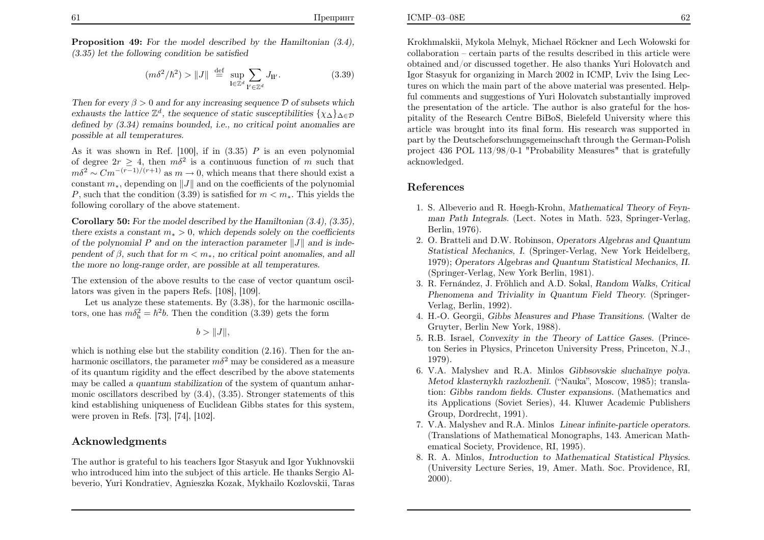Proposition 49: For the model described by the Hamiltonian  $(3.4)$ , (3.35) let the following condition be satisfied

$$
(m\delta^2/\hbar^2) > ||J|| \stackrel{\text{def}}{=} \sup_{\mathbf{l} \in \mathbb{Z}^d} \sum_{\mathbf{l}' \in \mathbb{Z}^d} J_{\mathbf{l} \mathbf{l}'}.
$$
 (3.39)

Then for every  $\beta > 0$  and for any increasing sequence  $\mathcal{D}$  of subsets which exhausts the lattice  $\mathbb{Z}^d$ , the sequence of static susceptibilities  $\{\chi_{\Delta}\}_{\Delta \in \mathcal{D}}$  defined by (3.34) remains bounded, i.e., no critical point anomalies arepossible at all temperatures.

As it was shown in Ref.  $[100]$ , if in  $(3.35)$  P is an even polynomial of degree  $2r \geq 4$ , then  $m\delta^2$  is a continuous function of m such that  $m\delta^2 \sim Cm^{-(r-1)/(r+1)}$  as m by 0 which means that there should suit a  $m\delta^2 \sim C m^{-(r-1)/(r+1)}$  as  $m \to 0$ , which means that there  $m\delta^2 \sim C m^{-(r-1)/(r+1)}$  as  $m \to 0$ , which means that there should exist a constant  $m_*$ , depending on  $||J||$  and on the coefficients of the polynomial P, such that the condition (3.39) is satisfied for  $m < m_*$ . This yields the following corollary of the above statement.

**Corollary 50:** For the model described by the Hamiltonian  $(3.4)$ ,  $(3.35)$ , there exists a constant  $m_* > 0$ , which depends solely on the coefficients of the polynomial P and on the interaction parameter  $||J||$  and is independent of  $\beta$ , such that for  $m < m_*$ , no critical point anomalies, and all the more no long-range order, are possible at all temperatures.

The extension of the above results to the case of vector quantum oscillators was <sup>g</sup>iven in the papers Refs. [108], [109].

 Let us analyze these statements. By (3.38), for the harmonic oscillators, one has  $m\delta_h^2 = \hbar^2 b$ . Then the condition (3.39) gets the form

$$
b>\|J\|,
$$

which is nothing else but the stability condition  $(2.16)$ . Then for the anharmonic oscillators, the parameter  $m\delta^2$  may be considered as a measure of its quantum rigidity and the effect described by the above statementsmay be called a quantum stabilization of the system of quantum anharmonic oscillators described by (3.4), (3.35). Stronger statements of this kind establishing uniqueness of Euclidean Gibbs states for this system, were proven in Refs. [73], [74], [102].

# Acknowledgments

The author is grateful to his teachers Igor Stasyuk and Igor Yukhnovskii who introduced him into the subject of this article. He thanks Sergio Albeverio, Yuri Kondratiev, Agnieszka Kozak, Mykhailo Kozlovskii, Taras

 $E$  62 Krokhmalskii, Mykola Melnyk, Michael Röckner and Lech Wołowski for

 collaboration – certain parts of the results described in this article were obtained and/or discussed together. He also thanks Yuri Holovatch and Igor Stasyuk for organizing in March 2002 in ICMP, Lviv the Ising Lectures on which the main part of the above material was presented. Helpful comments and suggestions of Yuri Holovatch substantially improved the presentation of the article. The author is also grateful for the hos<sup>p</sup>itality of the Research Centre BiBoS, Bielefeld University where this article was brought into its final form. His research was supported in part by the Deutscheforschungsgemeinschaft through the German-Polish project <sup>436</sup> POL 113/98/0-1 "Probability Measures" that is gratefullyacknowledged.

# References

ICMP–03–08E

- 1. S. Albeverio and R. Høegh-Krohn, Mathematical Theory of Feynman Path Integrals. (Lect. Notes in Math. 523, Springer-Verlag, Berlin, 1976).
- 2. O. Bratteli and D.W. Robinson, Operators Algebras and Quantum Statistical Mechanics, I. (Springer-Verlag, New York Heidelberg, 1979); Operators Algebras and Quantum Statistical Mechanics, II. (Springer-Verlag, New York Berlin, 1981).
- 3. R. Fernández, J. Fröhlich and A.D. Sokal, *Random Walks, Critical* Phenomena and Triviality in Quantum Field Theory. (Springer-Verlag, Berlin, 1992).
- 4. H.-O. Georgii, Gibbs Measures and Phase Transitions. (Walter deGruyter, Berlin New York, 1988).
- 5. R.B. Israel, Convexity in the Theory of Lattice Gases. (Princeton Series in Physics, Princeton University Press, Princeton, N.J.,1979).
- 6. V.A. Malyshev and R.A. Minlos Gibbsovskie sluchaĭnye polya. Metod klasternykh razlozheniĭ. ("Nauka", Moscow, 1985); translation: Gibbs random fields. Cluster expansions. (Mathematics and its Applications (Soviet Series), 44. Kluwer Academic PublishersGroup, Dordrecht, 1991).
- 7. V.A. Malyshev and R.A. Minlos Linear infinite-particle operators. (Translations of Mathematical Monographs, 143. American Mathematical Society, Providence, RI, 1995).
- 8. R. A. Minlos, Introduction to Mathematical Statistical Physics. (University Lecture Series, 19, Amer. Math. Soc. Providence, RI,2000).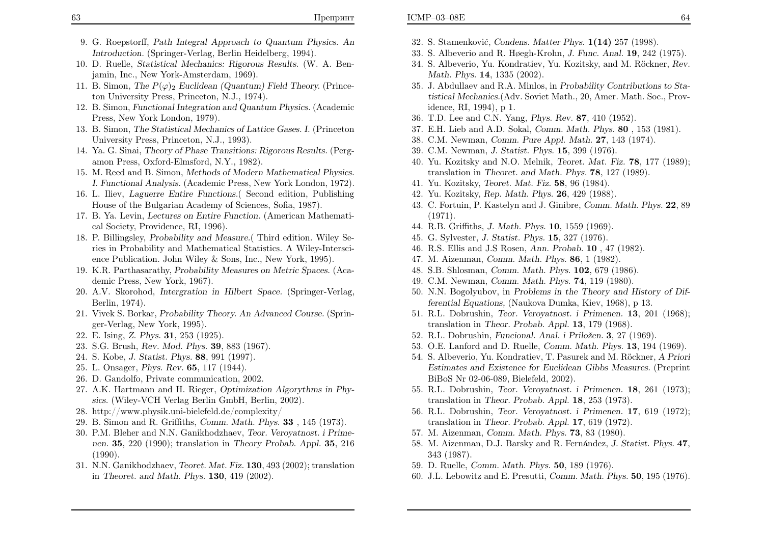- 9. G. Roepstorff, Path Integral Approach to Quantum Physics. AnIntroduction. (Springer-Verlag, Berlin Heidelberg, 1994).
- 10. D. Ruelle, Statistical Mechanics: Rigorous Results. (W. A. Benjamin, Inc., New York-Amsterdam, 1969).
- 11. B. Simon, The  $P(\varphi)$ <sub>2</sub> Euclidean (Quantum) Field Theory. (Princeton University Press, Princeton, N.J., 1974).
- 12. B. Simon, Functional Integration and Quantum Physics. (AcademicPress, New York London, 1979).
- 13. B. Simon, The Statistical Mechanics of Lattice Gases. I. (PrincetonUniversity Press, Princeton, N.J., 1993).
- 14. Ya. G. Sinai, Theory of Phase Transitions: Rigorous Results. (Pergamon Press, Oxford-Elmsford, N.Y., 1982).
- 15. M. Reed and B. Simon, Methods of Modern Mathematical Physics. I. Functional Analysis. (Academic Press, New York London, 1972).
- 16. L. Iliev, Laguerre Entire Functions.( Second edition, PublishingHouse of the Bulgarian Academy of Sciences, Sofia, 1987).
- 17. B. Ya. Levin, Lectures on Entire Function. (American Mathematical Society, Providence, RI, 1996).
- 18. P. Billingsley, Probability and Measure.( Third edition. Wiley Series in Probability and Mathematical Statistics. A Wiley-Interscience Publication. John Wiley & Sons, Inc., New York, 1995).
- 19. K.R. Parthasarathy, Probability Measures on Metric Spaces. (Academic Press, New York, 1967).
- 20. A.V. Skorohod, Intergration in Hilbert Space. (Springer-Verlag, Berlin, 1974).
- 21. Vivek S. Borkar, Probability Theory. An Advanced Course. (Springer-Verlag, New York, 1995).
- 22. E. Ising, Z. Phys. <sup>31</sup>, <sup>253</sup> (1925).
- 23. S.G. Brush, Rev. Mod. Phys. <sup>39</sup>, <sup>883</sup> (1967).
- 24. S. Kobe, J. Statist. Phys. <sup>88</sup>, <sup>991</sup> (1997).
- 25. L. Onsager, Phys. Rev. <sup>65</sup>, <sup>117</sup> (1944).
- 26. D. Gandolfo, Private communication, 2002.
- 27. A.K. Hartmann and H. Rieger, Optimization Algorythms in Physics. (Wiley-VCH Verlag Berlin GmbH, Berlin, 2002).
- 28. http://www.physik.uni-bielefeld.de/complexity/
- 29. B. Simon and R. Griffiths, Comm. Math. Phys.  $33$ ,  $145$  (1973).
- 30. P.M. Bleher and N.N. Ganikhodzhaev, Teor. Veroyatnost. <sup>i</sup> Primenen. <sup>35</sup>, <sup>220</sup> (1990); translation in Theory Probab. Appl. <sup>35</sup>, <sup>216</sup> (1990).
- 31. N.N. Ganikhodzhaev, Teoret. Mat. Fiz. <sup>130</sup>, <sup>493</sup> (2002); translationin Theoret. and Math. Phys.  $130, 419$  (2002).
- 32. S. Stamenković, *Condens. Matter Phys.* **1(14)** 257 (1998).
- 33. S. Albeverio and R. Høegh-Krohn, J. Func. Anal. <sup>19</sup>, <sup>242</sup> (1975).
- 34. S. Albeverio, Yu. Kondratiev, Yu. Kozitsky, and M. Röckner, Rev. Math. Phys. <sup>14</sup>, <sup>1335</sup> (2002).
- 35. J. Abdullaev and R.A. Minlos, in Probability Contributions to Statistical Mechanics.(Adv. Soviet Math., 20, Amer. Math. Soc., Providence, RI, 1994), <sup>p</sup> 1.
- 36. T.D. Lee and C.N. Yang, Phys. Rev. <sup>87</sup>, <sup>410</sup> (1952).
- 37. E.H. Lieb and A.D. Sokal, Comm. Math. Phys. <sup>80</sup> , <sup>153</sup> (1981).
- 38. C.M. Newman, Comm. Pure Appl. Math. <sup>27</sup>, <sup>143</sup> (1974).
- 39. C.M. Newman, J. Statist. Phys. <sup>15</sup>, <sup>399</sup> (1976).
- 40. Yu. Kozitsky and N.O. Melnik, Teoret. Mat. Fiz. <sup>78</sup>, <sup>177</sup> (1989); translation in Theoret. and Math. Phys. <sup>78</sup>, <sup>127</sup> (1989).
- 41. Yu. Kozitsky, Teoret. Mat. Fiz. <sup>58</sup>, <sup>96</sup> (1984).
- 42. Yu. Kozitsky, Rep. Math. Phys. <sup>26</sup>, <sup>429</sup> (1988).
- 43. C. Fortuin, P. Kastelyn and J. Ginibre, Comm. Math. Phys. <sup>22</sup>, <sup>89</sup>(1971).
- 44. R.B. Griffiths, J. Math. Phys. <sup>10</sup>, <sup>1559</sup> (1969).
- 45. G. Sylvester, J. Statist. Phys. <sup>15</sup>, <sup>327</sup> (1976).
- 46. R.S. Ellis and J.S Rosen, Ann. Probab. <sup>10</sup> , <sup>47</sup> (1982).
- 47. M. Aizenman, Comm. Math. Phys. <sup>86</sup>, <sup>1</sup> (1982).
- 48. S.B. Shlosman, Comm. Math. Phys. <sup>102</sup>, <sup>679</sup> (1986).
- 49. C.M. Newman, Comm. Math. Phys. <sup>74</sup>, <sup>119</sup> (1980).
- 50. N.N. Bogolyubov, in Problems in the Theory and History of Differential Equations, (Naukova Dumka, Kiev, 1968), <sup>p</sup> 13.
- 51. R.L. Dobrushin, Teor. Veroyatnost. <sup>i</sup> Primenen. <sup>13</sup>, <sup>201</sup> (1968); translation in Theor. Probab. Appl. <sup>13</sup>, <sup>179</sup> (1968).
- 52. R.L. Dobrushin, Funcional. Anal. i Priložen. 3, 27 (1969).
- 53. O.E. Lanford and D. Ruelle, Comm. Math. Phys. <sup>13</sup>, <sup>194</sup> (1969).
- 54. S. Albeverio, Yu. Kondratiev, T. Pasurek and M. Röckner, A Priori Estimates and Existence for Euclidean Gibbs Measures. (PreprintBiBoS Nr 02-06-089, Bielefeld, 2002).
- 55. R.L. Dobrushin, Teor. Veroyatnost. <sup>i</sup> Primenen. <sup>18</sup>, <sup>261</sup> (1973); translation in *Theor. Probab. Appl.* **18**, 253 (1973).
- 56. R.L. Dobrushin, Teor. Veroyatnost. <sup>i</sup> Primenen. <sup>17</sup>, <sup>619</sup> (1972); translation in Theor. Probab. Appl. <sup>17</sup>, <sup>619</sup> (1972).
- 57. M. Aizenman, Comm. Math. Phys. <sup>73</sup>, <sup>83</sup> (1980).
- 58. M. Aizenman, D.J. Barsky and R. Fernández, *J. Statist. Phys.* 47, <sup>343</sup> (1987).
- 59. D. Ruelle, Comm. Math. Phys. <sup>50</sup>, <sup>189</sup> (1976).
- 60. J.L. Lebowitz and E. Presutti, Comm. Math. Phys. <sup>50</sup>, <sup>195</sup> (1976).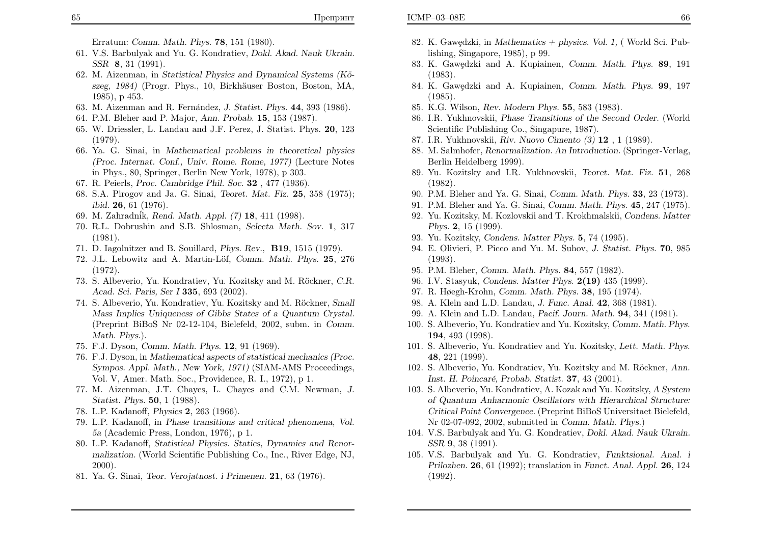- 61. V.S. Barbulyak and Yu. G. Kondratiev, Dokl. Akad. Nauk Ukrain. SSR 8, 31 (1991).
- 62. M. Aizenman, in Statistical Physics and Dynamical Systems (Köszeg, 1984) (Progr. Phys., 10, Birkhäuser Boston, Boston, MA, 1985), <sup>p</sup> 453.
- 63. M. Aizenman and R. Fernández, J. Statist. Phys. 44, 393 (1986).
- 64. P.M. Bleher and P. Major, Ann. Probab. <sup>15</sup>, <sup>153</sup> (1987).
- 65. W. Driessler, L. Landau and J.F. Perez, J. Statist. Phys. 20, 123(1979).
- 66. Ya. G. Sinai, in Mathematical problems in theoretical <sup>p</sup>hysics (Proc. Internat. Conf., Univ. Rome. Rome, 1977) (Lecture Notesin Phys., 80, Springer, Berlin New York, 1978), <sup>p</sup> 303.
- 67. R. Peierls, Proc. Cambridge Phil. Soc. <sup>32</sup> , <sup>477</sup> (1936).
- 68. S.A. Pirogov and Ja. G. Sinai, Teoret. Mat. Fiz. <sup>25</sup>, <sup>358</sup> (1975); ibid. <sup>26</sup>, <sup>61</sup> (1976).
- 69. M. Zahradn´ik, Rend. Math. Appl. (7) <sup>18</sup>, <sup>411</sup> (1998).
- 70. R.L. Dobrushin and S.B. Shlosman, Selecta Math. Sov. <sup>1</sup>, 317(1981).
- 71. D. Iagolnitzer and B. Souillard, Phys. Rev., B19, <sup>1515</sup> (1979).
- 72. J.L. Lebowitz and A. Martin-Löf, Comm. Math. Phys. 25, 276 (1972).
- 73. S. Albeverio, Yu. Kondratiev, Yu. Kozitsky and M. Röckner, C.R. Acad. Sci. Paris, Ser I <sup>335</sup>, <sup>693</sup> (2002).
- 74. S. Albeverio, Yu. Kondratiev, Yu. Kozitsky and M. Röckner, *Small* Mass Implies Uniqueness of Gibbs States of <sup>a</sup> Quantum Crystal. (Preprint BiBoS Nr 02-12-104, Bielefeld, 2002, subm. in Comm. Math. Phys.).
- 75. F.J. Dyson, Comm. Math. Phys. <sup>12</sup>, <sup>91</sup> (1969).
- 76. F.J. Dyson, in Mathematical aspects of statistical mechanics (Proc. Sympos. Appl. Math., New York, 1971) (SIAM-AMS Proceedings, Vol. V, Amer. Math. Soc., Providence, R. I., 1972), <sup>p</sup> 1.
- 77. M. Aizenman, J.T. Chayes, L. Chayes and C.M. Newman, J. Statist. Phys. <sup>50</sup>, <sup>1</sup> (1988).
- 78. L.P. Kadanoff, *Physics* **2**, 263 (1966).
- 79. L.P. Kadanoff, in Phase transitions and critical <sup>p</sup>henomena, Vol. 5a (Academic Press, London, 1976), <sup>p</sup> 1.
- 80. L.P. Kadanoff, Statistical Physics. Statics, Dynamics and Renormalization. (World Scientific Publishing Co., Inc., River Edge, NJ, 2000).
- 81. Ya. G. Sinai, Teor. Verojatnost. <sup>i</sup> Primenen. <sup>21</sup>, <sup>63</sup> (1976).
- 82. K. Gawçdzki, in Mathematics + physics. Vol. 1, (World Sci. Publishing, Singapore, 1985), <sup>p</sup> 99.
- 83. K. Gawçdzki and A. Kupiainen, *Comm. Math. Phys.* 89, 191 (1983).
- 84. K. Gawçdzki and A. Kupiainen, *Comm. Math. Phys.* 99, 197 (1985).
- 85. K.G. Wilson, Rev. Modern Phys. <sup>55</sup>, <sup>583</sup> (1983).
- 86. I.R. Yukhnovskii, Phase Transitions of the Second Order. (WorldScientific Publishing Co., Singapure, 1987).
- 87. I.R. Yukhnovskii, Riv. Nuovo Cimento (3) <sup>12</sup> , <sup>1</sup> (1989).
- 88. M. Salmhofer, Renormalization. An Introduction. (Springer-Verlag, Berlin Heidelberg 1999).
- 89. Yu. Kozitsky and I.R. Yukhnovskii, Teoret. Mat. Fiz. <sup>51</sup>, 268(1982).
- 90. P.M. Bleher and Ya. G. Sinai, Comm. Math. Phys. <sup>33</sup>, <sup>23</sup> (1973).
- 91. P.M. Bleher and Ya. G. Sinai, Comm. Math. Phys. <sup>45</sup>, <sup>247</sup> (1975).
- 92. Yu. Kozitsky, M. Kozlovskii and T. Krokhmalskii, Condens. MatterPhys.<sup>2</sup>, <sup>15</sup> (1999).
- 93. Yu. Kozitsky, Condens. Matter Phys. <sup>5</sup>, <sup>74</sup> (1995).
- 94. E. Olivieri, P. Picco and Yu. M. Suhov, J. Statist. Phys. <sup>70</sup>, <sup>985</sup>(1993).
- 95. P.M. Bleher, Comm. Math. Phys. <sup>84</sup>, <sup>557</sup> (1982).
- 96. I.V. Stasyuk, Condens. Matter Phys. 2(19) <sup>435</sup> (1999).
- 97. R. Høegh-Krohn, Comm. Math. Phys. <sup>38</sup>, <sup>195</sup> (1974).
- 98. A. Klein and L.D. Landau, J. Func. Anal. 42, 368 (1981).
- 99. A. Klein and L.D. Landau, Pacif. Journ. Math. <sup>94</sup>, <sup>341</sup> (1981).
- 100. S. Albeverio, Yu. Kondratiev and Yu. Kozitsky, Comm. Math. Phys. <sup>194</sup>, <sup>493</sup> (1998).
- 101. S. Albeverio, Yu. Kondratiev and Yu. Kozitsky, Lett. Math. Phys. <sup>48</sup>, <sup>221</sup> (1999).
- 102. S. Albeverio, Yu. Kondratiev, Yu. Kozitsky and M. Röckner, Ann. Inst. H. Poincaré, Probab. Statist. **37**, 43 (2001).
- 103. S. Albeverio, Yu. Kondratiev, A. Kozak and Yu. Kozitsky, A System of Quantum Anharmonic Oscillators with Hierarchical Structure:Critical Point Convergence. (Preprint BiBoS Universitaet Bielefeld, Nr 02-07-092, 2002, submitted in Comm. Math. Phys.)
- 104. V.S. Barbulyak and Yu. G. Kondratiev, Dokl. Akad. Nauk Ukrain. SSR<sup>9</sup>, <sup>38</sup> (1991).
- 105. V.S. Barbulyak and Yu. G. Kondratiev, Funktsional. Anal. <sup>i</sup> Prilozhen. <sup>26</sup>, <sup>61</sup> (1992); translation in Funct. Anal. Appl. <sup>26</sup>, <sup>124</sup> (1992).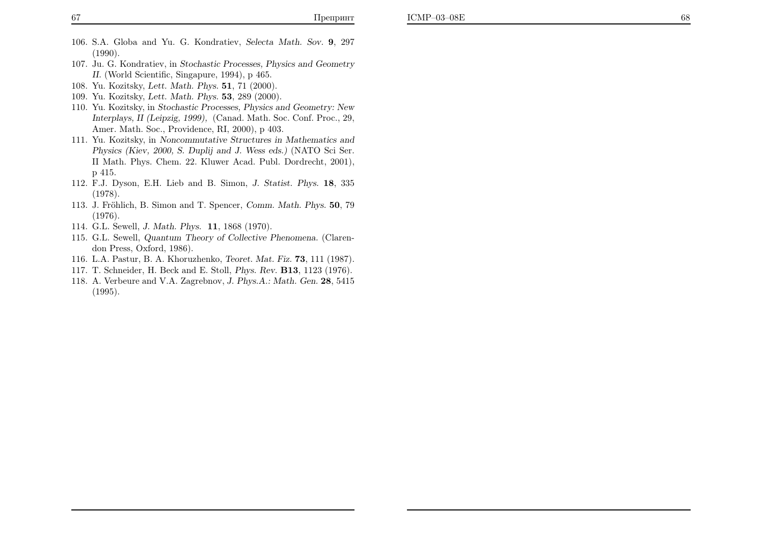- 106. S.A. Globa and Yu. G. Kondratiev, Selecta Math. Sov. <sup>9</sup>, 297(1990).
- 107. Ju. G. Kondratiev, in Stochastic Processes, Physics and Geometry II. (World Scientific, Singapure, 1994), <sup>p</sup> 465.
- 108. Yu. Kozitsky, *Lett. Math. Phys.* **51**, 71 (2000).
- 109. Yu. Kozitsky, *Lett. Math. Phys.* **53**, 289 (2000).
- 110. Yu. Kozitsky, in Stochastic Processes, Physics and Geometry: New Interplays, II (Leipzig, 1999), (Canad. Math. Soc. Conf. Proc., 29, Amer. Math. Soc., Providence, RI, 2000), <sup>p</sup> 403.
- 111. Yu. Kozitsky, in Noncommutative Structures in Mathematics and Physics (Kiev, 2000, S. Duplij and J. Wess eds.) (NATO Sci Ser. II Math. Phys. Chem. 22. Kluwer Acad. Publ. Dordrecht, 2001),p 415.
- 112. F.J. Dyson, E.H. Lieb and B. Simon, J. Statist. Phys. <sup>18</sup>, <sup>335</sup>(1978).
- 113. J. Fröhlich, B. Simon and T. Spencer, Comm. Math. Phys. 50, 79 (1976).
- 114. G.L. Sewell, J. Math. Phys. <sup>11</sup>, <sup>1868</sup> (1970).
- 115. G.L. Sewell, Quantum Theory of Collective Phenomena. (Clarendon Press, Oxford, 1986).
- 116. L.A. Pastur, B. A. Khoruzhenko, Teoret. Mat. Fiz. **73**, 111 (1987).
- 117. T. Schneider, H. Beck and E. Stoll, *Phys. Rev.* **B13**, 1123 (1976).
- 118. A. Verbeure and V.A. Zagrebnov, *J. Phys.A.: Math. Gen.*  $28,5415$ (1995).